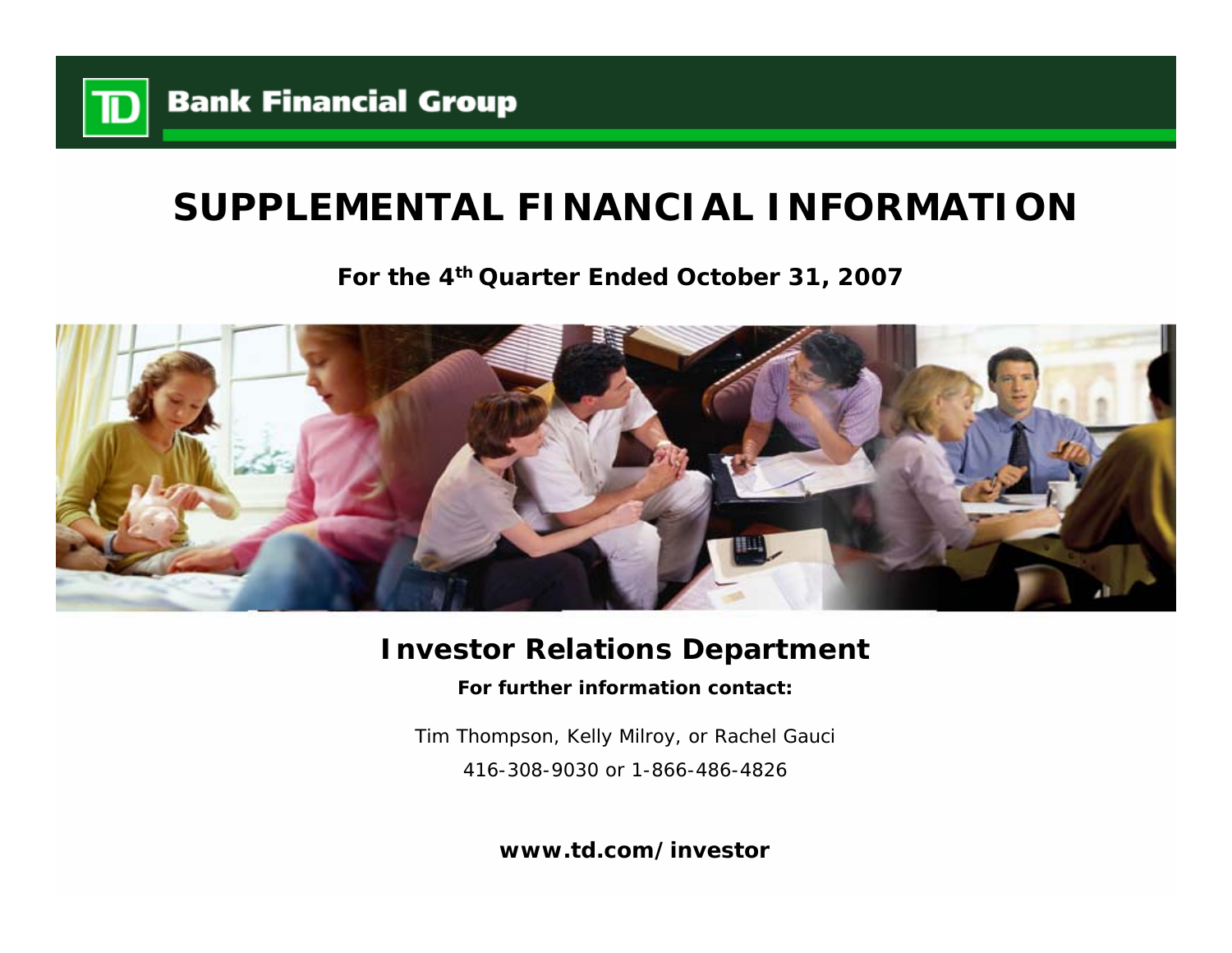

# **SUPPLEMENTAL FINANCIAL INFORMATION**

**For the 4th Quarter Ended October 31, 2007**



## **Investor Relations Department**

**For further information contact:**

Tim Thompson, Kelly Milroy, or Rachel Gauci 416-308-9030 or 1-866-486-4826

**www.td.com/investor**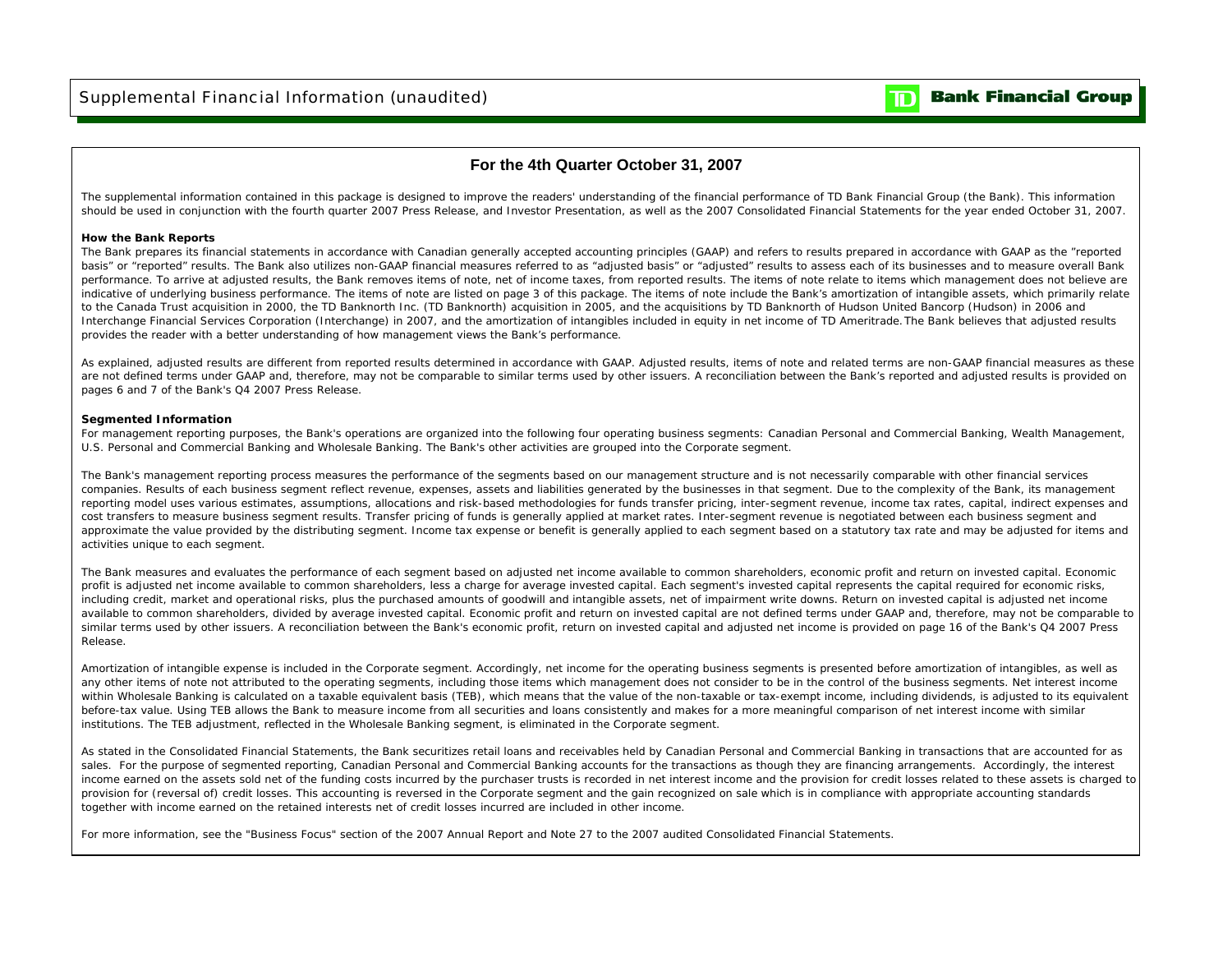## **Bank Financial Group**

### **For the 4th Quarter October 31, 2007**

The supplemental information contained in this package is designed to improve the readers' understanding of the financial performance of TD Bank Financial Group (the Bank). This information should be used in conjunction with the fourth quarter 2007 Press Release, and Investor Presentation, as well as the 2007 Consolidated Financial Statements for the year ended October 31, 2007.

#### **How the Bank Reports**

The Bank prepares its financial statements in accordance with Canadian generally accepted accounting principles (GAAP) and refers to results prepared in accordance with GAAP as the "reported basis" or "reported" results. The Bank also utilizes non-GAAP financial measures referred to as "adjusted basis" or "adjusted" results to assess each of its businesses and to measure overall Bank performance. To arrive at adjusted results, the Bank removes items of note, net of income taxes, from reported results. The items of note relate to items which management does not believe are indicative of underlying business performance. The items of note are listed on page 3 of this package. The items of note include the Bank's amortization of intangible assets, which primarily relate to the Canada Trust acquisition in 2000, the TD Banknorth Inc. (TD Banknorth) acquisition in 2005, and the acquisitions by TD Banknorth of Hudson United Bancorp (Hudson) in 2006 and Interchange Financial Services Corporation (Interchange) in 2007, and the amortization of intangibles included in equity in net income of TD Ameritrade. The Bank believes that adjusted results provides the reader with a better understanding of how management views the Bank's performance.

As explained, adjusted results are different from reported results determined in accordance with GAAP. Adjusted results, items of note and related terms are non-GAAP financial measures as these are not defined terms under GAAP and, therefore, may not be comparable to similar terms used by other issuers. A reconciliation between the Bank's reported and adjusted results is provided on pages 6 and 7 of the Bank's Q4 2007 Press Release.

#### **Segmented Information**

For management reporting purposes, the Bank's operations are organized into the following four operating business segments: Canadian Personal and Commercial Banking, Wealth Management, U.S. Personal and Commercial Banking and Wholesale Banking. The Bank's other activities are grouped into the Corporate segment.

The Bank's management reporting process measures the performance of the segments based on our management structure and is not necessarily comparable with other financial services companies. Results of each business segment reflect revenue, expenses, assets and liabilities generated by the businesses in that segment. Due to the complexity of the Bank, its management reporting model uses various estimates, assumptions, allocations and risk-based methodologies for funds transfer pricing, inter-segment revenue, income tax rates, capital, indirect expenses and cost transfers to measure business segment results. Transfer pricing of funds is generally applied at market rates. Inter-segment revenue is negotiated between each business segment and approximate the value provided by the distributing segment. Income tax expense or benefit is generally applied to each segment based on a statutory tax rate and may be adjusted for items and activities unique to each segment.

The Bank measures and evaluates the performance of each segment based on adjusted net income available to common shareholders, economic profit and return on invested capital. Economic profit is adjusted net income available to common shareholders, less a charge for average invested capital. Each segment's invested capital represents the capital required for economic risks, including credit, market and operational risks, plus the purchased amounts of goodwill and intangible assets, net of impairment write downs. Return on invested capital is adjusted net income available to common shareholders, divided by average invested capital. Economic profit and return on invested capital are not defined terms under GAAP and, therefore, may not be comparable to similar terms used by other issuers. A reconciliation between the Bank's economic profit, return on invested capital and adjusted net income is provided on page 16 of the Bank's Q4 2007 Press Release.

Amortization of intangible expense is included in the Corporate segment. Accordingly, net income for the operating business segments is presented before amortization of intangibles, as well as any other items of note not attributed to the operating segments, including those items which management does not consider to be in the control of the business segments. Net interest income within Wholesale Banking is calculated on a taxable equivalent basis (TEB), which means that the value of the non-taxable or tax-exempt income, including dividends, is adjusted to its equivalent before-tax value. Using TEB allows the Bank to measure income from all securities and loans consistently and makes for a more meaningful comparison of net interest income with similar institutions. The TEB adjustment, reflected in the Wholesale Banking segment, is eliminated in the Corporate segment.

As stated in the Consolidated Financial Statements, the Bank securitizes retail loans and receivables held by Canadian Personal and Commercial Banking in transactions that are accounted for as sales. For the purpose of segmented reporting, Canadian Personal and Commercial Banking accounts for the transactions as though they are financing arrangements. Accordingly, the interest income earned on the assets sold net of the funding costs incurred by the purchaser trusts is recorded in net interest income and the provision for credit losses related to these assets is charged to provision for (reversal of) credit losses. This accounting is reversed in the Corporate segment and the gain recognized on sale which is in compliance with appropriate accounting standards together with income earned on the retained interests net of credit losses incurred are included in other income.

For more information, see the "Business Focus" section of the 2007 Annual Report and Note 27 to the 2007 audited Consolidated Financial Statements.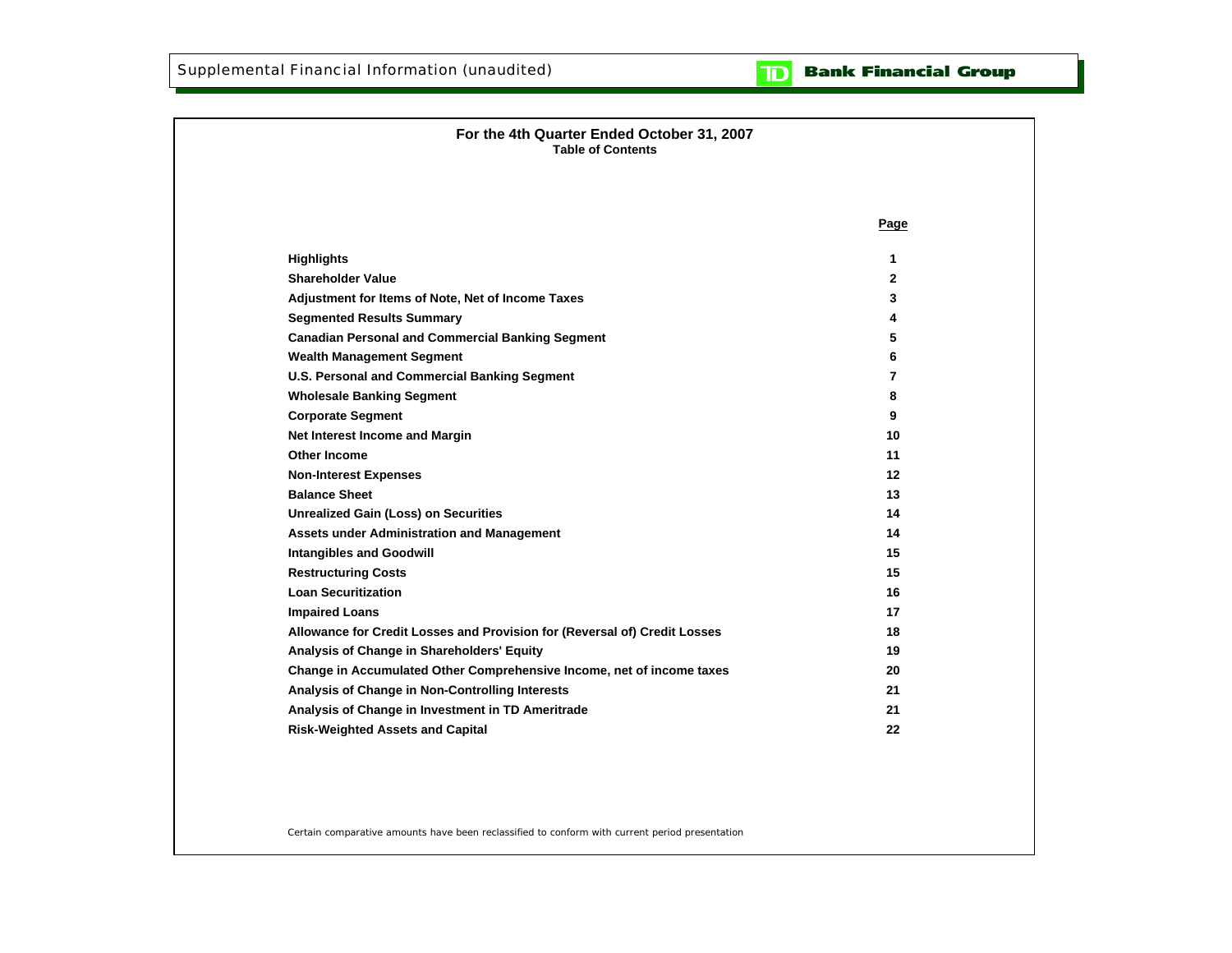

| For the 4th Quarter Ended October 31, 2007<br><b>Table of Contents</b>    |                |
|---------------------------------------------------------------------------|----------------|
|                                                                           | Page           |
| <b>Highlights</b>                                                         | 1              |
| <b>Shareholder Value</b>                                                  | $\mathbf{2}$   |
| Adjustment for Items of Note, Net of Income Taxes                         | 3              |
| <b>Segmented Results Summary</b>                                          | 4              |
| <b>Canadian Personal and Commercial Banking Segment</b>                   | 5              |
| <b>Wealth Management Segment</b>                                          | 6              |
| U.S. Personal and Commercial Banking Segment                              | $\overline{7}$ |
| <b>Wholesale Banking Segment</b>                                          | 8              |
| <b>Corporate Segment</b>                                                  | 9              |
| Net Interest Income and Margin                                            | 10             |
| Other Income                                                              | 11             |
| <b>Non-Interest Expenses</b>                                              | 12             |
| <b>Balance Sheet</b>                                                      | 13             |
| <b>Unrealized Gain (Loss) on Securities</b>                               | 14             |
| <b>Assets under Administration and Management</b>                         | 14             |
| <b>Intangibles and Goodwill</b>                                           | 15             |
| <b>Restructuring Costs</b>                                                | 15             |
| <b>Loan Securitization</b>                                                | 16             |
| <b>Impaired Loans</b>                                                     | 17             |
| Allowance for Credit Losses and Provision for (Reversal of) Credit Losses | 18             |
| Analysis of Change in Shareholders' Equity                                | 19             |
| Change in Accumulated Other Comprehensive Income, net of income taxes     | 20             |
| Analysis of Change in Non-Controlling Interests                           | 21             |
| Analysis of Change in Investment in TD Ameritrade                         | 21             |
| <b>Risk-Weighted Assets and Capital</b>                                   | 22             |

Certain comparative amounts have been reclassified to conform with current period presentation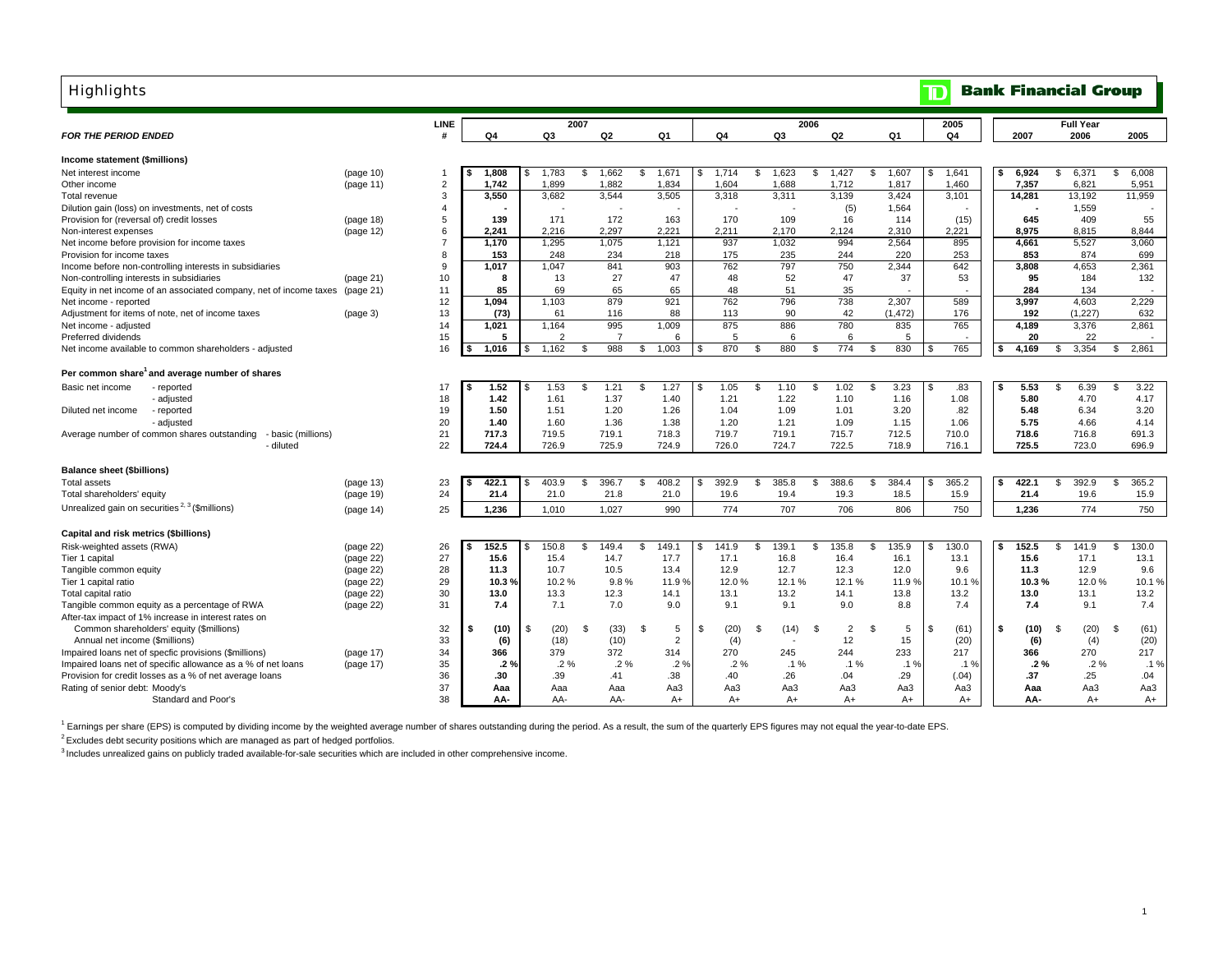| <b>Highlights</b>                                                  |           |                |       |                |                |                    |             |                   |                                       |              | $\overline{\mathbf{D}}$ | <b>Bank Financial Group</b> |                         |                        |
|--------------------------------------------------------------------|-----------|----------------|-------|----------------|----------------|--------------------|-------------|-------------------|---------------------------------------|--------------|-------------------------|-----------------------------|-------------------------|------------------------|
|                                                                    |           | <b>LINE</b>    |       | 2007           |                |                    |             | 2006              |                                       |              | 2005                    |                             | <b>Full Year</b>        |                        |
| <b>FOR THE PERIOD ENDED</b>                                        |           |                | Q4    | Q3             | Q2             | Q1                 | Q4          | Q3                | Q2                                    | Q1           | Q4                      | 2007                        | 2006                    | 2005                   |
| Income statement (\$millions)                                      |           |                |       |                |                |                    |             |                   |                                       |              |                         |                             |                         |                        |
| Net interest income                                                | (page 10) | -1             | 1,808 | 1,783          | \$<br>1,662    | \$<br>1,671        | 1,714<br>S  | s.<br>1,623       | \$<br>1,427<br>\$                     | 1,607        | 1,641                   | 6,924                       | \$<br>6,371             | \$<br>6,008            |
| Other income                                                       | (page 11) | $\overline{2}$ | 1,742 | 1,899          | 1,882          | 1,834              | 1,604       | 1,688             | 1,712                                 | 1,817        | 1,460                   | 7,357                       | 6,821                   | 5,951                  |
| Total revenue                                                      |           | 3              | 3,550 | 3,682          | 3,544          | 3,505              | 3,318       | 3,311             | 3,139                                 | 3,424        | 3,101                   | 14,281                      | 13,192                  | 11,959                 |
| Dilution gain (loss) on investments, net of costs                  |           | $\overline{4}$ |       |                |                |                    |             |                   | (5)                                   | 1,564        |                         |                             | 1,559                   |                        |
| Provision for (reversal of) credit losses                          | (page 18) | 5              | 139   | 171            | 172            | 163                | 170         | 109               | 16                                    | 114          | (15)                    | 645                         | 409                     | 55                     |
| Non-interest expenses                                              | (page 12) | 6              | 2,241 | 2.216          | 2.297          | 2.221              | 2.211       | 2.170             | 2,124                                 | 2,310        | 2,221                   | 8,975                       | 8,815                   | 8,844                  |
| Net income before provision for income taxes                       |           | $\overline{7}$ | 1,170 | 1,295          | 1,075          | 1,121              | 937         | 1,032             | 994                                   | 2,564        | 895                     | 4,661                       | 5,527                   | 3,060                  |
| Provision for income taxes                                         |           | 8              | 153   | 248            | 234            | 218                | 175         | 235               | 244                                   | 220          | 253                     | 853                         | 874                     | 699                    |
| Income before non-controlling interests in subsidiaries            |           | 9              | 1.017 | 1,047          | 841            | 903                | 762         | 797               | 750                                   | 2.344        | 642                     | 3.808                       | 4.653                   | 2,361                  |
| Non-controlling interests in subsidiaries                          | (page 21) | 10             | 8     | 13             | 27             | 47                 | 48          | 52                | 47                                    | 37           | 53                      | 95                          | 184                     | 132                    |
| Equity in net income of an associated company, net of income taxes | (paqe 21) | 11             | 85    | 69             | 65             | 65                 | 48          | 51                | 35                                    |              |                         | 284                         | 134                     |                        |
| Net income - reported                                              |           | 12             | 1,094 | 1,103          | 879            | 921                | 762         | 796               | 738                                   | 2.307        | 589                     | 3,997                       | 4,603                   | 2.229                  |
| Adjustment for items of note, net of income taxes                  | (page 3)  | 13             | (73)  | 61             | 116            | 88                 | 113         | 90                | 42                                    | (1.472)      | 176                     | 192                         | (1.227)                 | 632                    |
| Net income - adjusted                                              |           | 14             | 1.021 | 1.164          | 995            | 1.009              | 875         | 886               | 780                                   | 835          | 765                     | 4.189                       | 3.376                   | 2.861                  |
| Preferred dividends                                                |           | 15             | 5     | $\mathfrak{p}$ | $\overline{7}$ | 6                  | 5           | 6                 | 6                                     | 5            |                         | 20                          | 22                      |                        |
| Net income available to common shareholders - adjusted             |           | 16             | 1,016 | 1,162<br>\$    | 988<br>\$      | 1,003<br>\$        | 870<br>\$.  | 880<br>Ŝ.         | 774<br>\$<br>\$                       | 830          | 765                     | 4,169<br>\$                 | 3,354<br>\$             | 2,861<br>\$            |
| Per common share <sup>1</sup> and average number of shares         |           |                |       |                |                |                    |             |                   |                                       |              |                         |                             |                         |                        |
| Basic net income<br>- reported                                     |           | 17             | 1.52  | 1.53           | 1.21<br>\$     | 1.27<br>\$         | 1.05<br>S   | Ŝ.<br>1.10        | 1.02<br>\$.<br>- \$                   | 3.23         | .83                     | 5.53<br>s                   | 6.39<br>\$              | 3.22<br>\$             |
| - adjusted                                                         |           | 18             | 1.42  | 1.61           | 1.37           | 1.40               | 1.21        | 1.22              | 1.10                                  | 1.16         | 1.08                    | 5.80                        | 4.70                    | 4.17                   |
| - reported<br>Diluted net income                                   |           | 19             | 1.50  | 1.51           | 1.20           | 1.26               | 1.04        | 1.09              | 1.01                                  | 3.20         | .82                     | 5.48                        | 6.34                    | 3.20                   |
| - adjusted                                                         |           | 20             | 1.40  | 1.60           | 1.36           | 1.38               | 1.20        | 1.21              | 1.09                                  | 1.15         | 1.06                    | 5.75                        | 4.66                    | 4.14                   |
| Average number of common shares outstanding<br>- basic (millions)  |           | 21             | 717.3 | 719.5          | 719.1          | 718.3              | 719.7       | 719.1             | 715.7                                 | 712.5        | 710.0                   | 718.6                       | 716.8                   | 691.3                  |
| - diluted                                                          |           | 22             | 724.4 | 726.9          | 725.9          | 724.9              | 726.0       | 724.7             | 722.5                                 | 718.9        | 716.1                   | 725.5                       | 723.0                   | 696.9                  |
| <b>Balance sheet (\$billions)</b>                                  |           |                |       |                |                |                    |             |                   |                                       |              |                         |                             |                         |                        |
| <b>Total assets</b>                                                | (page 13) | 23             | 422.1 | 403.9<br>ፍ     | 396.7<br>\$    | 408.2<br>\$        | 392.9       | <b>S</b><br>385.8 | 388.6<br>\$<br>\$                     | 384.4        | 365.2                   | 422.1<br>\$                 | $\mathfrak{s}$<br>392.9 | 365.2<br>\$            |
| Total shareholders' equity                                         | (page 19) | 24             | 21.4  | 21.0           | 21.8           | 21.0               | 19.6        | 19.4              | 19.3                                  | 18.5         | 15.9                    | 21.4                        | 19.6                    | 15.9                   |
|                                                                    |           |                |       |                |                |                    |             |                   |                                       |              |                         |                             |                         |                        |
| Unrealized gain on securities <sup>2, 3</sup> (\$millions)         | (paqe 14) | 25             | 1,236 | 1,010          | 1,027          | 990                | 774         | 707               | 706                                   | 806          | 750                     | 1,236                       | 774                     | 750                    |
| Capital and risk metrics (\$billions)                              |           |                |       |                |                |                    |             |                   |                                       |              |                         |                             |                         |                        |
| Risk-weighted assets (RWA)                                         | (page 22) | 26             | 152.5 | 150.8          | 149.4<br>\$    | 149.1<br>\$.       | 141.9       | <b>S</b><br>139.1 | \$.<br>135.8                          | 135.9<br>\$. | 130.0                   | 152.5<br>\$                 | 141.9<br>\$             | 130.0<br>\$            |
| Tier 1 capital                                                     | (page 22) | 27             | 15.6  | 15.4           | 14.7           | 17.7               | 17.1        | 16.8              | 16.4                                  | 16.1         | 13.1                    | 15.6                        | 17.1                    | 13.1                   |
| Tangible common equity                                             | (page 22) | 28             | 11.3  | 10.7           | 10.5           | 13.4               | 12.9        | 12.7              | 12.3                                  | 12.0         | 9.6                     | 11.3                        | 12.9                    | 9.6                    |
| Tier 1 capital ratio                                               | (page 22) | 29             | 10.3% | 10.2%          | 9.8%           | 11.9%              | 12.0%       | 12.1%             | 12.1%                                 | 11.9 %       | 10.1%                   | 10.3%                       | 12.0%                   | 10.1%                  |
| Total capital ratio                                                | (page 22) | 30             | 13.0  | 13.3           | 12.3           | 14.1               | 13.1        | 13.2              | 14.1                                  | 13.8         | 13.2                    | 13.0                        | 13.1                    | 13.2                   |
| Tangible common equity as a percentage of RWA                      | (page 22) | 31             | 7.4   | 7.1            | 7.0            | 9.0                | 9.1         | 9.1               | 9.0                                   | 8.8          | 7.4                     | 7.4                         | 9.1                     | 7.4                    |
| After-tax impact of 1% increase in interest rates on               |           |                |       |                |                |                    |             |                   |                                       |              |                         |                             |                         |                        |
| Common shareholders' equity (\$millions)                           |           | 32             | (10)  | (20)<br>-9     | Ŝ.<br>(33)     | $\mathcal{S}$<br>5 | (20)<br>-96 | \$<br>(14)        | 2<br>$\mathfrak{L}$<br>$\mathfrak{L}$ | 5            | (61)                    | \$<br>(10)                  | (20)<br>Ŝ.              | $\mathfrak{s}$<br>(61) |
| Annual net income (\$millions)                                     |           | 33             | (6)   | (18)           | (10)           | $\overline{2}$     | (4)         |                   | 12                                    | 15           | (20)                    | (6)                         | (4)                     | (20)                   |
| Impaired loans net of specfic provisions (\$millions)              | (page 17) | 34             | 366   | 379            | 372            | 314                | 270         | 245               | 244                                   | 233          | 217                     | 366                         | 270                     | 217                    |
| Impaired loans net of specific allowance as a % of net loans       | (page 17) | 35             | .2 %  | .2%            | $.2\%$         | .29                | $.2\%$      | $.1\%$            | $.1\%$                                | .1%          | .1%                     | $.2\%$                      | $.2\%$                  | .1%                    |
| Provision for credit losses as a % of net average loans            |           | 36             | .30   | .39            | .41            | .38                | .40         | .26               | .04                                   | .29          | (.04)                   | .37                         | .25                     | .04                    |
| Rating of senior debt: Moody's                                     |           | 37             | Aaa   | Aaa            | Aaa            | Aa3                | Aa3         | Aa3               | Aa3                                   | Aa3          | Aa3                     | Aaa                         | АаЗ                     | Aa3                    |
| Standard and Poor's                                                |           | 38             | AA-   | AA-            | AA-            | $A+$               | $A+$        | $A+$              | $A+$                                  | $A+$         | $A+$                    | AA-                         | $A+$                    | A+                     |

1 Earnings per share (EPS) is computed by dividing income by the weighted average number of shares outstanding during the period. As a result, the sum of the quarterly EPS figures may not equal the year-to-date EPS.

<sup>2</sup> Excludes debt security positions which are managed as part of hedged portfolios.

<sup>3</sup> Includes unrealized gains on publicly traded available-for-sale securities which are included in other comprehensive income.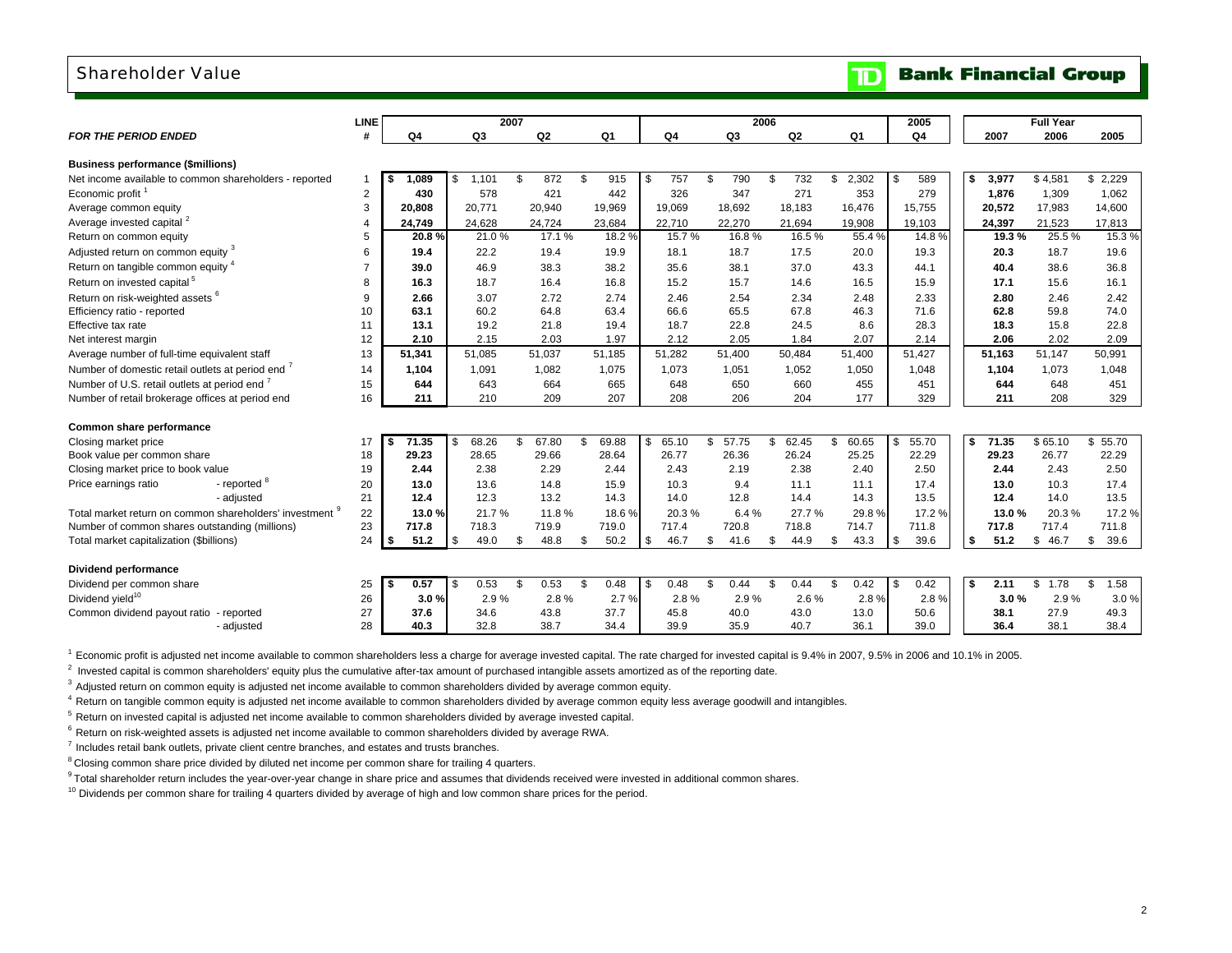### Shareholder Value

| 2007<br>2006<br>Q3<br>Q <sub>4</sub><br><b>FOR THE PERIOD ENDED</b><br>#<br>Q4<br>Q2<br>Q1<br>Q4<br>Q3<br>Q <sub>2</sub><br>Q <sub>1</sub><br>2007<br>2006<br>2005<br><b>Business performance (\$millions)</b><br>872<br>2,302<br>589<br>\$4,581<br>\$2,229<br>Net income available to common shareholders - reported<br>089<br>1.101<br>\$<br>915<br>757<br>790<br>\$<br>732<br>\$<br>\$<br>3,977<br>\$<br>\$<br>Ŝ.<br>\$<br>ŗ.<br>1<br>Economic profit <sup>1</sup><br>$\overline{2}$<br>578<br>421<br>442<br>326<br>347<br>271<br>353<br>279<br>1,876<br>1,062<br>430<br>1,309<br>3<br>20,771<br>18,183<br>16,476<br>20,572<br>20,808<br>20,940<br>19,969<br>19,069<br>18,692<br>15,755<br>17,983<br>14,600<br>Average common equity<br>Average invested capital <sup>2</sup><br>24,628<br>24,724<br>22,710<br>22,270<br>19,908<br>24,749<br>23,684<br>21,694<br>19,103<br>24,397<br>21,523<br>17,813<br>$\overline{4}$<br>17.1%<br>15.3%<br>21.0%<br>18.2%<br>15.7%<br>16.8%<br>16.5%<br>55.4%<br>14.8%<br>19.3%<br>25.5%<br>Return on common equity<br>5<br>20.8%<br>Adjusted return on common equity 3<br>22.2<br>19.4<br>17.5<br>20.0<br>20.3<br>18.7<br>19.6<br>6<br>19.4<br>19.9<br>18.1<br>18.7<br>19.3<br>Return on tangible common equity 4<br>39.0<br>46.9<br>38.3<br>38.2<br>35.6<br>38.1<br>37.0<br>43.3<br>40.4<br>38.6<br>36.8<br>44.1<br>Return on invested capital <sup>5</sup><br>16.4<br>16.8<br>16.5<br>15.6<br>16.1<br>16.3<br>18.7<br>15.2<br>15.7<br>14.6<br>15.9<br>17.1<br>Return on risk-weighted assets <sup>6</sup><br>2.72<br>2.66<br>3.07<br>2.74<br>2.46<br>2.54<br>2.34<br>2.48<br>2.33<br>2.80<br>2.46<br>2.42<br>9<br>Efficiency ratio - reported<br>60.2<br>64.8<br>63.4<br>66.6<br>65.5<br>67.8<br>46.3<br>71.6<br>62.8<br>59.8<br>74.0<br>10<br>63.1<br>19.2<br>22.8<br>28.3<br>22.8<br>Effective tax rate<br>13.1<br>21.8<br>19.4<br>18.7<br>24.5<br>8.6<br>18.3<br>15.8<br>11<br>2.15<br>2.03<br>1.97<br>2.09<br>12<br>2.10<br>2.12<br>2.05<br>1.84<br>2.07<br>2.14<br>2.06<br>2.02<br>Net interest margin<br>51,085<br>51,037<br>50,484<br>51,427<br>51,147<br>50,991<br>Average number of full-time equivalent staff<br>13<br>51,185<br>51,282<br>51,400<br>51,400<br>51,163<br>51,341<br>Number of domestic retail outlets at period end<br>1,091<br>1,082<br>1,075<br>1,073<br>1,050<br>1,048<br>1,104<br>1,073<br>1,048<br>14<br>1,104<br>1,051<br>1,052<br>Number of U.S. retail outlets at period end<br>665<br>455<br>15<br>644<br>643<br>664<br>648<br>650<br>660<br>644<br>648<br>451<br>451<br>209<br>207<br>208<br>204<br>177<br>Number of retail brokerage offices at period end<br>16<br>211<br>210<br>206<br>329<br>211<br>208<br>329<br>Common share performance<br>68.26<br>67.80<br>69.88<br>65.10<br>57.75<br>\$<br>62.45<br>55.70<br>71.35<br>\$65.10<br>\$<br>55.70<br>71.35<br>\$<br>\$<br>\$<br>\$<br>60.65<br>\$<br>Closing market price<br>\$<br>17<br>\$.<br>-S<br>28.64<br>26.24<br>29.23<br>28.65<br>29.66<br>26.77<br>26.36<br>25.25<br>22.29<br>29.23<br>26.77<br>22.29<br>Book value per common share<br>18<br>2.29<br>2.38<br>2.40<br>2.50<br>Closing market price to book value<br>19<br>2.44<br>2.38<br>2.44<br>2.43<br>2.19<br>2.50<br>2.44<br>2.43<br>17.4<br>- reported <sup>8</sup><br>20<br>13.0<br>13.6<br>14.8<br>15.9<br>10.3<br>9.4<br>11.1<br>11.1<br>17.4<br>13.0<br>10.3<br>Price earnings ratio<br>21<br>12.3<br>13.2<br>14.3<br>14.0<br>12.8<br>14.4<br>14.3<br>13.5<br>12.4<br>14.0<br>13.5<br>- adjusted<br>12.4<br>22<br>21.7%<br>11.8%<br>6.4%<br>27.7%<br>29.8%<br>17.2%<br>Total market return on common shareholders' investment <sup>9</sup><br>13.0 %<br>18.6%<br>20.3%<br>17.2%<br>13.0%<br>20.3%<br>23<br>719.9<br>717.4<br>720.8<br>718.8<br>717.8<br>717.4<br>711.8<br>Number of common shares outstanding (millions)<br>717.8<br>718.3<br>719.0<br>714.7<br>711.8<br>49.0<br>50.2<br>46.7<br>43.3<br>51.2<br>39.6<br>Total market capitalization (\$billions)<br>24<br>51.2<br>\$<br>\$<br>48.8<br>\$<br>\$<br>\$<br>41.6<br>\$<br>44.9<br>\$<br>-\$<br>39.6<br>\$<br>\$46.7<br>\$<br>S<br><b>Dividend performance</b><br>0.57<br>0.53<br>\$<br>0.53<br>0.48<br>0.48<br>0.44<br>0.42<br>0.42<br>2.11<br>1.78<br>1.58<br>\$<br>\$<br>0.44<br>\$<br>S.<br>\$<br>\$<br>\$<br>Dividend per common share<br>Ŝ.<br>\$<br>25<br>\$<br>Dividend yield <sup>10</sup><br>2.8%<br>26<br>3.0%<br>2.9%<br>2.7%<br>2.8%<br>2.9%<br>2.6%<br>2.8%<br>2.8%<br>3.0%<br>2.9%<br>3.0%<br>27<br>37.7<br>27.9<br>Common dividend payout ratio - reported<br>37.6<br>34.6<br>43.8<br>45.8<br>40.0<br>43.0<br>13.0<br>50.6<br>49.3<br>38.1<br>38.4<br>28<br>40.3<br>32.8<br>38.7<br>34.4<br>39.9<br>35.9<br>40.7<br>36.1<br>39.0<br>36.4<br>38.1<br>- adjusted |             |  |  |  |  |      |                  |  |
|-----------------------------------------------------------------------------------------------------------------------------------------------------------------------------------------------------------------------------------------------------------------------------------------------------------------------------------------------------------------------------------------------------------------------------------------------------------------------------------------------------------------------------------------------------------------------------------------------------------------------------------------------------------------------------------------------------------------------------------------------------------------------------------------------------------------------------------------------------------------------------------------------------------------------------------------------------------------------------------------------------------------------------------------------------------------------------------------------------------------------------------------------------------------------------------------------------------------------------------------------------------------------------------------------------------------------------------------------------------------------------------------------------------------------------------------------------------------------------------------------------------------------------------------------------------------------------------------------------------------------------------------------------------------------------------------------------------------------------------------------------------------------------------------------------------------------------------------------------------------------------------------------------------------------------------------------------------------------------------------------------------------------------------------------------------------------------------------------------------------------------------------------------------------------------------------------------------------------------------------------------------------------------------------------------------------------------------------------------------------------------------------------------------------------------------------------------------------------------------------------------------------------------------------------------------------------------------------------------------------------------------------------------------------------------------------------------------------------------------------------------------------------------------------------------------------------------------------------------------------------------------------------------------------------------------------------------------------------------------------------------------------------------------------------------------------------------------------------------------------------------------------------------------------------------------------------------------------------------------------------------------------------------------------------------------------------------------------------------------------------------------------------------------------------------------------------------------------------------------------------------------------------------------------------------------------------------------------------------------------------------------------------------------------------------------------------------------------------------------------------------------------------------------------------------------------------------------------------------------------------------------------------------------------------------------------------------------------------------------------------------------------------------------------------------------------------------------------------------------------------------------------------------------------------------------------------------------------------------------------------------------------------------------------------------------------------------------------------------------------------------------------------------------------------------------------------------------------------------------------------------------------------------------------------------------------------------------------------------------------------------------------------------------------------------------------------------------------------------------------------|-------------|--|--|--|--|------|------------------|--|
|                                                                                                                                                                                                                                                                                                                                                                                                                                                                                                                                                                                                                                                                                                                                                                                                                                                                                                                                                                                                                                                                                                                                                                                                                                                                                                                                                                                                                                                                                                                                                                                                                                                                                                                                                                                                                                                                                                                                                                                                                                                                                                                                                                                                                                                                                                                                                                                                                                                                                                                                                                                                                                                                                                                                                                                                                                                                                                                                                                                                                                                                                                                                                                                                                                                                                                                                                                                                                                                                                                                                                                                                                                                                                                                                                                                                                                                                                                                                                                                                                                                                                                                                                                                                                                                                                                                                                                                                                                                                                                                                                                                                                                                                                                                                               | <b>LINE</b> |  |  |  |  | 2005 | <b>Full Year</b> |  |
|                                                                                                                                                                                                                                                                                                                                                                                                                                                                                                                                                                                                                                                                                                                                                                                                                                                                                                                                                                                                                                                                                                                                                                                                                                                                                                                                                                                                                                                                                                                                                                                                                                                                                                                                                                                                                                                                                                                                                                                                                                                                                                                                                                                                                                                                                                                                                                                                                                                                                                                                                                                                                                                                                                                                                                                                                                                                                                                                                                                                                                                                                                                                                                                                                                                                                                                                                                                                                                                                                                                                                                                                                                                                                                                                                                                                                                                                                                                                                                                                                                                                                                                                                                                                                                                                                                                                                                                                                                                                                                                                                                                                                                                                                                                                               |             |  |  |  |  |      |                  |  |
|                                                                                                                                                                                                                                                                                                                                                                                                                                                                                                                                                                                                                                                                                                                                                                                                                                                                                                                                                                                                                                                                                                                                                                                                                                                                                                                                                                                                                                                                                                                                                                                                                                                                                                                                                                                                                                                                                                                                                                                                                                                                                                                                                                                                                                                                                                                                                                                                                                                                                                                                                                                                                                                                                                                                                                                                                                                                                                                                                                                                                                                                                                                                                                                                                                                                                                                                                                                                                                                                                                                                                                                                                                                                                                                                                                                                                                                                                                                                                                                                                                                                                                                                                                                                                                                                                                                                                                                                                                                                                                                                                                                                                                                                                                                                               |             |  |  |  |  |      |                  |  |
|                                                                                                                                                                                                                                                                                                                                                                                                                                                                                                                                                                                                                                                                                                                                                                                                                                                                                                                                                                                                                                                                                                                                                                                                                                                                                                                                                                                                                                                                                                                                                                                                                                                                                                                                                                                                                                                                                                                                                                                                                                                                                                                                                                                                                                                                                                                                                                                                                                                                                                                                                                                                                                                                                                                                                                                                                                                                                                                                                                                                                                                                                                                                                                                                                                                                                                                                                                                                                                                                                                                                                                                                                                                                                                                                                                                                                                                                                                                                                                                                                                                                                                                                                                                                                                                                                                                                                                                                                                                                                                                                                                                                                                                                                                                                               |             |  |  |  |  |      |                  |  |
|                                                                                                                                                                                                                                                                                                                                                                                                                                                                                                                                                                                                                                                                                                                                                                                                                                                                                                                                                                                                                                                                                                                                                                                                                                                                                                                                                                                                                                                                                                                                                                                                                                                                                                                                                                                                                                                                                                                                                                                                                                                                                                                                                                                                                                                                                                                                                                                                                                                                                                                                                                                                                                                                                                                                                                                                                                                                                                                                                                                                                                                                                                                                                                                                                                                                                                                                                                                                                                                                                                                                                                                                                                                                                                                                                                                                                                                                                                                                                                                                                                                                                                                                                                                                                                                                                                                                                                                                                                                                                                                                                                                                                                                                                                                                               |             |  |  |  |  |      |                  |  |
|                                                                                                                                                                                                                                                                                                                                                                                                                                                                                                                                                                                                                                                                                                                                                                                                                                                                                                                                                                                                                                                                                                                                                                                                                                                                                                                                                                                                                                                                                                                                                                                                                                                                                                                                                                                                                                                                                                                                                                                                                                                                                                                                                                                                                                                                                                                                                                                                                                                                                                                                                                                                                                                                                                                                                                                                                                                                                                                                                                                                                                                                                                                                                                                                                                                                                                                                                                                                                                                                                                                                                                                                                                                                                                                                                                                                                                                                                                                                                                                                                                                                                                                                                                                                                                                                                                                                                                                                                                                                                                                                                                                                                                                                                                                                               |             |  |  |  |  |      |                  |  |
|                                                                                                                                                                                                                                                                                                                                                                                                                                                                                                                                                                                                                                                                                                                                                                                                                                                                                                                                                                                                                                                                                                                                                                                                                                                                                                                                                                                                                                                                                                                                                                                                                                                                                                                                                                                                                                                                                                                                                                                                                                                                                                                                                                                                                                                                                                                                                                                                                                                                                                                                                                                                                                                                                                                                                                                                                                                                                                                                                                                                                                                                                                                                                                                                                                                                                                                                                                                                                                                                                                                                                                                                                                                                                                                                                                                                                                                                                                                                                                                                                                                                                                                                                                                                                                                                                                                                                                                                                                                                                                                                                                                                                                                                                                                                               |             |  |  |  |  |      |                  |  |
|                                                                                                                                                                                                                                                                                                                                                                                                                                                                                                                                                                                                                                                                                                                                                                                                                                                                                                                                                                                                                                                                                                                                                                                                                                                                                                                                                                                                                                                                                                                                                                                                                                                                                                                                                                                                                                                                                                                                                                                                                                                                                                                                                                                                                                                                                                                                                                                                                                                                                                                                                                                                                                                                                                                                                                                                                                                                                                                                                                                                                                                                                                                                                                                                                                                                                                                                                                                                                                                                                                                                                                                                                                                                                                                                                                                                                                                                                                                                                                                                                                                                                                                                                                                                                                                                                                                                                                                                                                                                                                                                                                                                                                                                                                                                               |             |  |  |  |  |      |                  |  |
|                                                                                                                                                                                                                                                                                                                                                                                                                                                                                                                                                                                                                                                                                                                                                                                                                                                                                                                                                                                                                                                                                                                                                                                                                                                                                                                                                                                                                                                                                                                                                                                                                                                                                                                                                                                                                                                                                                                                                                                                                                                                                                                                                                                                                                                                                                                                                                                                                                                                                                                                                                                                                                                                                                                                                                                                                                                                                                                                                                                                                                                                                                                                                                                                                                                                                                                                                                                                                                                                                                                                                                                                                                                                                                                                                                                                                                                                                                                                                                                                                                                                                                                                                                                                                                                                                                                                                                                                                                                                                                                                                                                                                                                                                                                                               |             |  |  |  |  |      |                  |  |
|                                                                                                                                                                                                                                                                                                                                                                                                                                                                                                                                                                                                                                                                                                                                                                                                                                                                                                                                                                                                                                                                                                                                                                                                                                                                                                                                                                                                                                                                                                                                                                                                                                                                                                                                                                                                                                                                                                                                                                                                                                                                                                                                                                                                                                                                                                                                                                                                                                                                                                                                                                                                                                                                                                                                                                                                                                                                                                                                                                                                                                                                                                                                                                                                                                                                                                                                                                                                                                                                                                                                                                                                                                                                                                                                                                                                                                                                                                                                                                                                                                                                                                                                                                                                                                                                                                                                                                                                                                                                                                                                                                                                                                                                                                                                               |             |  |  |  |  |      |                  |  |
|                                                                                                                                                                                                                                                                                                                                                                                                                                                                                                                                                                                                                                                                                                                                                                                                                                                                                                                                                                                                                                                                                                                                                                                                                                                                                                                                                                                                                                                                                                                                                                                                                                                                                                                                                                                                                                                                                                                                                                                                                                                                                                                                                                                                                                                                                                                                                                                                                                                                                                                                                                                                                                                                                                                                                                                                                                                                                                                                                                                                                                                                                                                                                                                                                                                                                                                                                                                                                                                                                                                                                                                                                                                                                                                                                                                                                                                                                                                                                                                                                                                                                                                                                                                                                                                                                                                                                                                                                                                                                                                                                                                                                                                                                                                                               |             |  |  |  |  |      |                  |  |
|                                                                                                                                                                                                                                                                                                                                                                                                                                                                                                                                                                                                                                                                                                                                                                                                                                                                                                                                                                                                                                                                                                                                                                                                                                                                                                                                                                                                                                                                                                                                                                                                                                                                                                                                                                                                                                                                                                                                                                                                                                                                                                                                                                                                                                                                                                                                                                                                                                                                                                                                                                                                                                                                                                                                                                                                                                                                                                                                                                                                                                                                                                                                                                                                                                                                                                                                                                                                                                                                                                                                                                                                                                                                                                                                                                                                                                                                                                                                                                                                                                                                                                                                                                                                                                                                                                                                                                                                                                                                                                                                                                                                                                                                                                                                               |             |  |  |  |  |      |                  |  |
|                                                                                                                                                                                                                                                                                                                                                                                                                                                                                                                                                                                                                                                                                                                                                                                                                                                                                                                                                                                                                                                                                                                                                                                                                                                                                                                                                                                                                                                                                                                                                                                                                                                                                                                                                                                                                                                                                                                                                                                                                                                                                                                                                                                                                                                                                                                                                                                                                                                                                                                                                                                                                                                                                                                                                                                                                                                                                                                                                                                                                                                                                                                                                                                                                                                                                                                                                                                                                                                                                                                                                                                                                                                                                                                                                                                                                                                                                                                                                                                                                                                                                                                                                                                                                                                                                                                                                                                                                                                                                                                                                                                                                                                                                                                                               |             |  |  |  |  |      |                  |  |
|                                                                                                                                                                                                                                                                                                                                                                                                                                                                                                                                                                                                                                                                                                                                                                                                                                                                                                                                                                                                                                                                                                                                                                                                                                                                                                                                                                                                                                                                                                                                                                                                                                                                                                                                                                                                                                                                                                                                                                                                                                                                                                                                                                                                                                                                                                                                                                                                                                                                                                                                                                                                                                                                                                                                                                                                                                                                                                                                                                                                                                                                                                                                                                                                                                                                                                                                                                                                                                                                                                                                                                                                                                                                                                                                                                                                                                                                                                                                                                                                                                                                                                                                                                                                                                                                                                                                                                                                                                                                                                                                                                                                                                                                                                                                               |             |  |  |  |  |      |                  |  |
|                                                                                                                                                                                                                                                                                                                                                                                                                                                                                                                                                                                                                                                                                                                                                                                                                                                                                                                                                                                                                                                                                                                                                                                                                                                                                                                                                                                                                                                                                                                                                                                                                                                                                                                                                                                                                                                                                                                                                                                                                                                                                                                                                                                                                                                                                                                                                                                                                                                                                                                                                                                                                                                                                                                                                                                                                                                                                                                                                                                                                                                                                                                                                                                                                                                                                                                                                                                                                                                                                                                                                                                                                                                                                                                                                                                                                                                                                                                                                                                                                                                                                                                                                                                                                                                                                                                                                                                                                                                                                                                                                                                                                                                                                                                                               |             |  |  |  |  |      |                  |  |
|                                                                                                                                                                                                                                                                                                                                                                                                                                                                                                                                                                                                                                                                                                                                                                                                                                                                                                                                                                                                                                                                                                                                                                                                                                                                                                                                                                                                                                                                                                                                                                                                                                                                                                                                                                                                                                                                                                                                                                                                                                                                                                                                                                                                                                                                                                                                                                                                                                                                                                                                                                                                                                                                                                                                                                                                                                                                                                                                                                                                                                                                                                                                                                                                                                                                                                                                                                                                                                                                                                                                                                                                                                                                                                                                                                                                                                                                                                                                                                                                                                                                                                                                                                                                                                                                                                                                                                                                                                                                                                                                                                                                                                                                                                                                               |             |  |  |  |  |      |                  |  |
|                                                                                                                                                                                                                                                                                                                                                                                                                                                                                                                                                                                                                                                                                                                                                                                                                                                                                                                                                                                                                                                                                                                                                                                                                                                                                                                                                                                                                                                                                                                                                                                                                                                                                                                                                                                                                                                                                                                                                                                                                                                                                                                                                                                                                                                                                                                                                                                                                                                                                                                                                                                                                                                                                                                                                                                                                                                                                                                                                                                                                                                                                                                                                                                                                                                                                                                                                                                                                                                                                                                                                                                                                                                                                                                                                                                                                                                                                                                                                                                                                                                                                                                                                                                                                                                                                                                                                                                                                                                                                                                                                                                                                                                                                                                                               |             |  |  |  |  |      |                  |  |
|                                                                                                                                                                                                                                                                                                                                                                                                                                                                                                                                                                                                                                                                                                                                                                                                                                                                                                                                                                                                                                                                                                                                                                                                                                                                                                                                                                                                                                                                                                                                                                                                                                                                                                                                                                                                                                                                                                                                                                                                                                                                                                                                                                                                                                                                                                                                                                                                                                                                                                                                                                                                                                                                                                                                                                                                                                                                                                                                                                                                                                                                                                                                                                                                                                                                                                                                                                                                                                                                                                                                                                                                                                                                                                                                                                                                                                                                                                                                                                                                                                                                                                                                                                                                                                                                                                                                                                                                                                                                                                                                                                                                                                                                                                                                               |             |  |  |  |  |      |                  |  |
|                                                                                                                                                                                                                                                                                                                                                                                                                                                                                                                                                                                                                                                                                                                                                                                                                                                                                                                                                                                                                                                                                                                                                                                                                                                                                                                                                                                                                                                                                                                                                                                                                                                                                                                                                                                                                                                                                                                                                                                                                                                                                                                                                                                                                                                                                                                                                                                                                                                                                                                                                                                                                                                                                                                                                                                                                                                                                                                                                                                                                                                                                                                                                                                                                                                                                                                                                                                                                                                                                                                                                                                                                                                                                                                                                                                                                                                                                                                                                                                                                                                                                                                                                                                                                                                                                                                                                                                                                                                                                                                                                                                                                                                                                                                                               |             |  |  |  |  |      |                  |  |
|                                                                                                                                                                                                                                                                                                                                                                                                                                                                                                                                                                                                                                                                                                                                                                                                                                                                                                                                                                                                                                                                                                                                                                                                                                                                                                                                                                                                                                                                                                                                                                                                                                                                                                                                                                                                                                                                                                                                                                                                                                                                                                                                                                                                                                                                                                                                                                                                                                                                                                                                                                                                                                                                                                                                                                                                                                                                                                                                                                                                                                                                                                                                                                                                                                                                                                                                                                                                                                                                                                                                                                                                                                                                                                                                                                                                                                                                                                                                                                                                                                                                                                                                                                                                                                                                                                                                                                                                                                                                                                                                                                                                                                                                                                                                               |             |  |  |  |  |      |                  |  |
|                                                                                                                                                                                                                                                                                                                                                                                                                                                                                                                                                                                                                                                                                                                                                                                                                                                                                                                                                                                                                                                                                                                                                                                                                                                                                                                                                                                                                                                                                                                                                                                                                                                                                                                                                                                                                                                                                                                                                                                                                                                                                                                                                                                                                                                                                                                                                                                                                                                                                                                                                                                                                                                                                                                                                                                                                                                                                                                                                                                                                                                                                                                                                                                                                                                                                                                                                                                                                                                                                                                                                                                                                                                                                                                                                                                                                                                                                                                                                                                                                                                                                                                                                                                                                                                                                                                                                                                                                                                                                                                                                                                                                                                                                                                                               |             |  |  |  |  |      |                  |  |
|                                                                                                                                                                                                                                                                                                                                                                                                                                                                                                                                                                                                                                                                                                                                                                                                                                                                                                                                                                                                                                                                                                                                                                                                                                                                                                                                                                                                                                                                                                                                                                                                                                                                                                                                                                                                                                                                                                                                                                                                                                                                                                                                                                                                                                                                                                                                                                                                                                                                                                                                                                                                                                                                                                                                                                                                                                                                                                                                                                                                                                                                                                                                                                                                                                                                                                                                                                                                                                                                                                                                                                                                                                                                                                                                                                                                                                                                                                                                                                                                                                                                                                                                                                                                                                                                                                                                                                                                                                                                                                                                                                                                                                                                                                                                               |             |  |  |  |  |      |                  |  |
|                                                                                                                                                                                                                                                                                                                                                                                                                                                                                                                                                                                                                                                                                                                                                                                                                                                                                                                                                                                                                                                                                                                                                                                                                                                                                                                                                                                                                                                                                                                                                                                                                                                                                                                                                                                                                                                                                                                                                                                                                                                                                                                                                                                                                                                                                                                                                                                                                                                                                                                                                                                                                                                                                                                                                                                                                                                                                                                                                                                                                                                                                                                                                                                                                                                                                                                                                                                                                                                                                                                                                                                                                                                                                                                                                                                                                                                                                                                                                                                                                                                                                                                                                                                                                                                                                                                                                                                                                                                                                                                                                                                                                                                                                                                                               |             |  |  |  |  |      |                  |  |
|                                                                                                                                                                                                                                                                                                                                                                                                                                                                                                                                                                                                                                                                                                                                                                                                                                                                                                                                                                                                                                                                                                                                                                                                                                                                                                                                                                                                                                                                                                                                                                                                                                                                                                                                                                                                                                                                                                                                                                                                                                                                                                                                                                                                                                                                                                                                                                                                                                                                                                                                                                                                                                                                                                                                                                                                                                                                                                                                                                                                                                                                                                                                                                                                                                                                                                                                                                                                                                                                                                                                                                                                                                                                                                                                                                                                                                                                                                                                                                                                                                                                                                                                                                                                                                                                                                                                                                                                                                                                                                                                                                                                                                                                                                                                               |             |  |  |  |  |      |                  |  |
|                                                                                                                                                                                                                                                                                                                                                                                                                                                                                                                                                                                                                                                                                                                                                                                                                                                                                                                                                                                                                                                                                                                                                                                                                                                                                                                                                                                                                                                                                                                                                                                                                                                                                                                                                                                                                                                                                                                                                                                                                                                                                                                                                                                                                                                                                                                                                                                                                                                                                                                                                                                                                                                                                                                                                                                                                                                                                                                                                                                                                                                                                                                                                                                                                                                                                                                                                                                                                                                                                                                                                                                                                                                                                                                                                                                                                                                                                                                                                                                                                                                                                                                                                                                                                                                                                                                                                                                                                                                                                                                                                                                                                                                                                                                                               |             |  |  |  |  |      |                  |  |
|                                                                                                                                                                                                                                                                                                                                                                                                                                                                                                                                                                                                                                                                                                                                                                                                                                                                                                                                                                                                                                                                                                                                                                                                                                                                                                                                                                                                                                                                                                                                                                                                                                                                                                                                                                                                                                                                                                                                                                                                                                                                                                                                                                                                                                                                                                                                                                                                                                                                                                                                                                                                                                                                                                                                                                                                                                                                                                                                                                                                                                                                                                                                                                                                                                                                                                                                                                                                                                                                                                                                                                                                                                                                                                                                                                                                                                                                                                                                                                                                                                                                                                                                                                                                                                                                                                                                                                                                                                                                                                                                                                                                                                                                                                                                               |             |  |  |  |  |      |                  |  |
|                                                                                                                                                                                                                                                                                                                                                                                                                                                                                                                                                                                                                                                                                                                                                                                                                                                                                                                                                                                                                                                                                                                                                                                                                                                                                                                                                                                                                                                                                                                                                                                                                                                                                                                                                                                                                                                                                                                                                                                                                                                                                                                                                                                                                                                                                                                                                                                                                                                                                                                                                                                                                                                                                                                                                                                                                                                                                                                                                                                                                                                                                                                                                                                                                                                                                                                                                                                                                                                                                                                                                                                                                                                                                                                                                                                                                                                                                                                                                                                                                                                                                                                                                                                                                                                                                                                                                                                                                                                                                                                                                                                                                                                                                                                                               |             |  |  |  |  |      |                  |  |
|                                                                                                                                                                                                                                                                                                                                                                                                                                                                                                                                                                                                                                                                                                                                                                                                                                                                                                                                                                                                                                                                                                                                                                                                                                                                                                                                                                                                                                                                                                                                                                                                                                                                                                                                                                                                                                                                                                                                                                                                                                                                                                                                                                                                                                                                                                                                                                                                                                                                                                                                                                                                                                                                                                                                                                                                                                                                                                                                                                                                                                                                                                                                                                                                                                                                                                                                                                                                                                                                                                                                                                                                                                                                                                                                                                                                                                                                                                                                                                                                                                                                                                                                                                                                                                                                                                                                                                                                                                                                                                                                                                                                                                                                                                                                               |             |  |  |  |  |      |                  |  |
|                                                                                                                                                                                                                                                                                                                                                                                                                                                                                                                                                                                                                                                                                                                                                                                                                                                                                                                                                                                                                                                                                                                                                                                                                                                                                                                                                                                                                                                                                                                                                                                                                                                                                                                                                                                                                                                                                                                                                                                                                                                                                                                                                                                                                                                                                                                                                                                                                                                                                                                                                                                                                                                                                                                                                                                                                                                                                                                                                                                                                                                                                                                                                                                                                                                                                                                                                                                                                                                                                                                                                                                                                                                                                                                                                                                                                                                                                                                                                                                                                                                                                                                                                                                                                                                                                                                                                                                                                                                                                                                                                                                                                                                                                                                                               |             |  |  |  |  |      |                  |  |
|                                                                                                                                                                                                                                                                                                                                                                                                                                                                                                                                                                                                                                                                                                                                                                                                                                                                                                                                                                                                                                                                                                                                                                                                                                                                                                                                                                                                                                                                                                                                                                                                                                                                                                                                                                                                                                                                                                                                                                                                                                                                                                                                                                                                                                                                                                                                                                                                                                                                                                                                                                                                                                                                                                                                                                                                                                                                                                                                                                                                                                                                                                                                                                                                                                                                                                                                                                                                                                                                                                                                                                                                                                                                                                                                                                                                                                                                                                                                                                                                                                                                                                                                                                                                                                                                                                                                                                                                                                                                                                                                                                                                                                                                                                                                               |             |  |  |  |  |      |                  |  |
|                                                                                                                                                                                                                                                                                                                                                                                                                                                                                                                                                                                                                                                                                                                                                                                                                                                                                                                                                                                                                                                                                                                                                                                                                                                                                                                                                                                                                                                                                                                                                                                                                                                                                                                                                                                                                                                                                                                                                                                                                                                                                                                                                                                                                                                                                                                                                                                                                                                                                                                                                                                                                                                                                                                                                                                                                                                                                                                                                                                                                                                                                                                                                                                                                                                                                                                                                                                                                                                                                                                                                                                                                                                                                                                                                                                                                                                                                                                                                                                                                                                                                                                                                                                                                                                                                                                                                                                                                                                                                                                                                                                                                                                                                                                                               |             |  |  |  |  |      |                  |  |
|                                                                                                                                                                                                                                                                                                                                                                                                                                                                                                                                                                                                                                                                                                                                                                                                                                                                                                                                                                                                                                                                                                                                                                                                                                                                                                                                                                                                                                                                                                                                                                                                                                                                                                                                                                                                                                                                                                                                                                                                                                                                                                                                                                                                                                                                                                                                                                                                                                                                                                                                                                                                                                                                                                                                                                                                                                                                                                                                                                                                                                                                                                                                                                                                                                                                                                                                                                                                                                                                                                                                                                                                                                                                                                                                                                                                                                                                                                                                                                                                                                                                                                                                                                                                                                                                                                                                                                                                                                                                                                                                                                                                                                                                                                                                               |             |  |  |  |  |      |                  |  |
|                                                                                                                                                                                                                                                                                                                                                                                                                                                                                                                                                                                                                                                                                                                                                                                                                                                                                                                                                                                                                                                                                                                                                                                                                                                                                                                                                                                                                                                                                                                                                                                                                                                                                                                                                                                                                                                                                                                                                                                                                                                                                                                                                                                                                                                                                                                                                                                                                                                                                                                                                                                                                                                                                                                                                                                                                                                                                                                                                                                                                                                                                                                                                                                                                                                                                                                                                                                                                                                                                                                                                                                                                                                                                                                                                                                                                                                                                                                                                                                                                                                                                                                                                                                                                                                                                                                                                                                                                                                                                                                                                                                                                                                                                                                                               |             |  |  |  |  |      |                  |  |
|                                                                                                                                                                                                                                                                                                                                                                                                                                                                                                                                                                                                                                                                                                                                                                                                                                                                                                                                                                                                                                                                                                                                                                                                                                                                                                                                                                                                                                                                                                                                                                                                                                                                                                                                                                                                                                                                                                                                                                                                                                                                                                                                                                                                                                                                                                                                                                                                                                                                                                                                                                                                                                                                                                                                                                                                                                                                                                                                                                                                                                                                                                                                                                                                                                                                                                                                                                                                                                                                                                                                                                                                                                                                                                                                                                                                                                                                                                                                                                                                                                                                                                                                                                                                                                                                                                                                                                                                                                                                                                                                                                                                                                                                                                                                               |             |  |  |  |  |      |                  |  |
|                                                                                                                                                                                                                                                                                                                                                                                                                                                                                                                                                                                                                                                                                                                                                                                                                                                                                                                                                                                                                                                                                                                                                                                                                                                                                                                                                                                                                                                                                                                                                                                                                                                                                                                                                                                                                                                                                                                                                                                                                                                                                                                                                                                                                                                                                                                                                                                                                                                                                                                                                                                                                                                                                                                                                                                                                                                                                                                                                                                                                                                                                                                                                                                                                                                                                                                                                                                                                                                                                                                                                                                                                                                                                                                                                                                                                                                                                                                                                                                                                                                                                                                                                                                                                                                                                                                                                                                                                                                                                                                                                                                                                                                                                                                                               |             |  |  |  |  |      |                  |  |

 $1$  Economic profit is adjusted net income available to common shareholders less a charge for average invested capital. The rate charged for invested capital is 9.4% in 2007, 9.5% in 2006 and 10.1% in 2005.

 $2$  Invested capital is common shareholders' equity plus the cumulative after-tax amount of purchased intangible assets amortized as of the reporting date.

<sup>3</sup> Adjusted return on common equity is adjusted net income available to common shareholders divided by average common equity.

<sup>4</sup> Return on tangible common equity is adjusted net income available to common shareholders divided by average common equity less average goodwill and intangibles.

<sup>5</sup> Return on invested capital is adjusted net income available to common shareholders divided by average invested capital.

 $6$  Return on risk-weighted assets is adjusted net income available to common shareholders divided by average RWA.

 $<sup>7</sup>$  Includes retail bank outlets, private client centre branches, and estates and trusts branches.</sup>

<sup>8</sup> Closing common share price divided by diluted net income per common share for trailing 4 quarters.

9 Total shareholder return includes the year-over-year change in share price and assumes that dividends received were invested in additional common shares.

 $10$  Dividends per common share for trailing 4 quarters divided by average of high and low common share prices for the period.

**TD** Bank Financial Group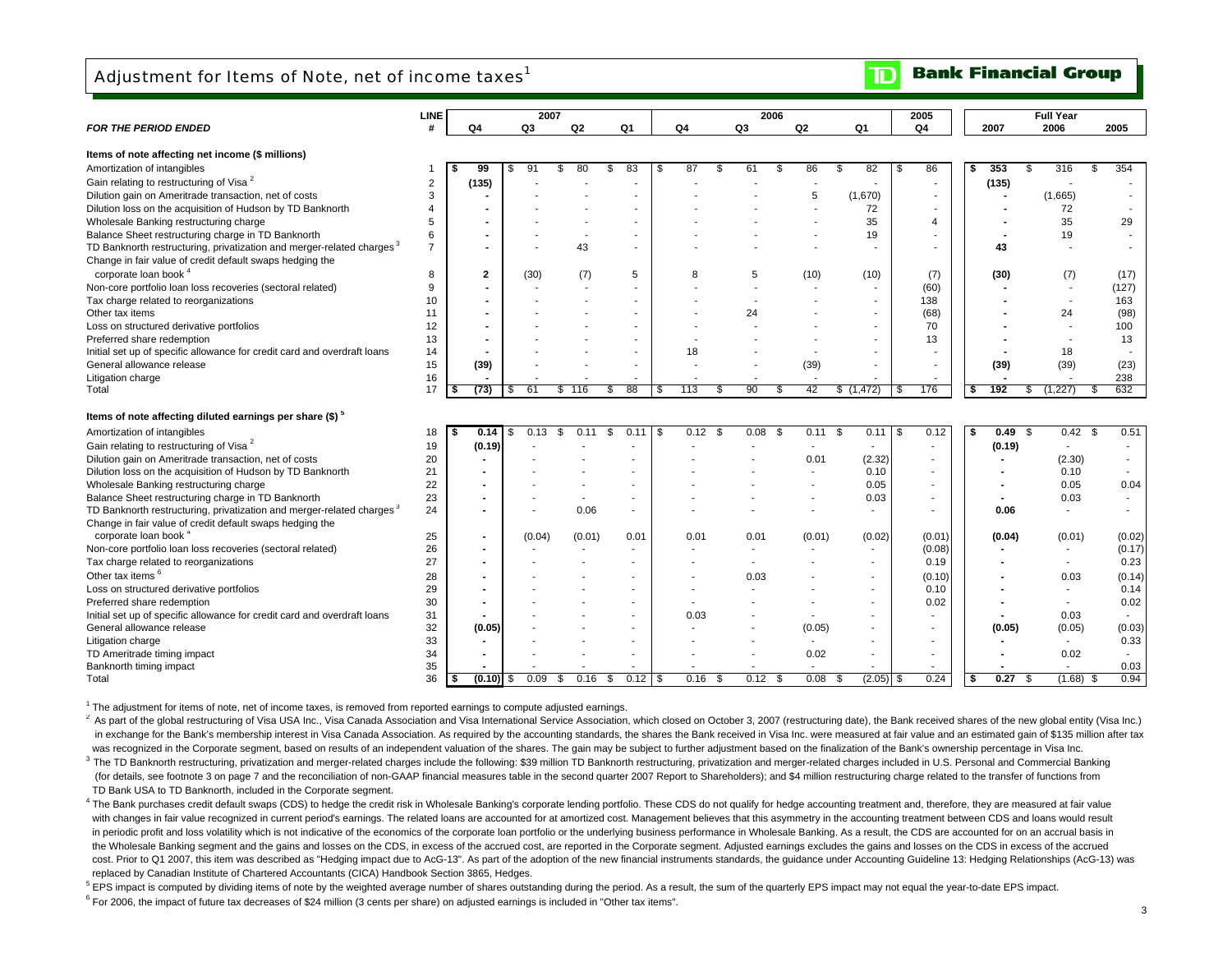### Adjustment for Items of Note, net of income taxes<sup>1</sup>

|                                                                                   | LINE           |                |            | 2007           |              |                |             |                          | 2006 |                    |                          | 2005                            |                         | <b>Full Year</b>         |             |
|-----------------------------------------------------------------------------------|----------------|----------------|------------|----------------|--------------|----------------|-------------|--------------------------|------|--------------------|--------------------------|---------------------------------|-------------------------|--------------------------|-------------|
| <b>FOR THE PERIOD ENDED</b>                                                       | #              | Q4             | Q3         | Q <sub>2</sub> | Q1           | Q <sub>4</sub> |             | Q3                       | Q2   |                    | Q1                       | Q4                              | 2007                    | 2006                     | 2005        |
| Items of note affecting net income (\$ millions)                                  |                |                |            |                |              |                |             |                          |      |                    |                          |                                 |                         |                          |             |
| Amortization of intangibles                                                       |                | 99             | 91<br>S    | 80<br>\$       | 83<br>\$     | \$             | 87<br>\$    | 61                       | £.   | 86                 | 82<br>\$                 | 86<br>- \$                      | 353<br>\$<br>\$         | 316                      | 354<br>\$   |
| Gain relating to restructuring of Visa <sup>2</sup>                               | $\overline{2}$ | (135)          |            |                |              |                |             |                          |      |                    |                          |                                 |                         | $\overline{\phantom{a}}$ |             |
| Dilution gain on Ameritrade transaction, net of costs                             | 3              |                |            |                |              |                |             |                          |      | 5                  | (1,670)                  | $\blacksquare$<br>$\sim$        | (135)<br>$\blacksquare$ | (1,665)                  |             |
| Dilution loss on the acquisition of Hudson by TD Banknorth                        | $\overline{4}$ |                |            |                |              |                |             |                          |      |                    | 72                       | $\overline{\phantom{a}}$        |                         | 72                       |             |
| Wholesale Banking restructuring charge                                            | 5              |                |            |                |              |                |             |                          |      |                    | 35                       | $\overline{4}$                  |                         | 35                       | 29          |
| Balance Sheet restructuring charge in TD Banknorth                                | 6              |                |            |                |              |                |             |                          |      |                    | 19                       | $\sim$                          |                         | 19                       |             |
| TD Banknorth restructuring, privatization and merger-related charges <sup>3</sup> | $\overline{7}$ |                |            | 43             |              |                |             |                          |      |                    |                          | $\overline{\phantom{a}}$        | 43                      |                          |             |
| Change in fair value of credit default swaps hedging the                          |                |                |            |                |              |                |             |                          |      |                    |                          |                                 |                         |                          |             |
| corporate loan book <sup>4</sup>                                                  |                |                |            |                |              |                |             |                          |      |                    |                          |                                 |                         |                          |             |
|                                                                                   | 8              | $\mathbf{2}$   | (30)       | (7)            | 5            |                | 8           | 5                        |      | (10)               | (10)                     | (7)                             | (30)                    | (7)                      | (17)        |
| Non-core portfolio loan loss recoveries (sectoral related)                        | 9              |                |            |                |              |                |             |                          |      |                    | $\overline{\phantom{a}}$ | (60)                            |                         | $\sim$                   | (127)       |
| Tax charge related to reorganizations                                             | 10             |                |            |                |              |                |             | $\overline{\phantom{a}}$ |      |                    |                          | 138                             |                         | $\sim$                   | 163         |
| Other tax items                                                                   | 11             |                |            |                |              |                |             | 24                       |      |                    |                          | (68)                            |                         | 24                       | (98)        |
| Loss on structured derivative portfolios                                          | 12             |                |            |                |              |                |             |                          |      |                    | $\sim$                   | 70                              |                         | $\overline{a}$           | 100         |
| Preferred share redemption                                                        | 13             |                |            |                |              |                |             |                          |      |                    |                          | 13                              |                         | $\overline{\phantom{a}}$ | 13          |
| Initial set up of specific allowance for credit card and overdraft loans          | 14             |                |            |                |              |                | 18          |                          |      |                    |                          |                                 |                         | 18                       |             |
| General allowance release                                                         | 15             | (39)           |            |                |              |                |             |                          |      | (39)               |                          | $\blacksquare$                  | (39)                    | (39)                     | (23)        |
| Litigation charge<br>Total                                                        | 16<br>17       | (73)           | 61<br>\$   | 116<br>\$      | 88<br>S      | \$             | 113<br>.S   | 90                       |      | 42                 | \$(1, 472)               | $\overline{\phantom{a}}$<br>176 | 192<br>s.<br>S          | 1,227                    | 238<br>632  |
|                                                                                   |                |                |            |                |              |                |             |                          |      |                    |                          |                                 |                         |                          |             |
| Items of note affecting diluted earnings per share (\$) <sup>5</sup>              |                |                |            |                |              |                |             |                          |      |                    |                          |                                 |                         |                          |             |
| Amortization of intangibles                                                       | 18             | 0.14<br>\$     | \$<br>0.13 | \$<br>0.11     | \$<br>0.11   | - \$           | 0.12<br>-\$ | 0.08                     | -\$  | $0.11 \text{ }$ \$ | 0.11                     | 0.12<br>\$                      | 0.49<br>- \$<br>- \$    | 0.42                     | -\$<br>0.51 |
| Gain relating to restructuring of Visa <sup>2</sup>                               | 19             | (0.19)         |            |                |              |                |             |                          |      | $\blacksquare$     | $\sim$                   | $\sim$                          | (0.19)                  | $\overline{\phantom{a}}$ |             |
| Dilution gain on Ameritrade transaction, net of costs                             | 20             |                |            |                |              |                |             |                          |      | 0.01               | (2.32)                   | $\overline{\phantom{a}}$        |                         | (2.30)                   | $\sim$      |
| Dilution loss on the acquisition of Hudson by TD Banknorth                        | 21             |                |            |                |              |                |             |                          |      |                    | 0.10                     |                                 |                         | 0.10                     |             |
| Wholesale Banking restructuring charge                                            | 22             | $\blacksquare$ |            |                |              |                |             |                          |      |                    | 0.05                     | $\overline{\phantom{a}}$        | $\blacksquare$          | 0.05                     | 0.04        |
| Balance Sheet restructuring charge in TD Banknorth                                | 23             | $\blacksquare$ |            |                |              |                |             |                          |      |                    | 0.03                     |                                 | $\blacksquare$          | 0.03                     | $\sim$      |
| TD Banknorth restructuring, privatization and merger-related charges <sup>3</sup> | 24             | $\blacksquare$ |            | 0.06           |              |                |             |                          |      |                    | ۰.                       | $\overline{\phantom{a}}$        | 0.06                    | $\overline{a}$           |             |
| Change in fair value of credit default swaps hedging the                          |                |                |            |                |              |                |             |                          |      |                    |                          |                                 |                         |                          |             |
| corporate loan book <sup>4</sup>                                                  | 25             | $\blacksquare$ | (0.04)     | (0.01)         | 0.01         |                | 0.01        | 0.01                     |      | (0.01)             | (0.02)                   | (0.01)                          | (0.04)                  | (0.01)                   | (0.02)      |
| Non-core portfolio loan loss recoveries (sectoral related)                        | 26             | $\blacksquare$ |            |                |              |                |             |                          |      |                    | $\sim$                   | (0.08)                          |                         |                          | (0.17)      |
| Tax charge related to reorganizations                                             | 27             | $\blacksquare$ |            |                |              |                |             | $\overline{\phantom{a}}$ |      |                    | $\overline{\phantom{a}}$ | 0.19                            |                         | $\sim$                   | 0.23        |
| Other tax items <sup>6</sup>                                                      | 28             | $\blacksquare$ |            |                |              |                |             | 0.03                     |      |                    | $\overline{\phantom{a}}$ | (0.10)                          |                         | 0.03                     | (0.14)      |
| Loss on structured derivative portfolios                                          | 29             |                |            |                |              |                |             |                          |      |                    | $\blacksquare$           | 0.10                            |                         | $\overline{\phantom{a}}$ | 0.14        |
| Preferred share redemption                                                        | 30             | $\blacksquare$ |            |                |              |                |             |                          |      |                    |                          | 0.02                            |                         | $\overline{a}$           | 0.02        |
| Initial set up of specific allowance for credit card and overdraft loans          | 31             |                |            |                |              |                | 0.03        |                          |      |                    |                          |                                 |                         | 0.03                     |             |
| General allowance release                                                         | 32             | (0.05)         |            |                |              |                |             |                          |      | (0.05)             | $\blacksquare$           | $\overline{\phantom{a}}$        | (0.05)                  | (0.05)                   | (0.03)      |
| Litigation charge                                                                 | 33             |                |            |                |              |                |             |                          |      | $\sim$             | $\overline{\phantom{a}}$ | $\overline{\phantom{a}}$        |                         | $\sim$                   | 0.33        |
| TD Ameritrade timing impact                                                       | 34             |                |            |                |              |                |             |                          |      | 0.02               |                          |                                 |                         | 0.02                     | $\sim$      |
| Banknorth timing impact                                                           | 35             |                |            |                |              |                |             |                          |      |                    |                          |                                 |                         |                          | 0.03        |
| Total                                                                             | 36             | $(0.10)$ \$    | 0.09       | 0.16<br>S      | 0.12<br>- \$ | <b>S</b>       | 0.16<br>-S  | 0.12                     | - \$ | 0.08               | $(2.05)$ \$<br>- \$      | 0.24                            | 0.27<br>∣\$.<br>\$      | $(1.68)$ \$              | 0.94        |

<sup>1</sup> The adjustment for items of note, net of income taxes, is removed from reported earnings to compute adjusted earnings.

<sup>2</sup> As part of the global restructuring of Visa USA Inc., Visa Canada Association and Visa International Service Association, which closed on October 3, 2007 (restructuring date), the Bank received shares of the new global in exchange for the Bank's membership interest in Visa Canada Association. As required by the accounting standards, the shares the Bank received in Visa Inc. were measured at fair value and an estimated gain of \$135 millio was recognized in the Corporate segment, based on results of an independent valuation of the shares. The gain may be subject to further adjustment based on the finalization of the Bank's ownership percentage in Visa Inc. <sup>3</sup> The TD Banknorth restructurina. privatization and merger-related charges include the following: \$39 million TD Banknorth restructuring, privatization and merger-related charges included in U.S. Personal and Commercial

(for details, see footnote 3 on page 7 and the reconciliation of non-GAAP financial measures table in the second quarter 2007 Report to Shareholders); and \$4 million restructuring charge related to the transfer of function TD Bank USA to TD Banknorth, included in the Corporate segment.

4 The Bank purchases credit default swaps (CDS) to hedge the credit risk in Wholesale Banking's corporate lending portfolio. These CDS do not qualify for hedge accounting treatment and, therefore, they are measured at fair with changes in fair value recognized in current period's earnings. The related loans are accounted for at amortized cost. Management believes that this asymmetry in the accounting treatment between CDS and loans would res in periodic profit and loss volatility which is not indicative of the economics of the corporate loan portfolio or the underlying business performance in Wholesale Banking. As a result, the CDS are accounted for on an accr the Wholesale Banking segment and the gains and losses on the CDS, in excess of the accrued cost, are reported in the Corporate segment. Adjusted earnings excludes the gains and losses on the CDS in excess of the accrued cost. Prior to Q1 2007, this item was described as "Hedging impact due to AcG-13". As part of the adoption of the new financial instruments standards, the guidance under Accounting Guideline 13: Hedging Relationships (AcGreplaced by Canadian Institute of Chartered Accountants (CICA) Handbook Section 3865, Hedges.

<sup>5</sup> EPS impact is computed by dividing items of note by the weighted average number of shares outstanding during the period. As a result, the sum of the quarterly EPS impact may not equal the year-to-date EPS impact.

 $6$  For 2006, the impact of future tax decreases of \$24 million (3 cents per share) on adjusted earnings is included in "Other tax items".

#### **Bank Financial Group** ID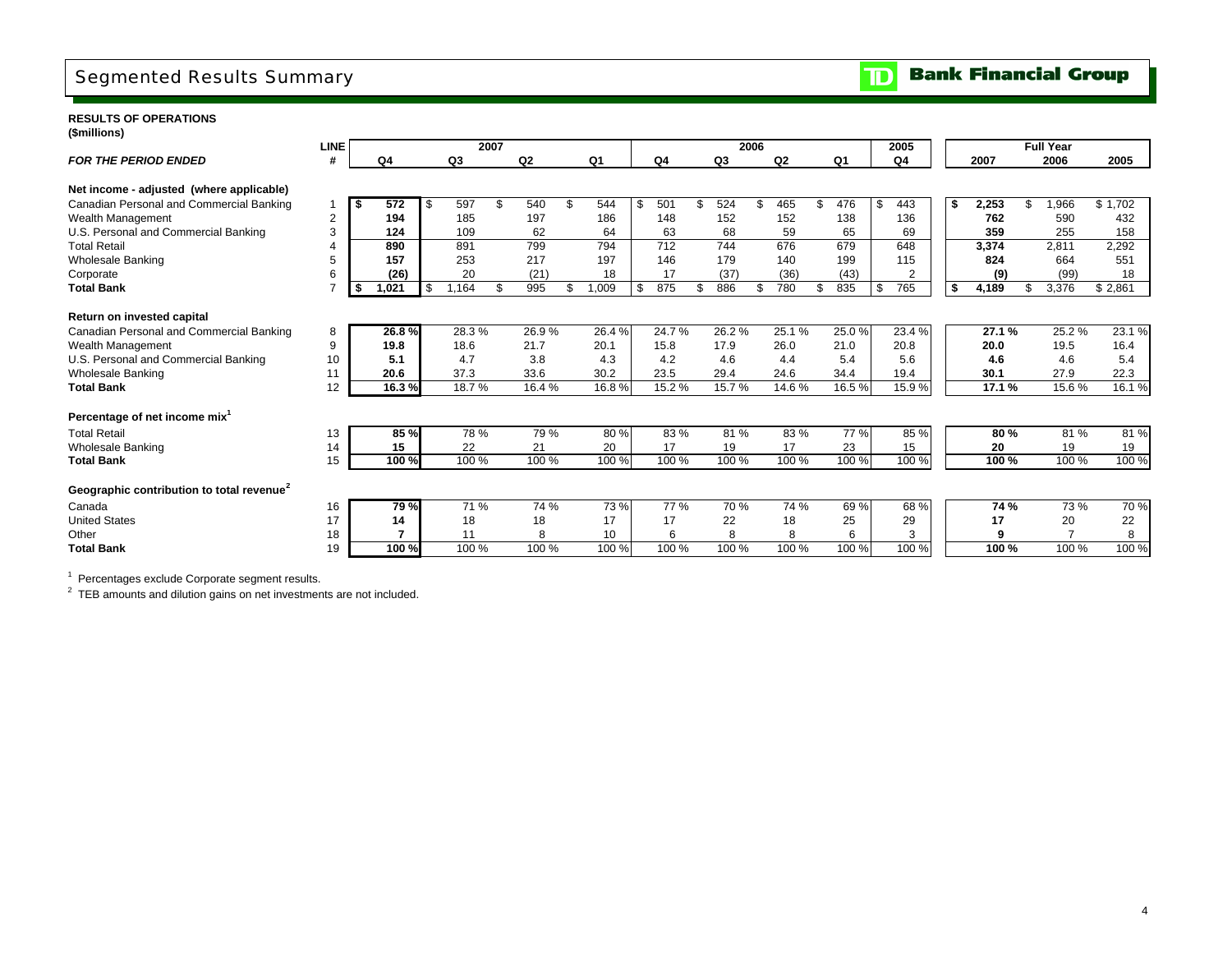## Segmented Results Summary

**Bank Financial Group**  $|\mathbf{D}|$ 

#### **RESULTS OF OPERATIONS (\$millions)**

|                                                       | <b>LINE</b> |       |             | 2007 |                |       |     |       |                | 2006 |                |       |     | 2005                |    |       | <b>Full Year</b> |         |
|-------------------------------------------------------|-------------|-------|-------------|------|----------------|-------|-----|-------|----------------|------|----------------|-------|-----|---------------------|----|-------|------------------|---------|
| <b>FOR THE PERIOD ENDED</b>                           | #           | Q4    | Q3          |      | Q <sub>2</sub> | Q1    |     | Q4    | Q <sub>3</sub> |      | Q <sub>2</sub> | Q1    |     | Q4                  |    | 2007  | 2006             | 2005    |
| Net income - adjusted (where applicable)              |             |       |             |      |                |       |     |       |                |      |                |       |     |                     |    |       |                  |         |
| Canadian Personal and Commercial Banking              |             | 572   | \$<br>597   |      | 540            | 544   | -\$ | 501   | 524            |      | 465            | 476   | S   | 443                 | \$ | 2,253 | ,966             | \$1,702 |
| Wealth Management                                     | 2           | 194   | 185         |      | 197            | 186   |     | 148   | 152            |      | 152            | 138   |     | 136                 |    | 762   | 590              | 432     |
| U.S. Personal and Commercial Banking                  | 3           | 124   | 109         |      | 62             | 64    |     | 63    | 68             |      | 59             | 65    |     | 69                  |    | 359   | 255              | 158     |
| <b>Total Retail</b>                                   |             | 890   | 891         |      | 799            | 794   |     | 712   | 744            |      | 676            | 679   |     | 648                 |    | 3,374 | 2.811            | 2,292   |
| <b>Wholesale Banking</b>                              | 5           | 157   | 253         |      | 217            | 197   |     | 146   | 179            |      | 140            | 199   |     | 115                 |    | 824   | 664              | 551     |
| Corporate                                             | 6           | (26)  | 20          |      | (21)           | 18    |     | 17    | (37)           |      | (36)           | (43)  |     | $\overline{2}$      |    | (9)   | (99)             | 18      |
| <b>Total Bank</b>                                     |             | 1,021 | \$<br>1.164 |      | 995            | 1,009 | \$  | 875   | 886            |      | 780            | 835   | \$. | 765                 | Ŝ. | 4,189 | 3,376            | \$2,861 |
| Return on invested capital                            |             |       |             |      |                |       |     |       |                |      |                |       |     |                     |    |       |                  |         |
| Canadian Personal and Commercial Banking              | 8           | 26.8% | 28.3%       |      | 26.9%          | 26.4% |     | 24.7% | 26.2%          |      | 25.1%          | 25.0% |     | $23.\overline{4\%}$ |    | 27.1% | 25.2%            | 23.1%   |
| Wealth Management                                     | 9           | 19.8  | 18.6        |      | 21.7           | 20.1  |     | 15.8  | 17.9           |      | 26.0           | 21.0  |     | 20.8                |    | 20.0  | 19.5             | 16.4    |
| U.S. Personal and Commercial Banking                  | 10          | 5.1   | 4.7         |      | 3.8            | 4.3   |     | 4.2   | 4.6            |      | 4.4            | 5.4   |     | 5.6                 |    | 4.6   | 4.6              | 5.4     |
| <b>Wholesale Banking</b>                              | 11          | 20.6  | 37.3        |      | 33.6           | 30.2  |     | 23.5  | 29.4           |      | 24.6           | 34.4  |     | 19.4                |    | 30.1  | 27.9             | 22.3    |
| <b>Total Bank</b>                                     | 12          | 16.3% | 18.7%       |      | 16.4 %         | 16.8% |     | 15.2% | 15.7%          |      | 14.6%          | 16.5% |     | 15.9%               |    | 17.1% | 15.6%            | 16.1%   |
| Percentage of net income mix <sup>1</sup>             |             |       |             |      |                |       |     |       |                |      |                |       |     |                     |    |       |                  |         |
| <b>Total Retail</b>                                   | 13          | 85 %  | 78 %        |      | 79 %           | 80%   |     | 83%   | 81%            |      | 83%            | 77 %  |     | 85 %                |    | 80%   | 81 %             | 81%     |
| <b>Wholesale Banking</b>                              | 14          | 15    | 22          |      | 21             | 20    |     | 17    | 19             |      | 17             | 23    |     | 15                  |    | 20    | 19               | 19      |
| <b>Total Bank</b>                                     | 15          | 100 % | 100 %       |      | 100 %          | 100 % |     | 100 % | 100%           |      | 100 %          | 100 % |     | 100 %               |    | 100%  | 100 %            | 100 %   |
| Geographic contribution to total revenue <sup>2</sup> |             |       |             |      |                |       |     |       |                |      |                |       |     |                     |    |       |                  |         |
| Canada                                                | 16          | 79 %  | 71 %        |      | 74 %           | 73%   |     | 77 %  | 70 %           |      | 74 %           | 69%   |     | 68 %                |    | 74 %  | 73 %             | 70 %    |
| <b>United States</b>                                  | 17          | 14    | 18          |      | 18             | 17    |     | 17    | 22             |      | 18             | 25    |     | 29                  |    | 17    | 20               | 22      |
| Other                                                 | 18          |       | 11          |      | 8              | 10    |     | 6     | 8              |      | 8              | 6     |     | 3                   |    | 9     |                  | 8       |
| <b>Total Bank</b>                                     | 19          | 100 % | 100 %       |      | 100 %          | 100 % |     | 100 % | 100 %          |      | 100 %          | 100 % |     | 100 %               |    | 100 % | 100 %            | 100 %   |

<sup>1</sup> Percentages exclude Corporate segment results.

<sup>2</sup> TEB amounts and dilution gains on net investments are not included.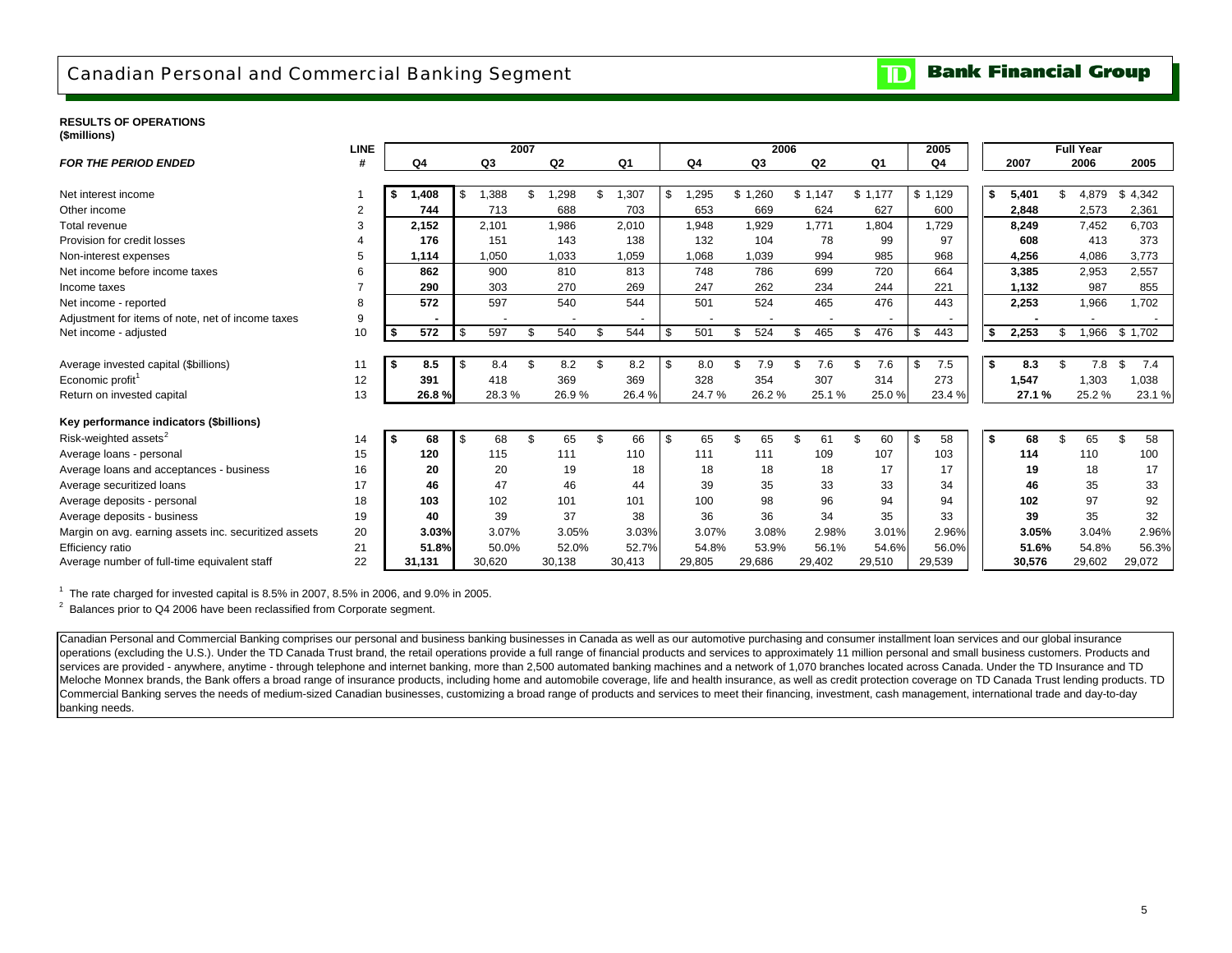## Canadian Personal and Commercial Banking Segment

#### **Bank Financial Group**  $\mathbf{D}% _{T}=\mathbf{D}_{T}\!\left( \mathbf{1}_{T}% \mathbf{1}_{T}\mathbf{1}_{T}\mathbf{1}_{T}\mathbf{1}_{T}\mathbf{1}_{T}\mathbf{1}_{T}\mathbf{1}_{T}\mathbf{1}_{T}\mathbf{1}_{T}\mathbf{1}_{T}\mathbf{1}_{T}\mathbf{1}_{T}\mathbf{1}_{T}\mathbf{1}_{T}\mathbf{1}_{T}\mathbf{1}_{T}\mathbf{1}_{T}\mathbf{1}_{T}\mathbf{1}_{T}\mathbf{1}_{T}\mathbf{1}_{T}\mathbf{1}_{T}$

#### **RESULTS OF OPERATIONS(\$millions)**

|                                                       | <b>LINE</b> |            |           | 2007 |        |                          |     |        | 2006      |                |                | 2005      |          |        | <b>Full Year</b> |           |
|-------------------------------------------------------|-------------|------------|-----------|------|--------|--------------------------|-----|--------|-----------|----------------|----------------|-----------|----------|--------|------------------|-----------|
| <b>FOR THE PERIOD ENDED</b>                           | #           | Q4         | Q3        |      | Q2     | Q1                       |     | Q4     | Q3        | Q <sub>2</sub> | Q <sub>1</sub> | Q4        |          | 2007   | 2006             | 2005      |
| Net interest income                                   |             | 1.408      | .388      | \$   | .298   | 1,307                    |     | ,295   | \$1.260   | \$1.147        | \$1.177        | \$1,129   |          |        | \$<br>4.879      | \$4,342   |
|                                                       |             |            | \$        |      |        |                          | \$  |        |           |                |                |           | \$       | 5,401  |                  |           |
| Other income                                          | 2           | 744        | 713       |      | 688    | 703                      |     | 653    | 669       | 624            | 627            | 600       |          | 2,848  | 2,573            | 2,361     |
| Total revenue                                         | 3           | 2,152      | 2.101     |      | 1.986  | 2,010                    |     | 1,948  | 1,929     | 1.771          | 1.804          | 1.729     |          | 8.249  | 7.452            | 6.703     |
| Provision for credit losses                           |             | 176        | 151       |      | 143    | 138                      |     | 132    | 104       | 78             | 99             | 97        |          | 608    | 413              | 373       |
| Non-interest expenses                                 | 5           | 1,114      | 1,050     |      | 1,033  | 1,059                    |     | 1,068  | 1,039     | 994            | 985            | 968       |          | 4,256  | 4,086            | 3,773     |
| Net income before income taxes                        | 6           | 862        | 900       |      | 810    | 813                      |     | 748    | 786       | 699            | 720            | 664       |          | 3.385  | 2,953            | 2,557     |
| Income taxes                                          |             | 290        | 303       |      | 270    | 269                      |     | 247    | 262       | 234            | 244            | 221       |          | 1,132  | 987              | 855       |
| Net income - reported                                 | 8           | 572        | 597       |      | 540    | 544                      |     | 501    | 524       | 465            | 476            | 443       |          | 2.253  | 1,966            | 1.702     |
| Adjustment for items of note, net of income taxes     | 9           |            |           |      |        | $\overline{\phantom{a}}$ |     |        |           |                |                |           |          |        |                  |           |
| Net income - adjusted                                 | 10          | 572        | \$<br>597 | £.   | 540    | 544                      | \$  | 501    | 524<br>\$ | \$<br>465      | \$<br>476      | \$<br>443 | <b>S</b> | 2,253  | \$<br>1,966      | \$1,702   |
|                                                       |             |            |           |      |        |                          |     |        |           |                |                |           |          |        |                  |           |
| Average invested capital (\$billions)                 | 11          | 8.5<br>l S | \$<br>8.4 | \$   | 8.2    | \$<br>8.2                | -\$ | 8.0    | \$<br>7.9 | \$<br>7.6      | \$<br>7.6      | \$<br>7.5 | - \$     | 8.3    | \$<br>7.8        | \$<br>7.4 |
| Economic profit <sup>1</sup>                          | 12          | 391        | 418       |      | 369    | 369                      |     | 328    | 354       | 307            | 314            | 273       |          | 1,547  | 1.303            | 1,038     |
| Return on invested capital                            | 13          | 26.8%      | 28.3%     |      | 26.9%  | 26.4%                    |     | 24.7%  | 26.2%     | 25.1%          | 25.0%          | 23.4%     |          | 27.1 % | 25.2%            | 23.1%     |
| Key performance indicators (\$billions)               |             |            |           |      |        |                          |     |        |           |                |                |           |          |        |                  |           |
| Risk-weighted assets <sup>2</sup>                     | 14          | l Si<br>68 | \$<br>68  | \$.  | 65     | \$<br>66                 | \$  | 65     | \$<br>65  | \$<br>61       | \$<br>60       | \$<br>58  | - \$     | 68     | \$<br>65         | \$<br>58  |
| Average loans - personal                              | 15          | 120        | 115       |      | 111    | 110                      |     | 111    | 111       | 109            | 107            | 103       |          | 114    | 110              | 100       |
| Average loans and acceptances - business              | 16          | 20         | 20        |      | 19     | 18                       |     | 18     | 18        | 18             | 17             | 17        |          | 19     | 18               | 17        |
| Average securitized loans                             | 17          | 46         | 47        |      | 46     | 44                       |     | 39     | 35        | 33             | 33             | 34        |          | 46     | 35               | 33        |
| Average deposits - personal                           | 18          | 103        | 102       |      | 101    | 101                      |     | 100    | 98        | 96             | 94             | 94        |          | 102    | 97               | 92        |
| Average deposits - business                           | 19          | 40         | 39        |      | 37     | 38                       |     | 36     | 36        | 34             | 35             | 33        |          | 39     | 35               | 32        |
| Margin on avg. earning assets inc. securitized assets | 20          | 3.03%      | 3.07%     |      | 3.05%  | 3.03%                    |     | 3.07%  | 3.08%     | 2.98%          | 3.01%          | 2.96%     |          | 3.05%  | 3.04%            | 2.96%     |
| Efficiency ratio                                      | 21          | 51.8%      | 50.0%     |      | 52.0%  | 52.7%                    |     | 54.8%  | 53.9%     | 56.1%          | 54.6%          | 56.0%     |          | 51.6%  | 54.8%            | 56.3%     |
| Average number of full-time equivalent staff          | 22          | 31.131     | 30,620    |      | 30,138 | 30,413                   |     | 29,805 | 29,686    | 29,402         | 29,510         | 29,539    |          | 30,576 | 29,602           | 29,072    |

 $1$  The rate charged for invested capital is 8.5% in 2007, 8.5% in 2006, and 9.0% in 2005.

 $2$  Balances prior to Q4 2006 have been reclassified from Corporate segment.

Canadian Personal and Commercial Banking comprises our personal and business banking businesses in Canada as well as our automotive purchasing and consumer installment loan services and our global insurance operations (excluding the U.S.). Under the TD Canada Trust brand, the retail operations provide a full range of financial products and services to approximately 11 million personal and small business customers. Products an services are provided - anywhere, anytime - through telephone and internet banking, more than 2,500 automated banking machines and a network of 1,070 branches located across Canada. Under the TD Insurance and TD Meloche Monnex brands, the Bank offers a broad range of insurance products, including home and automobile coverage, life and health insurance, as well as credit protection coverage on TD Canada Trust lending products. TD Commercial Banking serves the needs of medium-sized Canadian businesses, customizing a broad range of products and services to meet their financing, investment, cash management, international trade and day-to-day banking needs.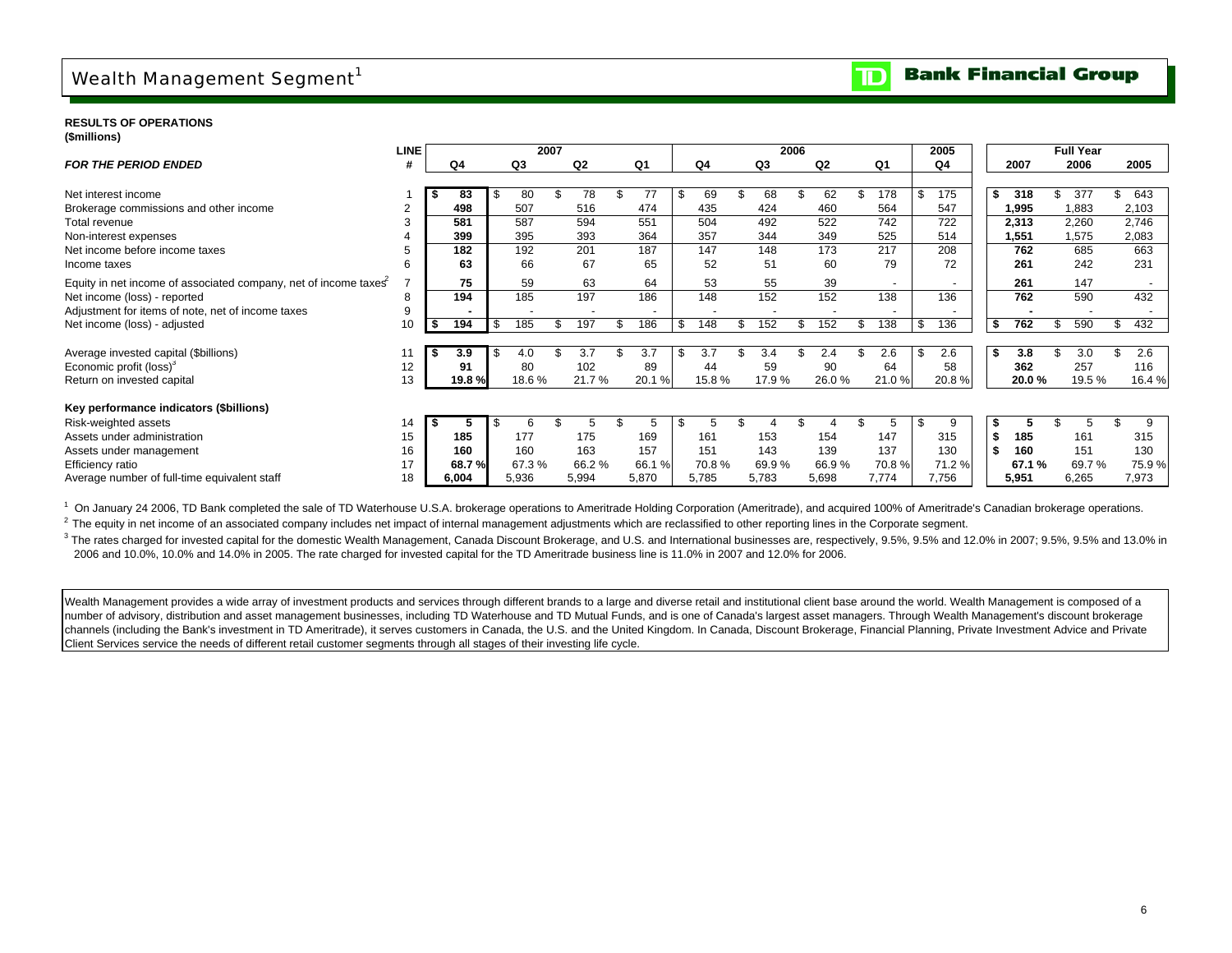## Wealth Management Segment<sup>1</sup>

**RESULTS OF OPERATIONS (\$millions)**

|                                                                 | <b>LINE</b> |      |        |    |       | 2007 |       |       |   |       |       | 2006 |       |        | 2005      |           |     | <b>Full Year</b> |           |
|-----------------------------------------------------------------|-------------|------|--------|----|-------|------|-------|-------|---|-------|-------|------|-------|--------|-----------|-----------|-----|------------------|-----------|
| <b>FOR THE PERIOD ENDED</b>                                     | #           |      | Q4     |    | Q3    |      | Q2    | Q1    |   | Q4    | Q3    |      | Q2    | Q1     | Q4        | 2007      |     | 2006             | 2005      |
|                                                                 |             |      |        |    |       |      |       |       |   |       |       |      |       |        |           |           |     |                  |           |
| Net interest income                                             |             |      | 83     |    | 80    |      | 78    |       |   | 69    | 68    |      | 62    | 178    | 175       | \$<br>318 | \$  | 377              | 643       |
| Brokerage commissions and other income                          |             |      | 498    |    | 507   |      | 516   | 474   |   | 435   | 424   |      | 460   | 564    | 547       | 1,995     |     | 1,883            | 2,103     |
| Total revenue                                                   |             |      | 581    |    | 587   |      | 594   | 551   |   | 504   | 492   |      | 522   | 742    | 722       | 2,313     |     | 2,260            | 2,746     |
| Non-interest expenses                                           |             |      | 399    |    | 395   |      | 393   | 364   |   | 357   | 344   |      | 349   | 525    | 514       | 1,551     |     | 1,575            | 2,083     |
| Net income before income taxes                                  |             |      | 182    |    | 192   |      | 201   | 187   |   | 147   | 148   |      | 173   | 217    | 208       | 762       |     | 685              | 663       |
| Income taxes                                                    |             |      | 63     |    | 66    |      | 67    | 65    |   | 52    | 51    |      | 60    | 79     | 72        | 261       |     | 242              | 231       |
| Equity in net income of associated company, net of income taxes |             |      | 75     |    | 59    |      | 63    | 64    |   | 53    | 55    |      | 39    | $\sim$ |           | 261       |     | 147              |           |
| Net income (loss) - reported                                    |             |      | 194    |    | 185   |      | 197   | 186   |   | 148   | 152   |      | 152   | 138    | 136       | 762       |     | 590              | 432       |
| Adjustment for items of note, net of income taxes               |             |      |        |    |       |      |       |       |   |       |       |      |       |        |           |           |     |                  |           |
| Net income (loss) - adjusted                                    | 10          | - \$ | 194    | -S | 185   |      | 197   | 186   | Æ | 148   | 152   |      | 152   | 138    | \$<br>136 | 762<br>S  | \$. | 590              | \$<br>432 |
|                                                                 |             |      |        |    |       |      |       |       |   |       |       |      |       |        |           |           |     |                  |           |
| Average invested capital (\$billions)                           |             | - 56 | 3.9    |    | 4.0   |      | 3.7   | 3.7   |   | 3.7   | 3.4   |      | 2.4   | 2.6    | \$<br>2.6 | \$<br>3.8 |     | 3.0              | 2.6       |
| Economic profit (loss) <sup>3</sup>                             | 12          |      | 91     |    | 80    |      | 102   | 89    |   | 44    | 59    |      | 90    | 64     | 58        | 362       |     | 257              | 116       |
| Return on invested capital                                      | 13          |      | 19.8 % |    | 18.6% |      | 21.7% | 20.1% |   | 15.8% | 17.9% |      | 26.0% | 21.0 % | 20.8%     | 20.0%     |     | 19.5%            | 16.4%     |
| Key performance indicators (\$billions)                         |             |      |        |    |       |      |       |       |   |       |       |      |       |        |           |           |     |                  |           |
| Risk-weighted assets                                            | 14          |      |        |    | 6     |      |       | b.    |   |       |       |      |       | 5      |           |           |     |                  |           |
| Assets under administration                                     | 15          |      | 185    |    | 177   |      | 175   | 169   |   | 161   | 153   |      | 154   | 147    | 315       | 185       |     | 161              | 315       |
| Assets under management                                         | 16          |      | 160    |    | 160   |      | 163   | 157   |   | 151   | 143   |      | 139   | 137    | 130       | 160       |     | 151              | 130       |
| Efficiency ratio                                                | 17          |      | 68.7 % |    | 67.3% |      | 66.2% | 66.1% |   | 70.8% | 69.9% |      | 66.9% | 70.8%  | 71.2%     | 67.1 %    |     | 69.7%            | 75.9%     |
| Average number of full-time equivalent staff                    | 18          |      | 6,004  |    | 5,936 |      | 5,994 | 5,870 |   | 5,785 | 5,783 |      | 5,698 | 7,774  | 7,756     | 5,951     |     | 6,265            | 7,973     |

<sup>1</sup> On January 24 2006, TD Bank completed the sale of TD Waterhouse U.S.A. brokerage operations to Ameritrade Holding Corporation (Ameritrade), and acquired 100% of Ameritrade's Canadian brokerage operations.

<sup>2</sup> The equity in net income of an associated company includes net impact of internal management adjustments which are reclassified to other reporting lines in the Corporate segment.

<sup>3</sup> The rates charged for invested capital for the domestic Wealth Management, Canada Discount Brokerage, and U.S. and International businesses are, respectively, 9.5%, 9.5% and 12.0% in 2007; 9.5%, 9.5% and 13.0% in 2006 and 10.0%, 10.0% and 14.0% in 2005. The rate charged for invested capital for the TD Ameritrade business line is 11.0% in 2007 and 12.0% for 2006.

Wealth Management provides a wide array of investment products and services through different brands to a large and diverse retail and institutional client base around the world. Wealth Management is composed of a number of advisory, distribution and asset management businesses, including TD Waterhouse and TD Mutual Funds, and is one of Canada's largest asset managers. Through Wealth Management's discount brokerage channels (including the Bank's investment in TD Ameritrade), it serves customers in Canada, the U.S. and the United Kingdom. In Canada, Discount Brokerage, Financial Planning, Private Investment Advice and Private Client Services service the needs of different retail customer segments through all stages of their investing life cycle.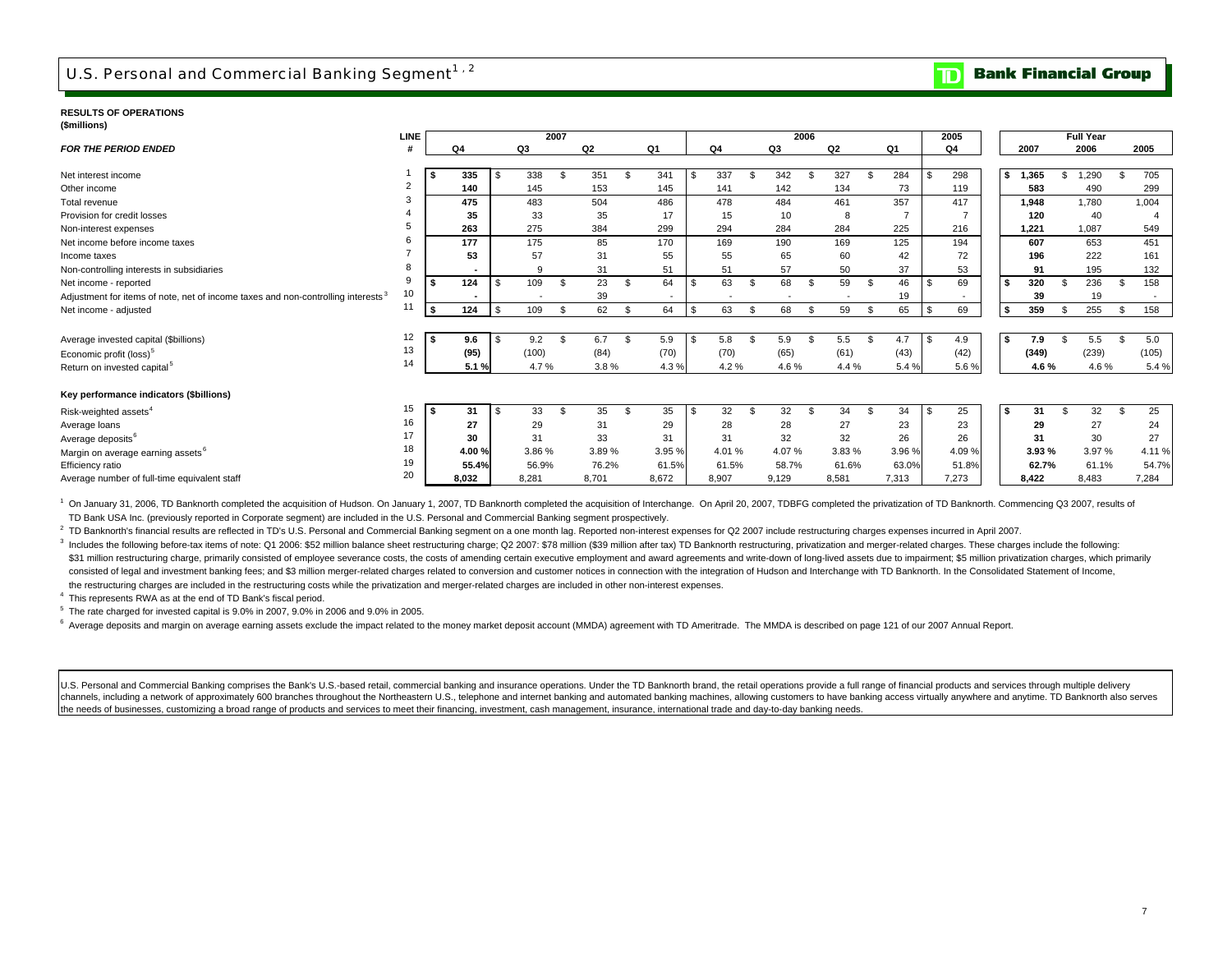## U.S. Personal and Commercial Banking Segment<sup>1,2</sup>

**Bank Financial Group** חד

#### **RESULTS OF OPERATIONS(\$millions)**

|                                                                                              | <b>LINE</b> |      |       |       | 2007         |                |               |        |     |       |    | 2006  |                |                |               |        | 2005     |      |       |     | <b>Full Year</b> |     |       |
|----------------------------------------------------------------------------------------------|-------------|------|-------|-------|--------------|----------------|---------------|--------|-----|-------|----|-------|----------------|----------------|---------------|--------|----------|------|-------|-----|------------------|-----|-------|
| <b>FOR THE PERIOD ENDED</b>                                                                  | #           |      | Q4    | Q3    |              | Q <sub>2</sub> |               | Q1     |     | Q4    |    | Q3    |                | Q <sub>2</sub> |               | Q1     | Q4       |      | 2007  |     | 2006             |     | 2005  |
|                                                                                              |             |      |       |       |              |                |               |        |     |       |    |       |                |                |               |        |          |      |       |     |                  |     |       |
| Net interest income                                                                          |             | -S   | 335   | 338   |              | 351            |               | 341    | \$. | 337   |    | 342   |                | 327            |               | 284    | 298      | s.   | 1,365 | \$  | 1.290            | \$  | 705   |
| Other income                                                                                 | 2           |      | 140   | 145   |              | 153            |               | 145    |     | 141   |    | 142   |                | 134            |               | 73     | 119      |      | 583   |     | 490              |     | 299   |
| Total revenue                                                                                |             |      | 475   | 483   |              | 504            |               | 486    |     | 478   |    | 484   |                | 461            |               | 357    | 417      |      | 1.948 |     | 1.780            |     | 1,004 |
| Provision for credit losses                                                                  |             |      | 35    | 33    |              | 35             |               | 17     |     | 15    |    | 10    |                | 8              |               |        |          |      | 120   |     | 40               |     |       |
| Non-interest expenses                                                                        |             |      | 263   | 275   |              | 384            |               | 299    |     | 294   |    | 284   |                | 284            |               | 225    | 216      |      | 1.221 |     | 1,087            |     | 549   |
| Net income before income taxes                                                               |             |      | 177   | 175   |              | 85             |               | 170    |     | 169   |    | 190   |                | 169            |               | 125    | 194      |      | 607   |     | 653              |     | 451   |
| Income taxes                                                                                 |             |      | 53    | 57    |              | 31             |               | 55     |     | 55    |    | 65    |                | 60             |               | 42     | 72       |      | 196   |     | 222              |     | 161   |
| Non-controlling interests in subsidiaries                                                    |             |      |       | 9     |              | 31             |               | 51     |     | 51    |    | 57    |                | 50             |               | 37     | 53       |      | 91    |     | 195              |     | 132   |
| Net income - reported                                                                        | 9           |      | 124   | 109   | $\mathbf{s}$ | 23             | <sup>\$</sup> | 64     | \$  | 63    | \$ | 68    | $\mathfrak{s}$ | 59             | \$.           | 46     | 69       | - \$ | 320   | \$. | 236              | \$. | 158   |
| Adjustment for items of note, net of income taxes and non-controlling interests <sup>3</sup> | 10          |      |       |       |              | 39             |               |        |     |       |    |       |                |                |               | 19     |          |      | 39    |     | 19               |     |       |
| Net income - adjusted                                                                        | 11          | \$   | 124   | 109   |              | 62             | $\mathcal{F}$ | 64     | \$  | 63    | S  | 68    | S              | 59             | <sup>\$</sup> | 65     | \$<br>69 | Ŝ.   | 359   | \$  | 255              | \$  | 158   |
|                                                                                              |             |      |       |       |              |                |               |        |     |       |    |       |                |                |               |        |          |      |       |     |                  |     |       |
| Average invested capital (\$billions)                                                        | 12          | S    | 9.6   | 9.2   | - \$         | 6.7            | - \$          | 5.9    |     | 5.8   |    | 5.9   |                | 5.5            |               | 4.7    | 4.9      | - \$ | 7.9   |     | 5.5              | \$  | 5.0   |
| Economic profit (loss) <sup>5</sup>                                                          | 13          |      | (95)  | (100) |              | (84)           |               | (70)   |     | (70)  |    | (65)  |                | (61)           |               | (43)   | (42)     |      | (349) |     | (239)            |     | (105) |
| Return on invested capital <sup>5</sup>                                                      | 14          |      | 5.1%  | 4.7%  |              | 3.8%           |               | 4.3%   |     | 4.2%  |    | 4.6%  |                | 4.4 %          |               | 5.4 %  | 5.6%     |      | 4.6%  |     | 4.6%             |     | 5.4 % |
|                                                                                              |             |      |       |       |              |                |               |        |     |       |    |       |                |                |               |        |          |      |       |     |                  |     |       |
| Key performance indicators (\$billions)                                                      |             |      |       |       |              |                |               |        |     |       |    |       |                |                |               |        |          |      |       |     |                  |     |       |
| Risk-weighted assets <sup>4</sup>                                                            | 15          | - \$ | 31    | 33    |              | 35             | - \$          | 35     | £.  | 32    | \$ | 32    | . ጽ            | 34             | - \$          | 34     | 25       | ∣\$. | 31    |     | 32               | \$  | 25    |
| Average loans                                                                                | 16          |      | 27    | 29    |              | 31             |               | 29     |     | 28    |    | 28    |                | 27             |               | 23     | 23       |      | 29    |     | 27               |     | 24    |
| Average deposits <sup>6</sup>                                                                | 17          |      | 30    | 31    |              | 33             |               | 31     |     | 31    |    | 32    |                | 32             |               | 26     | 26       |      | 31    |     | 30               |     | 27    |
| Margin on average earning assets <sup>6</sup>                                                | 18          |      | 4.00% | 3.86% |              | 3.89%          |               | 3.95 % |     | 4.01% |    | 4.07% |                | 3.83%          |               | 3.96 % | 4.09%    |      | 3.93% |     | 3.97%            |     | 4.11% |
| Efficiency ratio                                                                             | 19          |      | 55.4% | 56.9% |              | 76.2%          |               | 61.5%  |     | 61.5% |    | 58.7% |                | 61.6%          |               | 63.0%  | 51.8%    |      | 62.7% |     | 61.1%            |     | 54.7% |
| Average number of full-time equivalent staff                                                 | 20          |      | 8.032 | 8.281 |              | 8,701          |               | 8,672  |     | 8,907 |    | 9,129 |                | 8,581          |               | 7,313  | 7,273    |      | 8,422 |     | 8,483            |     | 7,284 |

<sup>1</sup> On January 31, 2006, TD Banknorth completed the acquisition of Hudson. On January 1, 2007, TD Banknorth completed the acquisition of Interchange. On April 20, 2007, TDBFG completed the privatization of TD Banknorth. Co TD Bank USA Inc. (previously reported in Corporate segment) are included in the U.S. Personal and Commercial Banking segment prospectively.

<sup>2</sup> TD Banknorth's financial results are reflected in TD's U.S. Personal and Commercial Banking segment on a one month lag. Reported non-interest expenses for Q2 2007 include restructuring charges expenses incurred in Apri

3 Includes the following before-tax items of note: Q1 2006: \$52 million balance sheet restructuring charge; Q2 2007: \$78 million (\$39 million after tax) TD Banknorth restructuring, privatization and merger-related charges. \$31 million restructuring charge, primarily consisted of employee severance costs, the costs of amending certain executive employment and award agreements and write-down of long-lived assets due to impairment; \$5 million p consisted of legal and investment banking fees; and \$3 million merger-related charges related to conversion and customer notices in connection with the integration of Hudson and Interchange with TD Banknorth. In the Consol the restructuring charges are included in the restructuring costs while the privatization and merger-related charges are included in other non-interest expenses.

4 This represents RWA as at the end of TD Bank's fiscal period.

 $5$  The rate charged for invested capital is  $9.0\%$  in 2007,  $9.0\%$  in 2006 and  $9.0\%$  in 2005.

 $6$  Average deposits and margin on average earning assets exclude the impact related to the money market deposit account (MMDA) agreement with TD Ameritrade. The MMDA is described on page 121 of our 2007 Annual Report.

U.S. Personal and Commercial Banking comprises the Bank's U.S.-based retail, commercial banking and insurance operations. Under the TD Banknorth brand, the retail operations provide a full range of financial products and s channels, including a network of approximately 600 branches throughout the Northeastern U.S., telephone and internet banking and automated banking machines, allowing customers to have banking access virtually anywhere and the needs of businesses, customizing a broad range of products and services to meet their financing, investment, cash management, insurance, international trade and day-to-day banking needs.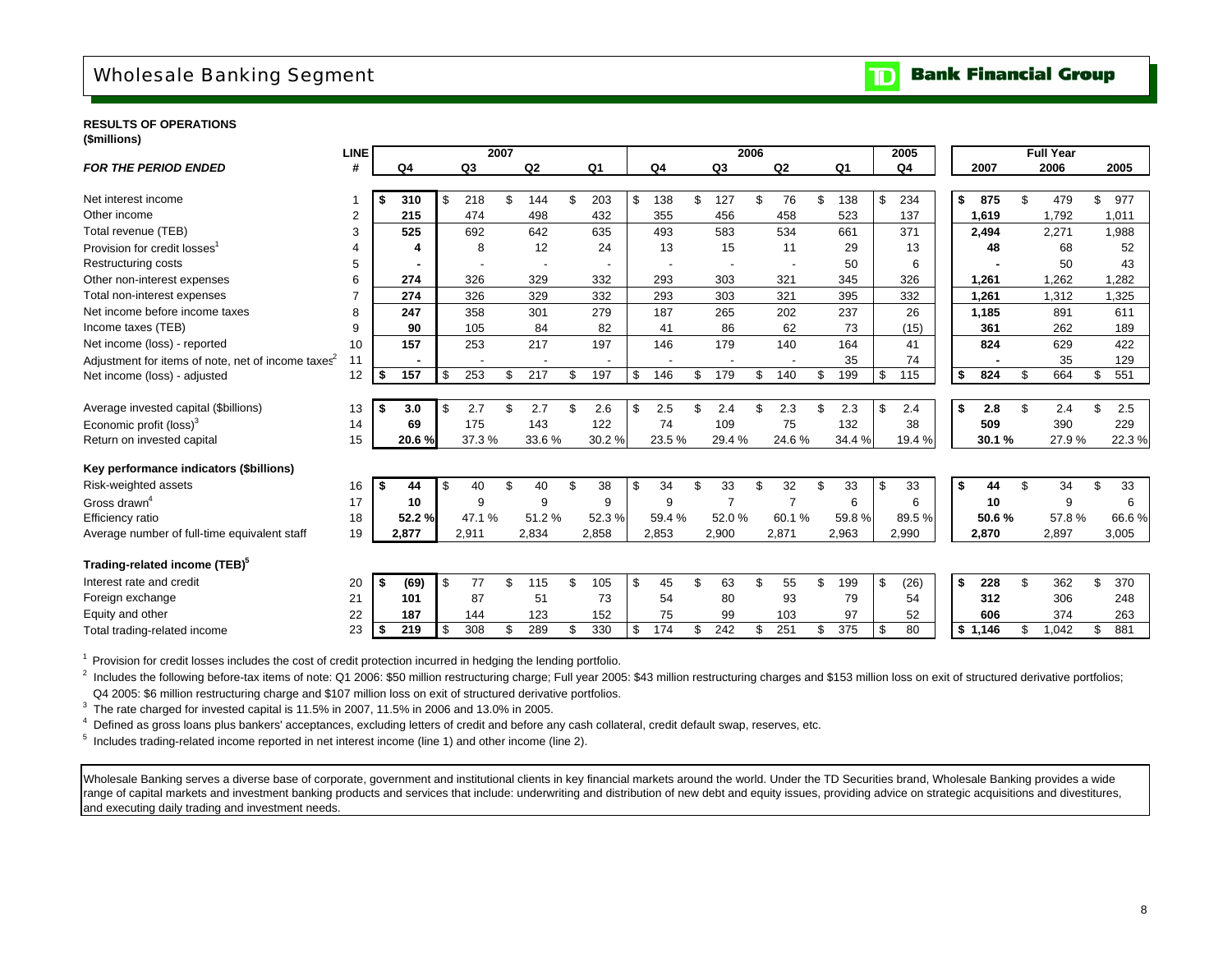## Wholesale Banking Segment

#### **Bank Financial Group**  $\mathbf{D}$

#### **RESULTS OF OPERATIONS(\$millions)**

|                                                   | <b>LINE</b> |          |        |           | 2007 |                |                |           |     |                | 2006 |                |    |                | 2005       |             |     | <b>Full Year</b> |           |
|---------------------------------------------------|-------------|----------|--------|-----------|------|----------------|----------------|-----------|-----|----------------|------|----------------|----|----------------|------------|-------------|-----|------------------|-----------|
| <b>FOR THE PERIOD ENDED</b>                       | #           |          | Q4     | Q3        |      | Q <sub>2</sub> | Q <sub>1</sub> | Q4        |     | Q <sub>3</sub> |      | Q2             |    | Q <sub>1</sub> | Q4         | 2007        |     | 2006             | 2005      |
|                                                   |             |          |        |           |      |                |                |           |     |                |      |                |    |                |            |             |     |                  |           |
| Net interest income                               |             | -\$      | 310    | \$<br>218 | \$   | 144            | \$<br>203      | \$<br>138 | \$  | 127            | \$   | 76             | \$ | 138            | \$<br>234  | \$<br>875   | \$  | 479              | \$<br>977 |
| Other income                                      | 2           |          | 215    | 474       |      | 498            | 432            | 355       |     | 456            |      | 458            |    | 523            | 137        | 1,619       |     | 1,792            | 1,011     |
| Total revenue (TEB)                               | 3           |          | 525    | 692       |      | 642            | 635            | 493       |     | 583            |      | 534            |    | 661            | 371        | 2.494       |     | 2,271            | 1,988     |
| Provision for credit losses <sup>1</sup>          |             |          | 4      | 8         |      | 12             | 24             | 13        |     | 15             |      | 11             |    | 29             | 13         | 48          |     | 68               | 52        |
| <b>Restructuring costs</b>                        | 5           |          |        |           |      |                |                |           |     |                |      |                |    | 50             | 6          |             |     | 50               | 43        |
| Other non-interest expenses                       | 6           |          | 274    | 326       |      | 329            | 332            | 293       |     | 303            |      | 321            |    | 345            | 326        | 1.261       |     | 1.262            | 1.282     |
| Total non-interest expenses                       |             |          | 274    | 326       |      | 329            | 332            | 293       |     | 303            |      | 321            |    | 395            | 332        | 1.261       |     | 1,312            | 1,325     |
| Net income before income taxes                    | 8           |          | 247    | 358       |      | 301            | 279            | 187       |     | 265            |      | 202            |    | 237            | 26         | 1,185       |     | 891              | 611       |
| Income taxes (TEB)                                | 9           |          | 90     | 105       |      | 84             | 82             | 41        |     | 86             |      | 62             |    | 73             | (15)       | 361         |     | 262              | 189       |
| Net income (loss) - reported                      | 10          |          | 157    | 253       |      | 217            | 197            | 146       |     | 179            |      | 140            |    | 164            | 41         | 824         |     | 629              | 422       |
| Adjustment for items of note, net of income taxes | 11          |          |        |           |      |                |                |           |     |                |      |                |    | 35             | 74         |             |     | 35               | 129       |
| Net income (loss) - adjusted                      | 12          | \$       | 157    | \$<br>253 | \$   | 217            | \$<br>197      | \$<br>146 | \$  | 179            | \$   | 140            | \$ | 199            | \$<br>115  | \$<br>824   | \$  | 664              | \$<br>551 |
|                                                   |             |          |        |           |      |                |                |           |     |                |      |                |    |                |            |             |     |                  |           |
| Average invested capital (\$billions)             | 13          | -\$      | 3.0    | \$<br>2.7 | \$   | 2.7            | 2.6            | \$<br>2.5 | \$. | 2.4            | \$   | 2.3            | £. | 2.3            | \$<br>2.4  | \$<br>2.8   | \$  | 2.4              | \$<br>2.5 |
| Economic profit (loss) <sup>3</sup>               | 14          |          | 69     | 175       |      | 143            | 122            | 74        |     | 109            |      | 75             |    | 132            | 38         | 509         |     | 390              | 229       |
| Return on invested capital                        | 15          |          | 20.6%  | 37.3%     |      | 33.6%          | 30.2%          | 23.5%     |     | 29.4%          |      | 24.6%          |    | 34.4 %         | 19.4 %     | 30.1%       |     | 27.9%            | 22.3%     |
|                                                   |             |          |        |           |      |                |                |           |     |                |      |                |    |                |            |             |     |                  |           |
| Key performance indicators (\$billions)           |             |          |        |           |      |                |                |           |     |                |      |                |    |                |            |             |     |                  |           |
| Risk-weighted assets                              | 16          | <b>S</b> | 44     | \$<br>40  | \$   | 40             | 38             | \$<br>34  | \$  | 33             | \$   | 32             | \$ | 33             | \$<br>33   | \$<br>44    | \$  | 34               | \$<br>33  |
| Gross drawn <sup>4</sup>                          | 17          |          | 10     | 9         |      | 9              | 9              | 9         |     | $\overline{7}$ |      | $\overline{7}$ |    | 6              | 6          | 10          |     | 9                | 6         |
| <b>Efficiency ratio</b>                           | 18          |          | 52.2 % | 47.1 %    |      | 51.2%          | 52.3%          | 59.4%     |     | 52.0%          |      | 60.1%          |    | 59.8%          | 89.5%      | 50.6%       |     | 57.8%            | 66.6%     |
| Average number of full-time equivalent staff      | 19          |          | 2,877  | 2,911     |      | 2,834          | 2,858          | 2,853     |     | 2,900          |      | 2,871          |    | 2,963          | 2,990      | 2,870       |     | 2,897            | 3,005     |
|                                                   |             |          |        |           |      |                |                |           |     |                |      |                |    |                |            |             |     |                  |           |
| Trading-related income (TEB) <sup>5</sup>         |             |          |        |           |      |                |                |           |     |                |      |                |    |                |            |             |     |                  |           |
| Interest rate and credit                          | 20          | S.       | (69)   | \$<br>77  | \$   | 115            | \$<br>105      | \$<br>45  | \$  | 63             | \$   | 55             | \$ | 199            | \$<br>(26) | \$<br>228   | \$  | 362              | \$<br>370 |
| Foreign exchange                                  | 21          |          | 101    | 87        |      | 51             | 73             | 54        |     | 80             |      | 93             |    | 79             | 54         | 312         |     | 306              | 248       |
| Equity and other                                  | 22          |          | 187    | 144       |      | 123            | 152            | 75        |     | 99             |      | 103            |    | 97             | 52         | 606         |     | 374              | 263       |
| Total trading-related income                      | 23          | \$       | 219    | \$<br>308 | \$   | 289            | \$<br>330      | \$<br>174 | \$  | 242            | \$   | 251            | \$ | 375            | \$<br>80   | \$<br>1.146 | \$. | 1.042            | \$<br>881 |
|                                                   |             |          |        |           |      |                |                |           |     |                |      |                |    |                |            |             |     |                  |           |

<sup>1</sup> Provision for credit losses includes the cost of credit protection incurred in hedging the lending portfolio.

<sup>2</sup> Includes the following before-tax items of note: Q1 2006: \$50 million restructuring charge; Full year 2005: \$43 million restructuring charges and \$153 million loss on exit of structured derivative portfolios; Q4 2005: \$6 million restructuring charge and \$107 million loss on exit of structured derivative portfolios.

<sup>3</sup> The rate charged for invested capital is 11.5% in 2007, 11.5% in 2006 and 13.0% in 2005.

4 Defined as gross loans plus bankers' acceptances, excluding letters of credit and before any cash collateral, credit default swap, reserves, etc.

5 Includes trading-related income reported in net interest income (line 1) and other income (line 2).

Wholesale Banking serves a diverse base of corporate, government and institutional clients in key financial markets around the world. Under the TD Securities brand, Wholesale Banking provides a wide range of capital markets and investment banking products and services that include: underwriting and distribution of new debt and equity issues, providing advice on strategic acquisitions and divestitures, and executing daily trading and investment needs.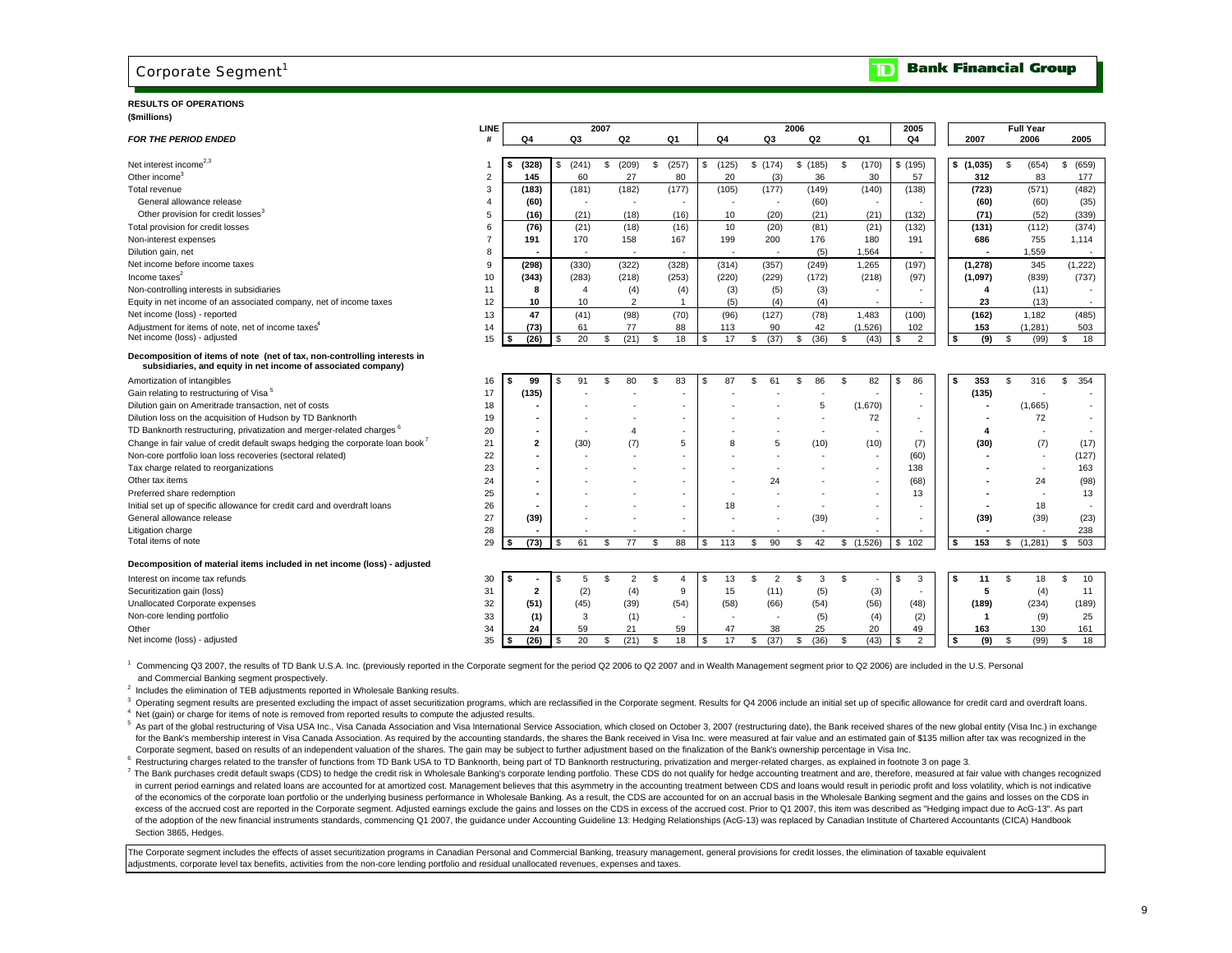### Corporate Segment<sup>1</sup>

#### **RESULTS OF OPERATIONS (\$millions)**

|                                                                                                                                           | LINE           |                |     |                | 2007 |                |    |                          |    |                          |     |         | 2006           |     |                          | 2005                 |    |                         |    | <b>Full Year</b>         |             |  |
|-------------------------------------------------------------------------------------------------------------------------------------------|----------------|----------------|-----|----------------|------|----------------|----|--------------------------|----|--------------------------|-----|---------|----------------|-----|--------------------------|----------------------|----|-------------------------|----|--------------------------|-------------|--|
| <b>FOR THE PERIOD ENDED</b>                                                                                                               |                | Q4             |     | Q3             |      | Q2             |    | Q1                       |    | Q4                       |     | Q3      | Q <sub>2</sub> |     | Q1                       | Q4                   |    | 2007                    |    | 2006                     | 2005        |  |
| Net interest income <sup>2,3</sup>                                                                                                        |                | (328)          | \$  | (241)          | \$   | (209)          | \$ | (257)                    | \$ | (125)                    |     | \$(174) | \$(185)        | \$  | (170)                    | \$(195)              |    | \$(1,035)               | \$ | (654)                    | \$<br>(659) |  |
| Other income <sup>3</sup>                                                                                                                 | $\mathbf{2}$   | 145            |     | 60             |      | 27             |    | 80                       |    | 20                       |     | (3)     | 36             |     | 30                       | 57                   |    | 312                     |    | 83                       | 177         |  |
| Total revenue                                                                                                                             | 3              | (183)          |     | (181)          |      | (182)          |    | (177)                    |    | (105)                    |     | (177)   | (149)          |     | (140)                    | (138)                |    | (723)                   |    | (571)                    | (482)       |  |
| General allowance release                                                                                                                 | 4              | (60)           |     |                |      | $\sim$         |    | $\overline{\phantom{a}}$ |    |                          |     |         | (60)           |     | ٠                        |                      |    | (60)                    |    | (60)                     | (35)        |  |
| Other provision for credit losses <sup>3</sup>                                                                                            | 5              | (16)           |     | (21)           |      | (18)           |    | (16)                     |    | 10                       |     | (20)    | (21)           |     | (21)                     | (132)                |    | (71)                    |    | (52)                     | (339)       |  |
| Total provision for credit losses                                                                                                         | 6              | (76)           |     | (21)           |      | (18)           |    | (16)                     |    | 10                       |     | (20)    | (81)           |     | (21)                     | (132)                |    | (131)                   |    | (112)                    | (374)       |  |
| Non-interest expenses                                                                                                                     | $\overline{7}$ | 191            |     | 170            |      | 158            |    | 167                      |    | 199                      |     | 200     | 176            |     | 180                      | 191                  |    | 686                     |    | 755                      | 1,114       |  |
| Dilution gain, net                                                                                                                        | 8              |                |     |                |      |                |    |                          |    |                          |     |         |                | (5) | 1,564                    |                      |    |                         |    | 1,559                    |             |  |
| Net income before income taxes                                                                                                            | 9              | (298)          |     | (330)          |      | (322)          |    | (328)                    |    | (314)                    |     | (357)   | (249)          |     | 1,265                    | (197)                |    | (1, 278)                |    | 345                      | (1, 222)    |  |
| Income taxes <sup>2</sup>                                                                                                                 | 10             | (343)          |     | (283)          |      | (218)          |    | (253)                    |    | (220)                    |     | (229)   | (172)          |     | (218)                    | (97)                 |    | (1,097)                 |    | (839)                    | (737)       |  |
| Non-controlling interests in subsidiaries                                                                                                 | 11             | 8              |     | $\overline{4}$ |      | (4)            |    | (4)                      |    | (3)                      |     | (5)     |                | (3) |                          |                      |    | 4                       |    | (11)                     |             |  |
| Equity in net income of an associated company, net of income taxes                                                                        | 12             | 10             |     | 10             |      | $\overline{2}$ |    |                          |    | (5)                      |     | (4)     |                | (4) |                          |                      |    | 23                      |    | (13)                     | $\sim$      |  |
| Net income (loss) - reported                                                                                                              | 13             | 47             |     | (41)           |      | (98)           |    | (70)                     |    | (96)                     |     | (127)   | (78)           |     | 1,483                    | (100)                |    | (162)                   |    | 1,182                    | (485)       |  |
| Adjustment for items of note, net of income taxes <sup>4</sup>                                                                            | 14             | (73)           |     | 61             |      | 77             |    | 88                       |    | 113                      |     | 90      | 42             |     | (1,526)                  | 102                  |    | 153                     |    | (1, 281)                 | 503         |  |
| Net income (loss) - adjusted                                                                                                              | 15             | (26)           | \$  | 20             | \$   | (21)           | \$ | 18                       | -S | 17                       | \$  | (37)    | \$<br>(36)     | \$  | (43)                     | \$<br>$\overline{2}$ | \$ | (9)                     | \$ | (99)                     | \$<br>18    |  |
| Decomposition of items of note (net of tax, non-controlling interests in<br>subsidiaries, and equity in net income of associated company) |                |                |     |                |      |                |    |                          |    |                          |     |         |                |     |                          |                      |    |                         |    |                          |             |  |
| Amortization of intangibles                                                                                                               | 16             | 99             | \$. | 91             | \$   | 80             | S  | 83                       | -S | 87                       | \$  | 61      | 86<br>s.       | \$  | 82                       | S.<br>86             | s. | 353                     | S. | 316                      | S<br>354    |  |
| Gain relating to restructuring of Visa <sup>5</sup>                                                                                       | 17             | (135)          |     |                |      |                |    |                          |    |                          |     |         |                |     |                          |                      |    | (135)                   |    |                          |             |  |
| Dilution gain on Ameritrade transaction, net of costs                                                                                     | 18             |                |     |                |      |                |    |                          |    |                          |     |         |                | 5   | (1,670)                  |                      |    |                         |    | (1,665)                  |             |  |
| Dilution loss on the acquisition of Hudson by TD Banknorth                                                                                | 19             |                |     |                |      |                |    |                          |    |                          |     |         |                |     | 72                       |                      |    |                         |    | 72                       |             |  |
| TD Banknorth restructuring, privatization and merger-related charges <sup>6</sup>                                                         | 20             |                |     |                |      |                |    |                          |    |                          |     |         |                |     |                          |                      |    |                         |    |                          |             |  |
| Change in fair value of credit default swaps hedging the corporate loan book                                                              | 21             | $\overline{2}$ |     | (30)           |      | (7)            |    | 5                        |    |                          |     | 5       | (10)           |     | (10)                     | (7)                  |    | (30)                    |    | (7)                      | (17)        |  |
| Non-core portfolio loan loss recoveries (sectoral related)                                                                                | 22             |                |     |                |      |                |    |                          |    |                          |     |         |                |     |                          | (60)                 |    |                         |    | $\overline{\phantom{a}}$ | (127)       |  |
| Tax charge related to reorganizations                                                                                                     | 23             |                |     |                |      |                |    | $\sim$                   |    |                          |     |         |                |     | ٠                        | 138                  |    |                         |    | $\blacksquare$           | 163         |  |
| Other tax items                                                                                                                           | 24             |                |     |                |      |                |    |                          |    |                          |     | 24      |                |     |                          | (68)                 |    |                         |    | 24                       | (98)        |  |
| Preferred share redemption                                                                                                                | 25             |                |     |                |      |                |    |                          |    |                          |     |         |                |     |                          | 13                   |    |                         |    | ٠                        | 13          |  |
| Initial set up of specific allowance for credit card and overdraft loans                                                                  | 26             |                |     |                |      |                |    | ٠                        |    | 18                       |     |         |                |     |                          |                      |    |                         |    | 18                       |             |  |
| General allowance release                                                                                                                 | 27             | (39)           |     |                |      |                |    | $\overline{a}$           |    |                          |     |         | (39)           |     | $\overline{\phantom{a}}$ |                      |    | (39)                    |    | (39)                     | (23)        |  |
| Litigation charge                                                                                                                         | 28             |                |     |                |      |                |    |                          |    |                          |     |         |                |     |                          |                      |    |                         |    |                          | 238         |  |
| Total items of note                                                                                                                       | 29             | (73)           | S   | 61             | £.   | 77             | £. | 88                       | S. | 113                      | \$. | 90      | 42<br>\$       |     | (1,526)<br>\$            | \$<br>102            | \$ | 153                     | S  | (1, 281)                 | 503<br>\$.  |  |
| Decomposition of material items included in net income (loss) - adjusted                                                                  |                |                |     |                |      |                |    |                          |    |                          |     |         |                |     |                          |                      |    |                         |    |                          |             |  |
| Interest on income tax refunds                                                                                                            | 30             |                | \$. | 5              | \$.  | $\overline{2}$ | \$ | $\overline{4}$           | \$ | 13                       | \$  | 2       | \$             | 3   | \$                       | \$<br>3              | s  | 11                      | \$ | 18                       | \$<br>10    |  |
| Securitization gain (loss)                                                                                                                | 31             | $\overline{2}$ |     | (2)            |      | (4)            |    | 9                        |    | 15                       |     | (11)    |                | (5) | (3)                      |                      |    | 5                       |    | (4)                      | 11          |  |
| Unallocated Corporate expenses                                                                                                            | 32             | (51)           |     | (45)           |      | (39)           |    | (54)                     |    | (58)                     |     | (66)    | (54)           |     | (56)                     | (48)                 |    | (189)                   |    | (234)                    | (189)       |  |
| Non-core lending portfolio                                                                                                                | 33             | (1)            |     | 3              |      | (1)            |    | $\overline{\phantom{a}}$ |    | $\overline{\phantom{a}}$ |     |         |                | (5) | (4)                      | (2)                  |    | $\overline{\mathbf{1}}$ |    | (9)                      | 25          |  |
| Other                                                                                                                                     | 34             | 24             |     | 59             |      | 21             |    | 59                       |    | 47                       |     | 38      | 25             |     | 20                       | 49                   |    | 163                     |    | 130                      | 161         |  |
| Net income (loss) - adjusted                                                                                                              | 35             | (26)           | S   | 20             | \$.  | (21)           | -S | 18                       | S  | 17                       | \$  | (37)    | (36)<br>\$     | £.  | (43)                     | \$<br>2              | s  | (9)                     | S. | (99)                     | 18<br>\$.   |  |
|                                                                                                                                           |                |                |     |                |      |                |    |                          |    |                          |     |         |                |     |                          |                      |    |                         |    |                          |             |  |

Commencing Q3 2007, the results of TD Bank U.S.A. Inc. (previously reported in the Corporate segment for the period Q2 2006 to Q2 2007 and in Wealth Management segment prior to Q2 2006) are included in the U.S. Personal and Commercial Banking segment prospectively.

<sup>2</sup> Includes the elimination of TEB adjustments reported in Wholesale Banking results.

<sup>3</sup> Operating segment results are presented excluding the impact of asset securitization programs, which are reclassified in the Corporate segment. Results for Q4 2006 include an initial set up of specific allowance for cr <sup>4</sup> Net (gain) or charge for items of note is removed from reported results to compute the adjusted results.

5 As part of the global restructuring of Visa USA Inc., Visa Canada Association and Visa International Service Association, which closed on October 3, 2007 (restructuring date), the Bank received shares of the new global e for the Bank's membership interest in Visa Canada Association. As required by the accounting standards, the shares the Bank received in Visa Inc. were measured at fair value and an estimated gain of \$135 million after tax Corporate segment, based on results of an independent valuation of the shares. The gain may be subject to further adjustment based on the finalization of the Bank's ownership percentage in Visa Inc.

Restructuring charges related to the transfer of functions from TD Bank USA to TD Banknorth, being part of TD Banknorth restructuring, privatization and merger-related charges, as explained in footnote 3 on page 3.

7 The Bank purchases credit default swaps (CDS) to hedge the credit risk in Wholesale Banking's corporate lending portfolio. These CDS do not qualify for hedge accounting treatment and are, therefore, measured at fair valu in current period earnings and related loans are accounted for at amortized cost. Management believes that this asymmetry in the accounting treatment between CDS and loans would result in periodic profit and loss volatilit of the economics of the corporate loan portfolio or the underlying business performance in Wholesale Banking. As a result, the CDS are accounted for on an accrual basis in the Wholesale Banking segment and the gains and lo excess of the accrued cost are reported in the Corporate segment. Adjusted earnings exclude the gains and losses on the CDS in excess of the accrued cost. Prior to Q1 2007, this item was described as "Hedging impact due to of the adoption of the new financial instruments standards, commencing Q1 2007, the guidance under Accounting Guideline 13: Hedging Relationships (AcG-13) was replaced by Canadian Institute of Chartered Accountants (CICA) Section 3865, Hedges.

The Corporate segment includes the effects of asset securitization programs in Canadian Personal and Commercial Banking, treasury management, general provisions for credit losses, the elimination of taxable equivalent adjustments, corporate level tax benefits, activities from the non-core lending portfolio and residual unallocated revenues, expenses and taxes.

#### ומד **Bank Financial Group**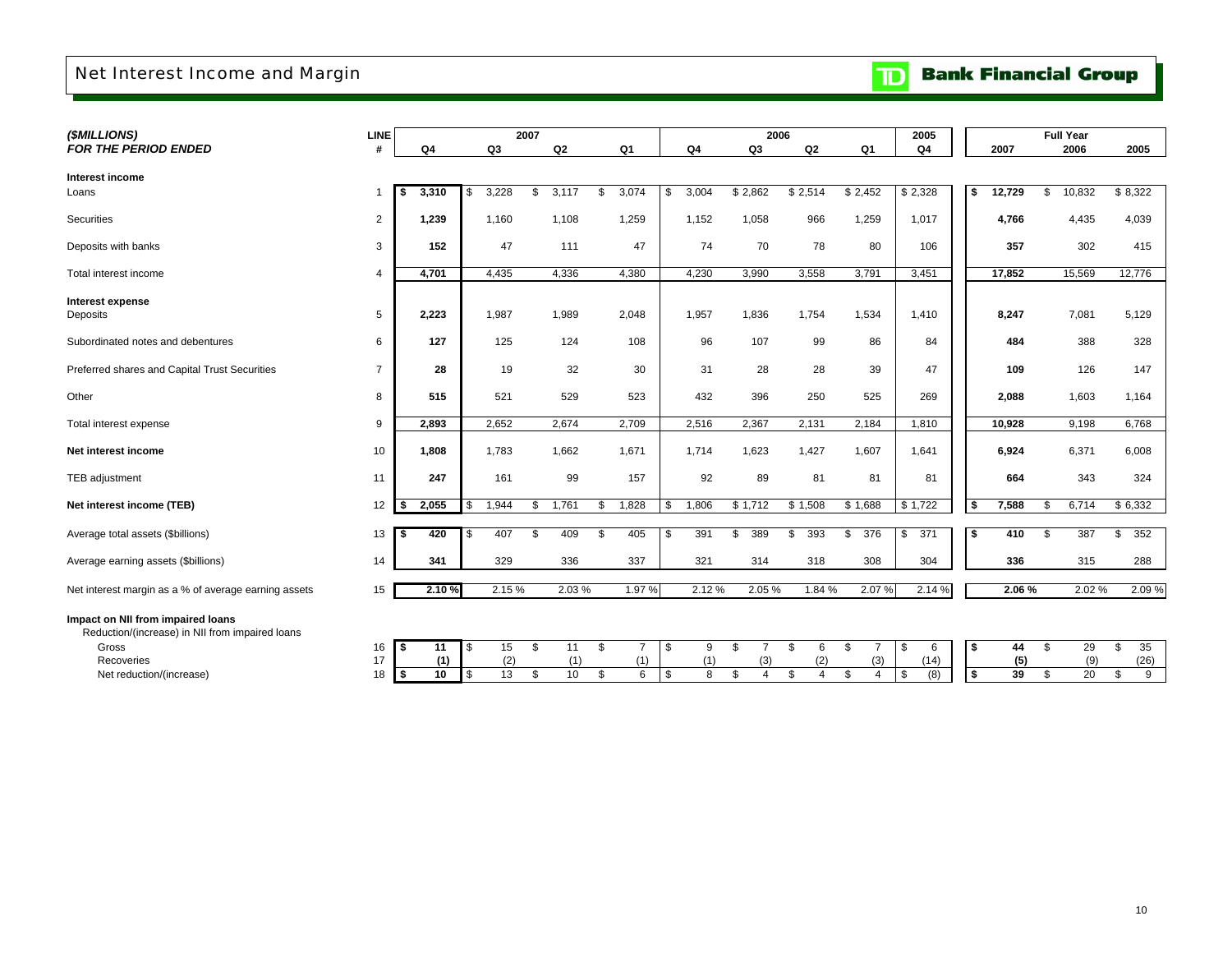## Net Interest Income and Margin

| (\$MILLIONS)                                                                                  | <b>LINE</b>    |             |                                            | 2007 |       |                      |    |                | 2006                 |           |                      | 2005            |                         |        | <b>Full Year</b> |                 |           |
|-----------------------------------------------------------------------------------------------|----------------|-------------|--------------------------------------------|------|-------|----------------------|----|----------------|----------------------|-----------|----------------------|-----------------|-------------------------|--------|------------------|-----------------|-----------|
| <b>FOR THE PERIOD ENDED</b>                                                                   | #              | Q4          | Q3                                         |      | Q2    | Q1                   |    | Q <sub>4</sub> | Q3                   | Q2        | Q1                   | Q4              |                         | 2007   |                  | 2006            | 2005      |
| Interest income                                                                               |                |             |                                            |      |       |                      |    |                |                      |           |                      |                 |                         |        |                  |                 |           |
| Loans                                                                                         | 1              | 3,310<br>\$ | 3,228<br>\$                                | \$   | 3,117 | 3,074<br>\$.         | \$ | 3,004          | \$2,862              | \$2,514   | \$2,452              | \$2,328         | \$                      | 12,729 | \$               | 10,832          | \$8,322   |
|                                                                                               |                |             |                                            |      |       |                      |    |                |                      |           |                      |                 |                         |        |                  |                 |           |
| Securities                                                                                    | $\overline{2}$ | 1,239       | 1,160                                      |      | 1,108 | 1,259                |    | 1,152          | 1,058                | 966       | 1,259                | 1,017           |                         | 4,766  |                  | 4,435           | 4,039     |
| Deposits with banks                                                                           | 3              | 152         | 47                                         |      | 111   | 47                   |    | 74             | 70                   | 78        | 80                   | 106             |                         | 357    |                  | 302             | 415       |
|                                                                                               |                |             |                                            |      |       |                      |    |                |                      |           |                      |                 |                         |        |                  |                 |           |
| Total interest income                                                                         | 4              | 4,701       | 4,435                                      |      | 4,336 | 4,380                |    | 4,230          | 3,990                | 3,558     | 3,791                | 3,451           |                         | 17,852 |                  | 15,569          | 12,776    |
| Interest expense                                                                              |                |             |                                            |      |       |                      |    |                |                      |           |                      |                 |                         |        |                  |                 |           |
| Deposits                                                                                      | 5              | 2,223       | 1,987                                      |      | 1,989 | 2,048                |    | 1,957          | 1,836                | 1,754     | 1,534                | 1,410           |                         | 8,247  |                  | 7,081           | 5,129     |
| Subordinated notes and debentures                                                             | 6              | 127         | 125                                        |      | 124   | 108                  |    | 96             | 107                  | 99        | 86                   | 84              |                         | 484    |                  | 388             | 328       |
|                                                                                               |                |             |                                            |      |       |                      |    |                |                      |           |                      |                 |                         |        |                  |                 |           |
| Preferred shares and Capital Trust Securities                                                 | $\overline{7}$ | 28          | 19                                         |      | 32    | 30                   |    | 31             | 28                   | 28        | 39                   | 47              |                         | 109    |                  | 126             | 147       |
| Other                                                                                         | 8              | 515         | 521                                        |      | 529   | 523                  |    | 432            | 396                  | 250       | 525                  | 269             |                         | 2,088  |                  | 1,603           | 1,164     |
| Total interest expense                                                                        | 9              | 2,893       | 2,652                                      |      | 2,674 | 2,709                |    | 2,516          | 2,367                | 2,131     | 2,184                | 1,810           |                         | 10,928 |                  | 9,198           | 6,768     |
| Net interest income                                                                           | 10             | 1,808       | 1,783                                      |      | 1,662 | 1,671                |    | 1,714          | 1,623                | 1,427     | 1,607                | 1,641           |                         | 6,924  |                  | 6,371           | 6,008     |
| TEB adjustment                                                                                | 11             | 247         | 161                                        |      | 99    | 157                  |    | 92             | 89                   | 81        | 81                   | 81              |                         | 664    |                  | 343             | 324       |
|                                                                                               | 12             | 2,055       | \$                                         |      | 1,761 |                      |    |                |                      |           | \$1,688              | \$1,722         | \$                      |        |                  | 6,714           |           |
| Net interest income (TEB)                                                                     |                | l \$        | 1,944                                      | S.   |       | 1,828<br>\$          | S. | 1,806          | \$1,712              | \$1,508   |                      |                 |                         | 7,588  | \$               |                 | \$6,332   |
| Average total assets (\$billions)                                                             | 13             | \$<br>420   | 407<br>\$                                  | - 96 | 409   | 405<br>\$            | \$ | 391            | 389<br>\$            | \$<br>393 | 376<br>\$            | 371<br>\$       | \$                      | 410    | \$               | 387             | 352<br>\$ |
| Average earning assets (\$billions)                                                           | 14             | 341         | 329                                        |      | 336   | 337                  |    | 321            | 314                  | 318       | 308                  | 304             |                         | 336    |                  | 315             | 288       |
| Net interest margin as a % of average earning assets                                          | 15             | 2.10%       | 2.15 %                                     |      | 2.03% | 1.97%                |    | 2.12%          | 2.05%                | 1.84 %    | 2.07%                | 2.14%           |                         | 2.06 % |                  | 2.02%           | 2.09%     |
| Impact on NII from impaired loans<br>Reduction/(increase) in NII from impaired loans<br>Gross | 16             | 11<br>l \$  | \$<br>15                                   | \$   | 11    | \$<br>$\overline{7}$ | \$ | 9              | \$                   | \$<br>6   | \$<br>$\overline{7}$ | 6<br>\$         | \$                      | 44     | \$               | 29              | 35<br>\$  |
| <b>Recoveries</b>                                                                             | 17             | (1)         | (2)                                        |      | (1)   | (1)                  |    | (1)            | (3)                  | (2)       | (3)                  | (14)            |                         | (5)    |                  | (9)             | (26)      |
| Net reduction/(increase)                                                                      | 18             | 10<br>l s   | $\overline{\mathbf{s}}$<br>$\overline{13}$ | \$   | 10    | \$<br>6              | \$ | 8              | \$<br>$\overline{4}$ | \$<br>4   | \$<br>4              | <b>S</b><br>(8) | $\overline{\mathbf{s}}$ | 39     | \$               | $\overline{20}$ | \$<br>9   |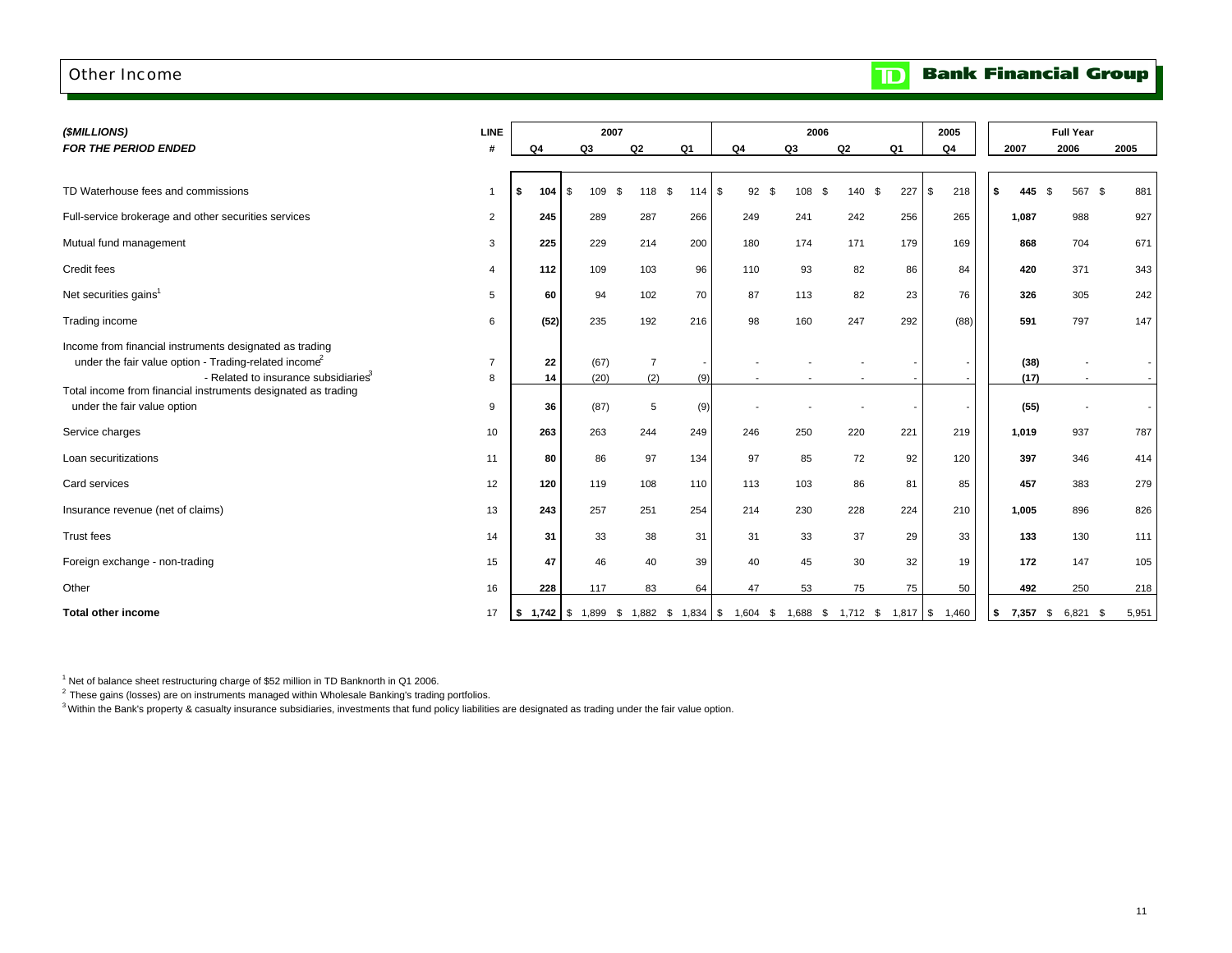#### Other Income

#### **Bank Financial Group**  $\blacksquare$

| (\$MILLIONS)                                                                                                                                                                                                                                      | <b>LINE</b>         |             | 2007            |                       |           |                |    | 2006      |                |           | 2005                                                                                    |              | <b>Full Year</b>         |       |
|---------------------------------------------------------------------------------------------------------------------------------------------------------------------------------------------------------------------------------------------------|---------------------|-------------|-----------------|-----------------------|-----------|----------------|----|-----------|----------------|-----------|-----------------------------------------------------------------------------------------|--------------|--------------------------|-------|
| <b>FOR THE PERIOD ENDED</b>                                                                                                                                                                                                                       | #                   | Q4          | Q3              | Q <sub>2</sub>        | Q1        | Q <sub>4</sub> |    | Q3        | Q <sub>2</sub> | Q1        | Q4                                                                                      | 2007         | 2006                     | 2005  |
| TD Waterhouse fees and commissions                                                                                                                                                                                                                | $\overline{1}$      | 104<br>l \$ | \$<br>109<br>\$ | 118                   | \$<br>114 | 92<br>\$       | .ኖ | 108<br>\$ | 140            | 227<br>\$ | 218<br>S.                                                                               | \$<br>445    | \$<br>567 \$             | 881   |
| Full-service brokerage and other securities services                                                                                                                                                                                              | $\overline{2}$      | 245         | 289             | 287                   | 266       | 249            |    | 241       | 242            | 256       | 265                                                                                     | 1,087        | 988                      | 927   |
| Mutual fund management                                                                                                                                                                                                                            | 3                   | 225         | 229             | 214                   | 200       | 180            |    | 174       | 171            | 179       | 169                                                                                     | 868          | 704                      | 671   |
| Credit fees                                                                                                                                                                                                                                       | $\overline{4}$      | 112         | 109             | 103                   | 96        | 110            |    | 93        | 82             | 86        | 84                                                                                      | 420          | 371                      | 343   |
| Net securities gains <sup>1</sup>                                                                                                                                                                                                                 | 5                   | 60          | 94              | 102                   | 70        | 87             |    | 113       | 82             | 23        | 76                                                                                      | 326          | 305                      | 242   |
| Trading income                                                                                                                                                                                                                                    | 6                   | (52)        | 235             | 192                   | 216       | 98             |    | 160       | 247            | 292       | (88)                                                                                    | 591          | 797                      | 147   |
| Income from financial instruments designated as trading<br>under the fair value option - Trading-related income <sup>2</sup><br>- Related to insurance subsidiaries <sup>3</sup><br>Total income from financial instruments designated as trading | $\overline{7}$<br>8 | 22<br>14    | (67)<br>(20)    | $\overline{7}$<br>(2) | (9)       |                |    |           |                |           |                                                                                         | (38)<br>(17) | $\sim$                   |       |
| under the fair value option                                                                                                                                                                                                                       | 9                   | 36          | (87)            | 5                     | (9)       |                |    |           |                |           |                                                                                         | (55)         | $\overline{\phantom{a}}$ |       |
| Service charges                                                                                                                                                                                                                                   | 10                  | 263         | 263             | 244                   | 249       | 246            |    | 250       | 220            | 221       | 219                                                                                     | 1,019        | 937                      | 787   |
| Loan securitizations                                                                                                                                                                                                                              | 11                  | 80          | 86              | 97                    | 134       | 97             |    | 85        | 72             | 92        | 120                                                                                     | 397          | 346                      | 414   |
| Card services                                                                                                                                                                                                                                     | 12                  | 120         | 119             | 108                   | 110       | 113            |    | 103       | 86             | 81        | 85                                                                                      | 457          | 383                      | 279   |
| Insurance revenue (net of claims)                                                                                                                                                                                                                 | 13                  | 243         | 257             | 251                   | 254       | 214            |    | 230       | 228            | 224       | 210                                                                                     | 1,005        | 896                      | 826   |
| <b>Trust fees</b>                                                                                                                                                                                                                                 | 14                  | 31          | 33              | 38                    | 31        | 31             |    | 33        | 37             | 29        | 33                                                                                      | 133          | 130                      | 111   |
| Foreign exchange - non-trading                                                                                                                                                                                                                    | 15                  | 47          | 46              | 40                    | 39        | 40             |    | 45        | 30             | 32        | 19                                                                                      | 172          | 147                      | 105   |
| Other                                                                                                                                                                                                                                             | 16                  | 228         | 117             | 83                    | 64        | 47             |    | 53        | 75             | 75        | 50                                                                                      | 492          | 250                      | 218   |
| <b>Total other income</b>                                                                                                                                                                                                                         | 17                  |             |                 |                       |           |                |    |           |                |           | <b>\$ 1,742 \$</b> 1,899 \$ 1,882 \$ 1,834 \$ 1,604 \$ 1,688 \$ 1,712 \$ 1,817 \$ 1,460 | <b>\$</b>    | 7,357 \$ 6,821 \$        | 5,951 |

 $1$  Net of balance sheet restructuring charge of \$52 million in TD Banknorth in Q1 2006.

 $^2$  These gains (losses) are on instruments managed within Wholesale Banking's trading portfolios.

3 Within the Bank's property & casualty insurance subsidiaries, investments that fund policy liabilities are designated as trading under the fair value option.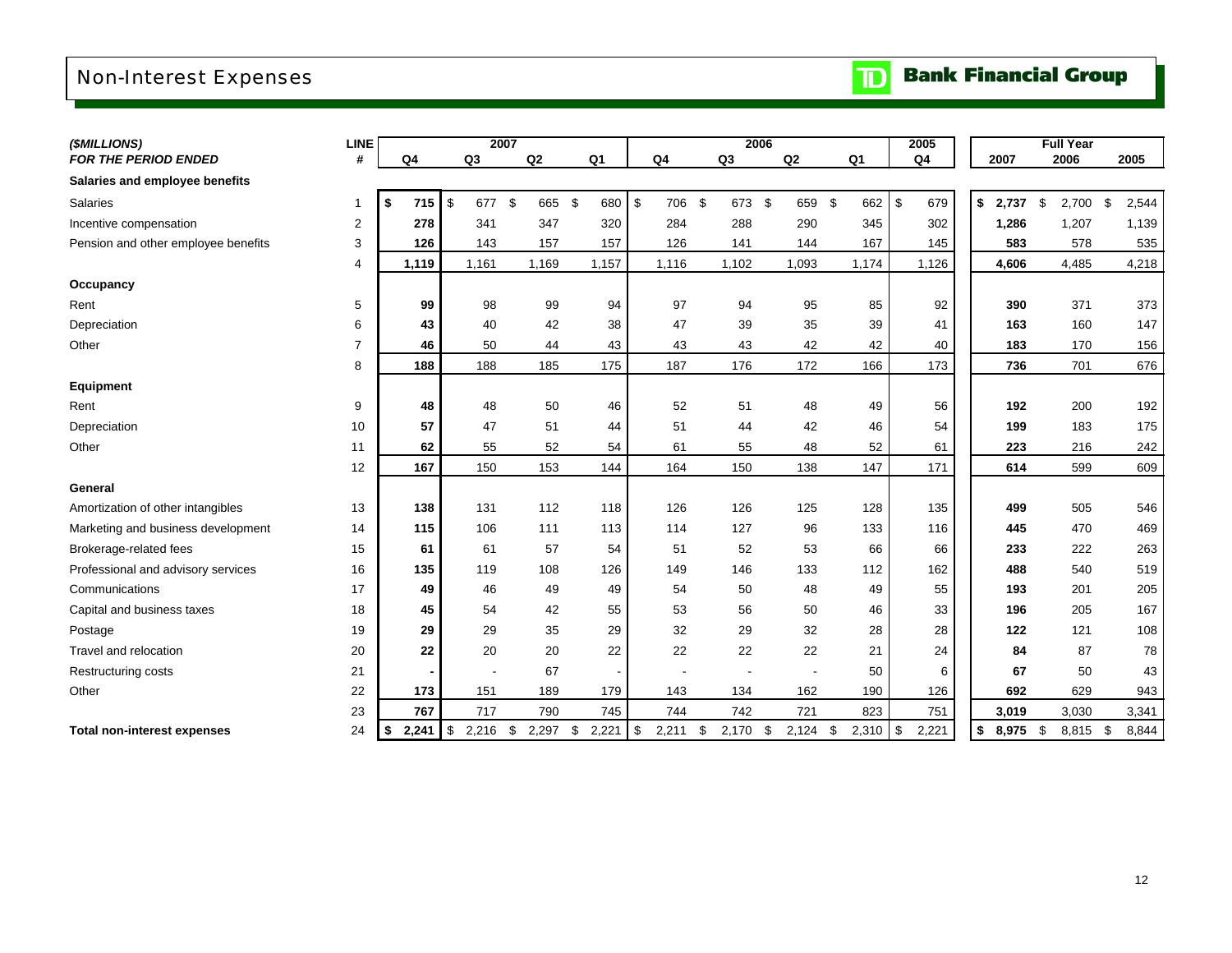## Non-Interest Expenses

|  |  | <b>TD</b> Bank Financial Group |  |
|--|--|--------------------------------|--|
|--|--|--------------------------------|--|

| (\$MILLIONS)                        | <b>LINE</b>    |             | 2007             |           |                     |                     |             | 2006        |             | 2005        |                   | <b>Full Year</b> |             |
|-------------------------------------|----------------|-------------|------------------|-----------|---------------------|---------------------|-------------|-------------|-------------|-------------|-------------------|------------------|-------------|
| <b>FOR THE PERIOD ENDED</b>         | #              | Q4          | Q3               | Q2        | Q1                  | Q4                  | Q3          | Q2          | Q1          | Q4          | 2007              | 2006             | 2005        |
| Salaries and employee benefits      |                |             |                  |           |                     |                     |             |             |             |             |                   |                  |             |
| Salaries                            | 1              | \$<br>715   | \$<br>677        | \$<br>665 | - \$<br>680         | 706<br>\$           | \$<br>673   | -\$<br>659  | \$<br>662   | \$<br>679   | \$<br>\$<br>2,737 | 2,700            | \$<br>2,544 |
| Incentive compensation              | $\overline{2}$ | 278         | 341              | 347       | 320                 | 284                 | 288         | 290         | 345         | 302         | 1,286             | 1,207            | 1,139       |
| Pension and other employee benefits | 3              | 126         | 143              | 157       | 157                 | 126                 | 141         | 144         | 167         | 145         | 583               | 578              | 535         |
|                                     | 4              | 1,119       | 1,161            | 1,169     | 1,157               | 1,116               | 1,102       | 1,093       | 1,174       | 1,126       | 4,606             | 4,485            | 4,218       |
| Occupancy                           |                |             |                  |           |                     |                     |             |             |             |             |                   |                  |             |
| Rent                                | 5              | 99          | 98               | 99        | 94                  | 97                  | 94          | 95          | 85          | 92          | 390               | 371              | 373         |
| Depreciation                        | 6              | 43          | 40               | 42        | 38                  | 47                  | 39          | 35          | 39          | 41          | 163               | 160              | 147         |
| Other                               | $\overline{7}$ | 46          | 50               | 44        | 43                  | 43                  | 43          | 42          | 42          | 40          | 183               | 170              | 156         |
|                                     | 8              | 188         | 188              | 185       | 175                 | 187                 | 176         | 172         | 166         | 173         | 736               | 701              | 676         |
| <b>Equipment</b>                    |                |             |                  |           |                     |                     |             |             |             |             |                   |                  |             |
| Rent                                | 9              | 48          | 48               | 50        | 46                  | 52                  | 51          | 48          | 49          | 56          | 192               | 200              | 192         |
| Depreciation                        | 10             | 57          | 47               | 51        | 44                  | 51                  | 44          | 42          | 46          | 54          | 199               | 183              | 175         |
| Other                               | 11             | 62          | 55               | 52        | 54                  | 61                  | 55          | 48          | 52          | 61          | 223               | 216              | 242         |
|                                     | 12             | 167         | 150              | 153       | 144                 | 164                 | 150         | 138         | 147         | 171         | 614               | 599              | 609         |
| General                             |                |             |                  |           |                     |                     |             |             |             |             |                   |                  |             |
| Amortization of other intangibles   | 13             | 138         | 131              | 112       | 118                 | 126                 | 126         | 125         | 128         | 135         | 499               | 505              | 546         |
| Marketing and business development  | 14             | 115         | 106              | 111       | 113                 | 114                 | 127         | 96          | 133         | 116         | 445               | 470              | 469         |
| Brokerage-related fees              | 15             | 61          | 61               | 57        | 54                  | 51                  | 52          | 53          | 66          | 66          | 233               | 222              | 263         |
| Professional and advisory services  | 16             | 135         | 119              | 108       | 126                 | 149                 | 146         | 133         | 112         | 162         | 488               | 540              | 519         |
| Communications                      | 17             | 49          | 46               | 49        | 49                  | 54                  | 50          | 48          | 49          | 55          | 193               | 201              | 205         |
| Capital and business taxes          | 18             | 45          | 54               | 42        | 55                  | 53                  | 56          | 50          | 46          | 33          | 196               | 205              | 167         |
| Postage                             | 19             | 29          | 29               | 35        | 29                  | 32                  | 29          | 32          | 28          | 28          | 122               | 121              | 108         |
| Travel and relocation               | 20             | 22          | 20               | 20        | 22                  | 22                  | 22          | 22          | 21          | 24          | 84                | 87               | 78          |
| Restructuring costs                 | 21             |             |                  | 67        |                     |                     | ÷,          |             | 50          | 6           | 67                | 50               | 43          |
| Other                               | 22             | 173         | 151              | 189       | 179                 | 143                 | 134         | 162         | 190         | 126         | 692               | 629              | 943         |
|                                     | 23             | 767         | 717              | 790       | 745                 | 744                 | 742         | 721         | 823         | 751         | 3,019             | 3,030            | 3,341       |
| <b>Total non-interest expenses</b>  | 24             | \$<br>2,241 | \$<br>$2,216$ \$ | 2,297     | 2,221<br>$\sqrt{3}$ | $\sqrt{3}$<br>2,211 | \$<br>2,170 | 2,124<br>\$ | \$<br>2,310 | \$<br>2,221 | \$<br>8,975<br>\$ | 8,815 \$         | 8,844       |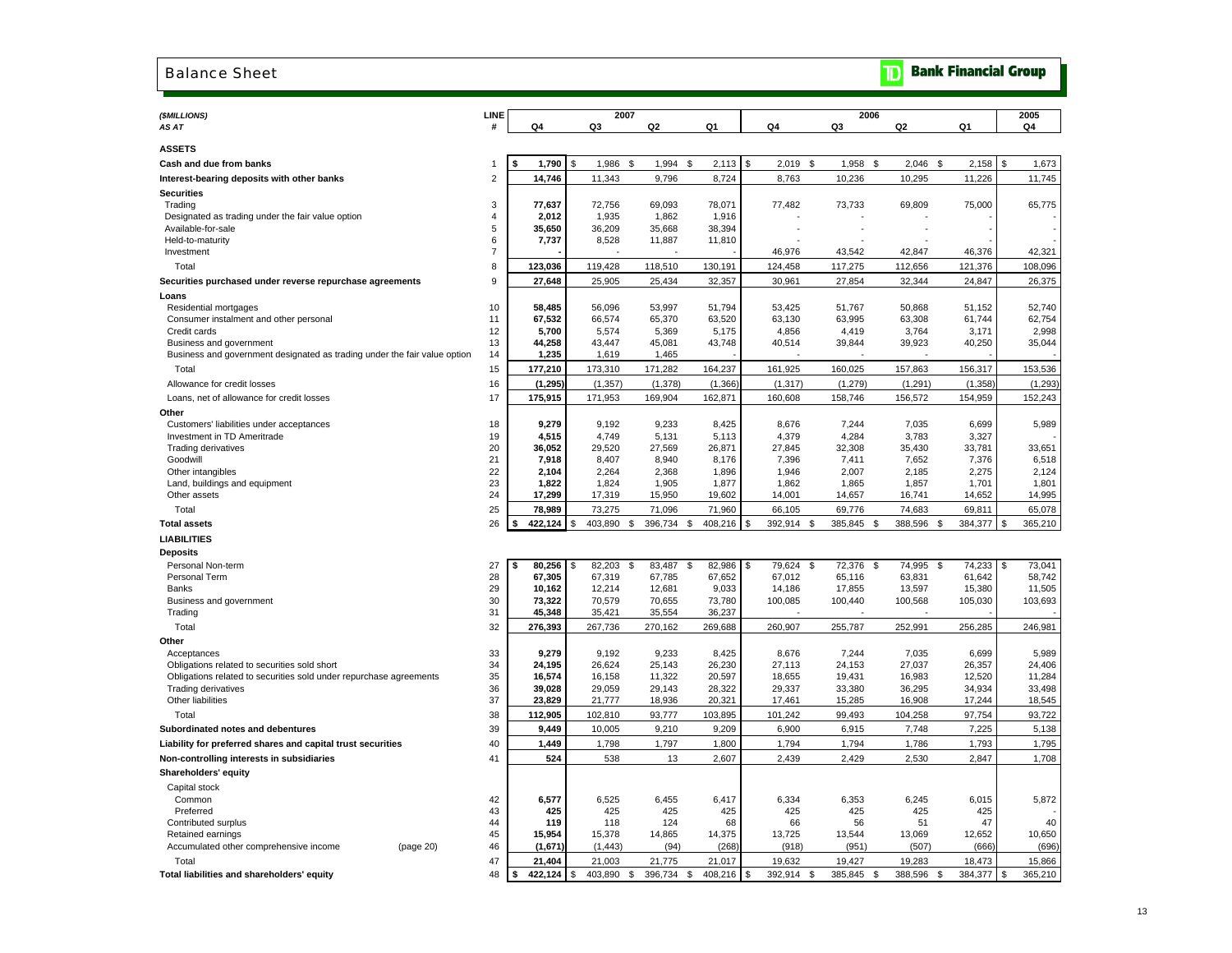#### Balance Sheet

|  |  | <b>The Bank Financial Group</b> |  |
|--|--|---------------------------------|--|
|--|--|---------------------------------|--|

| (\$MILLIONS)                                                              | <b>LINE</b>    |                    |     | 2007             |                 |                  |                       | 2006             |                 |                  | 2005            |
|---------------------------------------------------------------------------|----------------|--------------------|-----|------------------|-----------------|------------------|-----------------------|------------------|-----------------|------------------|-----------------|
| AS AT                                                                     |                | Q4                 |     | Q3               | Q <sub>2</sub>  | Q1               | Q4                    | Q3               | Q <sub>2</sub>  | Q1               | Q4              |
| <b>ASSETS</b>                                                             |                |                    |     |                  |                 |                  |                       |                  |                 |                  |                 |
| Cash and due from banks                                                   |                | 1,790              | \$. | 1,986<br>\$      | 1,994           | \$<br>2,113      | £.<br>2,019<br>\$     | 1,958<br>\$      | \$<br>2,046     | 2,158            | \$<br>1,673     |
| Interest-bearing deposits with other banks                                | $\overline{2}$ | 14,746             |     | 11,343           | 9,796           | 8,724            | 8,763                 | 10,236           | 10,295          | 11,226           | 11,745          |
| <b>Securities</b>                                                         |                |                    |     |                  |                 |                  |                       |                  |                 |                  |                 |
| Trading                                                                   | 3              | 77,637             |     | 72,756           | 69,093          | 78,071           | 77,482                | 73,733           | 69,809          | 75,000           | 65,775          |
| Designated as trading under the fair value option                         | $\overline{4}$ | 2,012              |     | 1,935            | 1,862           | 1,916            |                       |                  |                 |                  |                 |
| Available-for-sale                                                        | 5              | 35,650             |     | 36,209           | 35,668          | 38,394           |                       |                  |                 |                  |                 |
| Held-to-maturity                                                          | 6              | 7,737              |     | 8,528            | 11,887          | 11,810           |                       |                  |                 |                  |                 |
| Investment                                                                | $\overline{7}$ |                    |     |                  |                 |                  | 46,976                | 43,542           | 42,847          | 46,376           | 42,321          |
| Total                                                                     | 8              | 123,036            |     | 119,428          | 118,510         | 130,191          | 124,458               | 117,275          | 112,656         | 121,376          | 108,096         |
| Securities purchased under reverse repurchase agreements                  | 9              | 27,648             |     | 25,905           | 25,434          | 32,357           | 30,961                | 27,854           | 32,344          | 24,847           | 26,375          |
| Loans                                                                     |                |                    |     |                  |                 |                  |                       |                  |                 |                  |                 |
| Residential mortgages                                                     | 10             | 58,485             |     | 56,096           | 53,997          | 51,794           | 53,425                | 51,767           | 50,868          | 51,152           | 52,740          |
| Consumer instalment and other personal<br>Credit cards                    | 11<br>12       | 67,532<br>5,700    |     | 66,574<br>5,574  | 65,370<br>5,369 | 63,520<br>5,175  | 63,130<br>4,856       | 63,995<br>4,419  | 63,308<br>3,764 | 61,744<br>3,171  | 62,754<br>2,998 |
| Business and government                                                   | 13             | 44,258             |     | 43,447           | 45,081          | 43,748           | 40,514                | 39,844           | 39,923          | 40,250           | 35,044          |
| Business and government designated as trading under the fair value option | 14             | 1,235              |     | 1,619            | 1,465           |                  |                       |                  |                 |                  |                 |
| Total                                                                     | 15             | 177,210            |     | 173,310          | 171,282         | 164,237          | 161,925               | 160,025          | 157,863         | 156,317          | 153,536         |
| Allowance for credit losses                                               | 16             | (1, 295)           |     | (1, 357)         | (1, 378)        | (1, 366)         | (1, 317)              | (1, 279)         | (1, 291)        | (1, 358)         | (1, 293)        |
| Loans, net of allowance for credit losses                                 | 17             | 175,915            |     | 171,953          | 169,904         | 162,871          | 160,608               | 158,746          | 156,572         | 154,959          | 152,243         |
| Other                                                                     |                |                    |     |                  |                 |                  |                       |                  |                 |                  |                 |
| Customers' liabilities under acceptances                                  | 18             | 9,279              |     | 9,192            | 9,233           | 8,425            | 8,676                 | 7,244            | 7,035           | 6,699            | 5,989           |
| Investment in TD Ameritrade                                               | 19             | 4,515              |     | 4,749            | 5,131           | 5,113            | 4,379                 | 4,284            | 3,783           | 3,327            |                 |
| Trading derivatives                                                       | 20             | 36,052             |     | 29,520           | 27,569          | 26,871           | 27,845                | 32,308           | 35,430          | 33,781           | 33,651          |
| Goodwill                                                                  | 21             | 7,918              |     | 8,407            | 8,940           | 8,176            | 7,396                 | 7,411            | 7,652           | 7,376            | 6,518           |
| Other intangibles                                                         | 22             | 2,104              |     | 2,264            | 2,368           | 1,896            | 1,946                 | 2,007            | 2,185           | 2,275            | 2,124           |
| Land, buildings and equipment<br>Other assets                             | 23<br>24       | 1,822<br>17,299    |     | 1,824<br>17,319  | 1,905<br>15,950 | 1,877<br>19,602  | 1,862<br>14,001       | 1,865<br>14,657  | 1,857<br>16,741 | 1,701<br>14,652  | 1,801<br>14,995 |
| Total                                                                     | 25             | 78,989             |     | 73,275           | 71,096          | 71,960           | 66,105                | 69,776           | 74,683          | 69,811           | 65,078          |
| <b>Total assets</b>                                                       | 26             | 422,124<br>\$.     | \$  | 403,890<br>\$    | 396,734         | 408,216<br>\$    | 392,914<br>\$<br>- \$ | 385,845<br>- \$  | 388,596<br>\$   | 384,377          | \$<br>365,210   |
| <b>LIABILITIES</b>                                                        |                |                    |     |                  |                 |                  |                       |                  |                 |                  |                 |
|                                                                           |                |                    |     |                  |                 |                  |                       |                  |                 |                  |                 |
| <b>Deposits</b><br>Personal Non-term                                      | 27             | 80,256<br>s        | \$  | 82,203<br>\$     | 83,487          | 82,986<br>\$     | 79,624<br>\$<br>S     | 72,376<br>\$     | 74,995<br>\$    | 74,233           | 73,041          |
| Personal Term                                                             | 28             | 67,305             |     | 67,319           | 67,785          | 67,652           | 67,012                | 65,116           | 63,831          | 61,642           | 58,742          |
| Banks                                                                     | 29             | 10,162             |     | 12,214           | 12,681          | 9,033            | 14,186                | 17,855           | 13,597          | 15,380           | 11,505          |
| Business and government                                                   | 30             | 73,322             |     | 70,579           | 70,655          | 73,780           | 100,085               | 100,440          | 100,568         | 105,030          | 103,693         |
| Trading                                                                   | 31             | 45,348             |     | 35,421           | 35,554          | 36,237           |                       |                  |                 |                  |                 |
| Total                                                                     | 32             | 276,393            |     | 267,736          | 270,162         | 269,688          | 260,907               | 255,787          | 252,991         | 256,285          | 246,981         |
| Other                                                                     |                |                    |     |                  |                 |                  |                       |                  |                 |                  |                 |
| Acceptances                                                               | 33             | 9,279              |     | 9,192            | 9,233           | 8,425            | 8,676                 | 7,244            | 7,035           | 6,699            | 5,989           |
| Obligations related to securities sold short                              | 34             | 24,195             |     | 26,624           | 25,143          | 26,230           | 27,113                | 24,153           | 27,037          | 26,357           | 24,406          |
| Obligations related to securities sold under repurchase agreements        | 35             | 16,574             |     | 16,158           | 11,322          | 20,597           | 18,655                | 19,431           | 16,983          | 12,520           | 11,284          |
| <b>Trading derivatives</b><br>Other liabilities                           | 36<br>37       | 39,028             |     | 29,059<br>21,777 | 29,143          | 28,322<br>20,321 | 29,337<br>17,461      | 33,380<br>15,285 | 36,295          | 34,934<br>17,244 | 33,498          |
|                                                                           |                | 23,829             |     |                  | 18,936          |                  |                       |                  | 16,908          |                  | 18,545          |
| Total                                                                     | 38<br>39       | 112,905            |     | 102,810          | 93,777          | 103,895          | 101,242               | 99,493           | 104,258         | 97,754           | 93,722          |
| Subordinated notes and debentures                                         | 40             | 9,449              |     | 10,005<br>1.798  | 9,210           | 9,209            | 6,900                 | 6,915            | 7,748           | 7,225            | 5,138           |
| Liability for preferred shares and capital trust securities               |                | 1,449              |     |                  | 1,797           | 1,800            | 1,794                 | 1,794            | 1,786           | 1,793            | 1,795<br>1,708  |
| Non-controlling interests in subsidiaries                                 | 41             | 524                |     | 538              | 13              | 2,607            | 2,439                 | 2,429            | 2,530           | 2,847            |                 |
| Shareholders' equity                                                      |                |                    |     |                  |                 |                  |                       |                  |                 |                  |                 |
| Capital stock<br>Common                                                   |                |                    |     | 6,525            | 6,455           |                  |                       |                  |                 |                  |                 |
| Preferred                                                                 | 42<br>43       | 6,577<br>425       |     | 425              | 425             | 6,417<br>425     | 6,334<br>425          | 6,353<br>425     | 6,245<br>425    | 6,015<br>425     | 5,872           |
| Contributed surplus                                                       | 44             | 119                |     | 118              | 124             | 68               | 66                    | 56               | 51              | 47               | 40              |
| Retained earnings                                                         | 45             | 15,954             |     | 15,378           | 14,865          | 14,375           | 13,725                | 13,544           | 13,069          | 12,652           | 10,650          |
| Accumulated other comprehensive income<br>(page 20)                       | 46             | (1,671)            |     | (1, 443)         | (94)            | (268)            | (918)                 | (951)            | (507)           | (666)            | (696)           |
| Total                                                                     | 47             | 21,404             |     | 21,003           | 21,775          | 21,017           | 19,632                | 19,427           | 19,283          | 18,473           | 15,866          |
| Total liabilities and shareholders' equity                                | 48             | \$<br>$422,124$ \$ |     | 403.890<br>\$    | 396,734 \$      | 408,216          | \$<br>392.914<br>- \$ | 385,845 \$       | 388.596<br>-S   | 384.377          | \$<br>365.210   |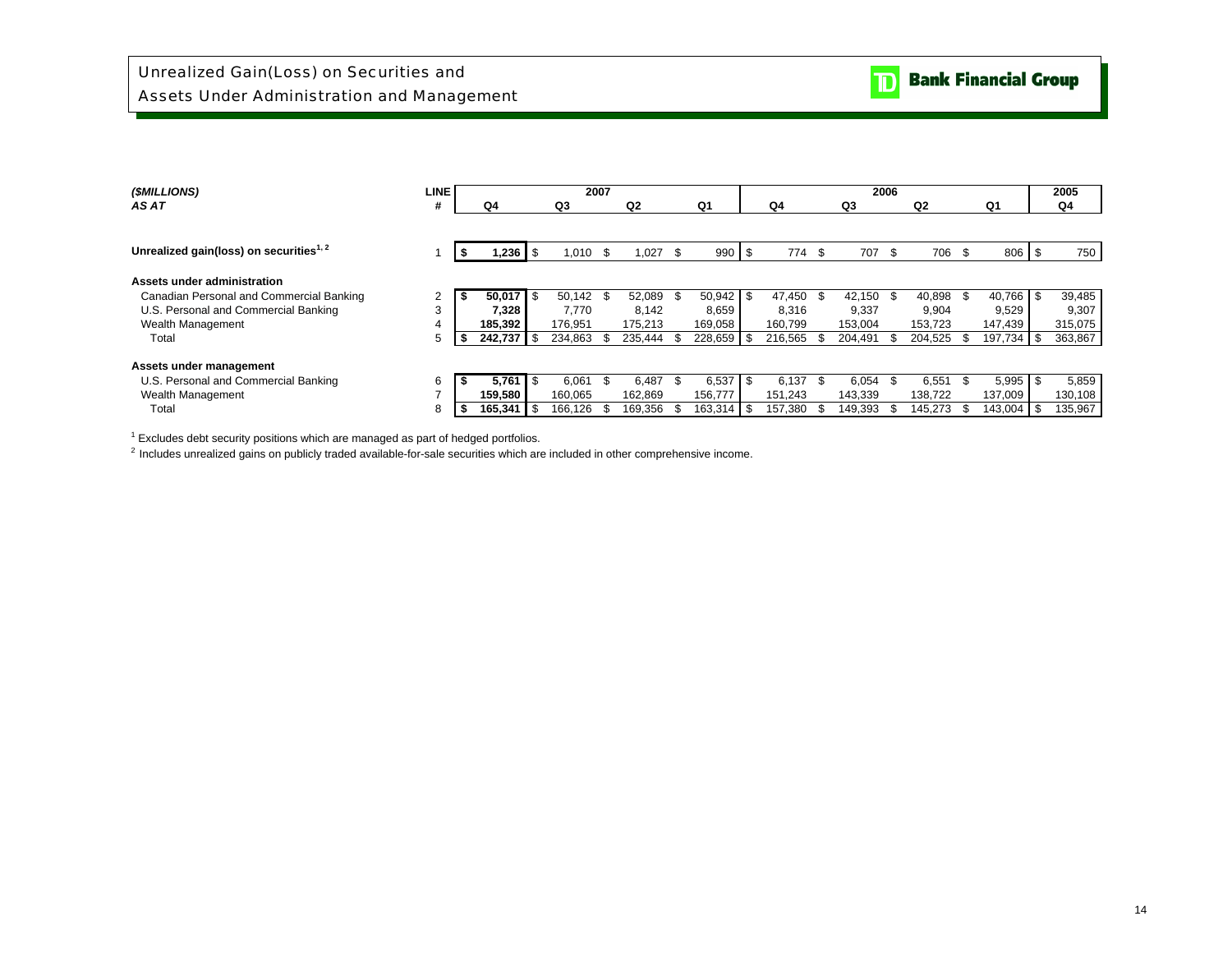| (\$MILLIONS)                                        | <b>LINE</b> |      |         |      | 2007        |    |         |     |         |      |         |      |         | 2006 |         |            | 2005    |
|-----------------------------------------------------|-------------|------|---------|------|-------------|----|---------|-----|---------|------|---------|------|---------|------|---------|------------|---------|
| AS AT                                               | #           |      | Q4      |      | Q3          |    | Q2      |     | Q1      |      | Q4      |      | Q3      |      | Q2      | Q1         | Q4      |
|                                                     |             |      |         |      |             |    |         |     |         |      |         |      |         |      |         |            |         |
| Unrealized gain(loss) on securities <sup>1, 2</sup> |             |      | 236, ا  | \$   | 1,010       | \$ | 1,027   | \$. | 990     | - \$ | 774 \$  |      | 707     | \$   | 706     | \$<br>806  | 750     |
| Assets under administration                         |             |      |         |      |             |    |         |     |         |      |         |      |         |      |         |            |         |
| Canadian Personal and Commercial Banking            | 2           | J.   | 50,017  | 1 S  | $50,142$ \$ |    | 52.089  |     | 50,942  | l \$ | 47.450  | - \$ | 42.150  | -\$  | 40,898  | 40.766 \$  | 39,485  |
| U.S. Personal and Commercial Banking                | 3           |      | 7,328   |      | 7.770       |    | 8.142   |     | 8,659   |      | 8,316   |      | 9,337   |      | 9,904   | 9,529      | 9,307   |
| Wealth Management                                   | 4           |      | 185.392 |      | 176.951     |    | 175.213 |     | 169,058 |      | 160.799 |      | 153,004 |      | 153.723 | 147,439    | 315,075 |
| Total                                               | 5           |      | 242.737 |      | 234,863     |    | 235,444 |     | 228,659 | - \$ | 216,565 |      | 204,491 | \$.  | 204,525 | 197,734 \$ | 363,867 |
| Assets under management                             |             |      |         |      |             |    |         |     |         |      |         |      |         |      |         |            |         |
| U.S. Personal and Commercial Banking                | 6           |      | 5,761   | l \$ | 6.061       | £. | 6.487   |     | 6.537   | l \$ | 6.137   | -S   | 6.054   | \$.  | 6,551   | $5,995$ \$ | 5,859   |
| Wealth Management                                   | -           |      | 159.580 |      | 160,065     |    | 162,869 |     | 156.777 |      | 151,243 |      | 143,339 |      | 138,722 | 137,009    | 130,108 |
| Total                                               | 8           | - 30 | 165.341 |      | 166.126     |    | 169.356 |     | 163.314 | l \$ | 157.380 |      | 149,393 |      | 145.273 | 143,004 \$ | 135,967 |

 $1$  Excludes debt security positions which are managed as part of hedged portfolios. 2 Includes unrealized gains on publicly traded available-for-sale securities which are included in other comprehensive income.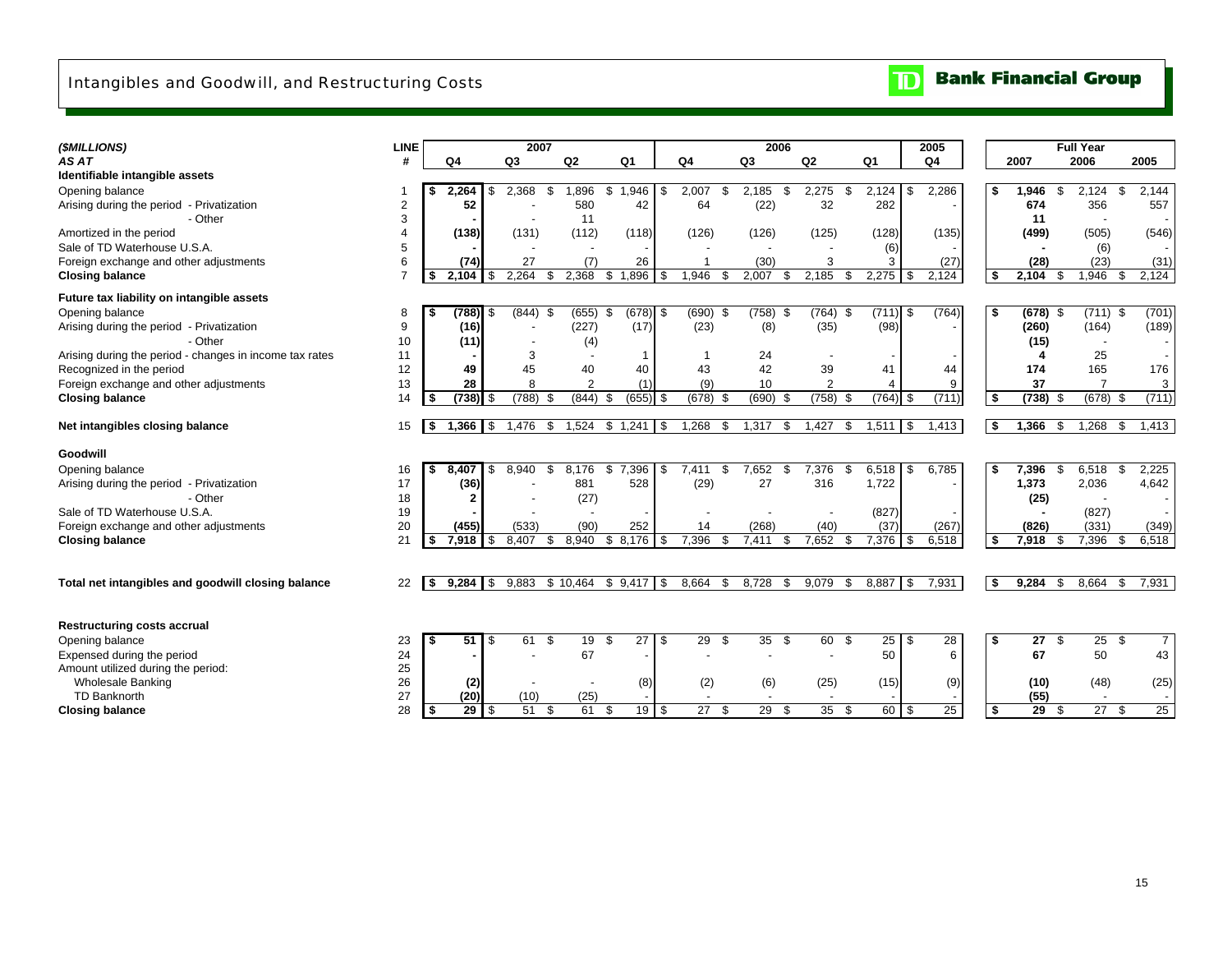## Intangibles and Goodwill, and Restructuring Costs

#### $\overline{\mathbf{D}}$ **Bank Financial Group**

| (\$MILLIONS)                                            | <b>LINE</b> |      |            |            | 2007        |             |                |                        |     |                |      | 2006           |                   |                |       | 2005            |     |            |      | Full Year                |    |                 |
|---------------------------------------------------------|-------------|------|------------|------------|-------------|-------------|----------------|------------------------|-----|----------------|------|----------------|-------------------|----------------|-------|-----------------|-----|------------|------|--------------------------|----|-----------------|
| AS AT                                                   | #           |      | Q4         |            | Q3          | Q2          |                | Q <sub>1</sub>         |     | Q4             |      | Q <sub>3</sub> | Q2                | Q <sub>1</sub> |       | Q <sub>4</sub>  |     | 2007       |      | 2006                     |    | 2005            |
| Identifiable intangible assets                          |             |      |            |            |             |             |                |                        |     |                |      |                |                   |                |       |                 |     |            |      |                          |    |                 |
| Opening balance                                         |             |      | 2.264      | - \$       | 2,368       | \$<br>1,896 | \$             | .946<br>-1             | \$  | 2,007          | \$.  | 2.185<br>\$.   | 2,275<br>\$       | 2,124          | \$    | 2,286           | \$  | 1,946      | \$   | 2,124                    | \$ | 2,144           |
| Arising during the period - Privatization               | 2           |      | 52         |            |             | 580         |                | 42                     |     | 64             |      | (22)           | 32                | 282            |       |                 |     | 674        |      | 356                      |    | 557             |
| - Other                                                 | 3           |      |            |            |             | 11          |                |                        |     |                |      |                |                   |                |       |                 |     | 11         |      |                          |    |                 |
| Amortized in the period                                 |             |      | (138)      |            | (131)       | (112)       |                | (118)                  |     | (126)          |      | (126)          | (125)             | (128)          |       | (135)           |     | (499)      |      | (505)                    |    | (546)           |
| Sale of TD Waterhouse U.S.A.                            | 5           |      |            |            |             |             |                |                        |     |                |      |                |                   | (6)            |       |                 |     |            |      | (6)                      |    |                 |
| Foreign exchange and other adjustments                  | 6           |      | (74)       |            | 27          |             | (7)            | 26                     |     | $\overline{1}$ |      | (30)           | 3                 | 3              |       | (27)            |     | (28)       |      | (23)                     |    | (31)            |
| <b>Closing balance</b>                                  |             | -S   | 2,104      | -S         | 2,264       | \$<br>2,368 | \$             | ,896<br>$\overline{1}$ | \$  | 1,946          | \$.  | 2,007          | 2,185<br>\$       | $2,275$ \$     |       | 2,124           | \$  | 2,104      | \$   | 1,946                    | \$ | 2,124           |
|                                                         |             |      |            |            |             |             |                |                        |     |                |      |                |                   |                |       |                 |     |            |      |                          |    |                 |
| Future tax liability on intangible assets               |             |      |            |            |             |             |                |                        |     |                |      |                |                   |                |       |                 |     |            |      |                          |    |                 |
| Opening balance                                         | 8           | \$   | $(788)$ \$ |            | $(844)$ \$  | (655)       | \$             | $(678)$ \$             |     | $(690)$ \$     |      | $(758)$ \$     | $(764)$ \$        | $(711)$ \$     |       | (764)           | \$  | $(678)$ \$ |      | $(711)$ \$               |    | (701)           |
| Arising during the period - Privatization               | 9           |      | (16)       |            |             | (227)       |                | (17)                   |     | (23)           |      | (8)            | (35)              | (98)           |       |                 |     | (260)      |      | (164)                    |    | (189)           |
| - Other                                                 | 10          |      | (11)       |            |             |             | (4)            |                        |     |                |      |                |                   |                |       |                 |     | (15)       |      |                          |    |                 |
| Arising during the period - changes in income tax rates | 11          |      |            |            | 3           |             |                | $\mathbf{1}$           |     | $\overline{1}$ |      | 24             |                   |                |       |                 |     | 4          |      | 25                       |    |                 |
| Recognized in the period                                | 12          |      | 49         |            | 45          |             | 40             | 40                     |     | 43             |      | 42             | 39                | 41             |       | 44              |     | 174        |      | 165                      |    | 176             |
| Foreign exchange and other adjustments                  | 13          |      | 28         |            | 8           |             | $\overline{2}$ | (1)                    |     | (9)            |      | 10             | $\overline{2}$    |                |       | 9               |     | 37         |      | $\overline{7}$           |    | 3               |
| <b>Closing balance</b>                                  | 14          |      | (738)      | l \$       | (788)<br>Ŝ. | (844)       | \$             | (655)                  | \$  | (678)          | - \$ | (690)          | (758)<br>\$       | (764)          | \$    | (711)           | -\$ | (738)      | - \$ | (678)                    | Ŝ. | (711)           |
|                                                         |             |      |            |            |             |             |                |                        |     |                |      |                |                   |                |       |                 |     |            |      |                          |    |                 |
| Net intangibles closing balance                         | 15          | - \$ | 1,366      | $\sqrt{3}$ | 1,476       | \$          |                | $1,524$ \$ 1,241 \\$   |     | 1,268          | \$   | $1,317$ \$     | 1,427<br>\$       | $1,511$ \$     |       | 1,413           | S.  | 1,366      | - \$ | 1,268                    | \$ | 1,413           |
| Goodwill                                                |             |      |            |            |             |             |                |                        |     |                |      |                |                   |                |       |                 |     |            |      |                          |    |                 |
| Opening balance                                         | 16          | \$   | 8,407      | -S         | 8.940       | 8.176<br>\$ |                | \$7<br>.396            | \$  | 7.411          | \$   | 7,652<br>\$    | 7,376<br>\$       | 6,518          | \$    | 6,785           | -\$ | 7,396      | \$   | 6,518                    | \$ | 2,225           |
| Arising during the period - Privatization               | 17          |      | (36)       |            |             | 881         |                | 528                    |     | (29)           |      | 27             | 316               | 1,722          |       |                 |     | 1,373      |      | 2,036                    |    | 4,642           |
| - Other                                                 | 18          |      | 2          |            |             |             | (27)           |                        |     |                |      |                |                   |                |       |                 |     | (25)       |      | $\overline{\phantom{a}}$ |    |                 |
| Sale of TD Waterhouse U.S.A.                            | 19          |      |            |            |             |             |                |                        |     |                |      |                |                   | (827)          |       |                 |     |            |      | (827)                    |    |                 |
| Foreign exchange and other adjustments                  | 20          |      | (455)      |            | (533)       |             | (90)           | 252                    |     | 14             |      | (268)          | (40)              | (37)           |       | (267)           |     | (826)      |      | (331)                    |    | (349)           |
| <b>Closing balance</b>                                  | 21          | S    | 7,918      | \$         | 8,407       | 8,940<br>\$ | \$             | 8,176                  | -\$ | 7,396          |      | 7,411          | 7,652<br>\$       | 7,376          | \$    | 6,518           | \$  | 7,918      | £.   | 7,396                    | Ж, | 6,518           |
|                                                         |             |      |            |            |             |             |                |                        |     |                |      |                |                   |                |       |                 |     |            |      |                          |    |                 |
|                                                         |             |      |            |            |             |             |                |                        |     |                |      |                |                   |                |       |                 |     |            |      |                          |    |                 |
| Total net intangibles and goodwill closing balance      | 22          | -\$  | 9,284      | <b>S</b>   | 9,883       | \$10,464    |                | \$9,417                | -\$ | 8,664          | \$   | 8,728          | \$<br>9,079<br>\$ | 8,887          | l \$  | 7,931           | \$  | 9,284      | \$   | 8,664                    | \$ | 7,931           |
|                                                         |             |      |            |            |             |             |                |                        |     |                |      |                |                   |                |       |                 |     |            |      |                          |    |                 |
| Restructuring costs accrual                             |             |      |            |            |             |             |                |                        |     |                |      |                |                   |                |       |                 |     |            |      |                          |    |                 |
| Opening balance                                         | 23          | - \$ | 51         | l \$       | 61          | \$          | 19<br>\$       | 27                     | \$  | 29             | \$   | 35<br>\$       | \$<br>60          | 25             | \$    | 28              | \$  | 27         | \$   | 25                       | \$ | $\overline{7}$  |
| Expensed during the period                              | 24          |      |            |            |             |             | 67             |                        |     |                |      |                |                   | 50             |       | 6               |     | 67         |      | 50                       |    | 43              |
| Amount utilized during the period:                      | 25          |      |            |            |             |             |                |                        |     |                |      |                |                   |                |       |                 |     |            |      |                          |    |                 |
| <b>Wholesale Banking</b>                                | 26          |      | (2)        |            |             |             |                | (8)                    |     | (2)            |      | (6)            | (25)              | (15)           |       | (9)             |     | (10)       |      | (48)                     |    | (25)            |
| <b>TD Banknorth</b>                                     | 27          |      | (20)       |            | (10)        |             | (25)           |                        |     |                |      |                |                   |                |       |                 |     | (55)       |      |                          |    |                 |
| <b>Closing balance</b>                                  | 28          | \$   | 29         | $\sqrt{3}$ | 51          | \$          | 61<br>\$       | $19$ \ \$              |     | 27             | \$   | 29<br>-\$      | 35<br>\$          |                | 60 \$ | $\overline{25}$ | \$  | 29         | \$   | 27                       | \$ | $\overline{25}$ |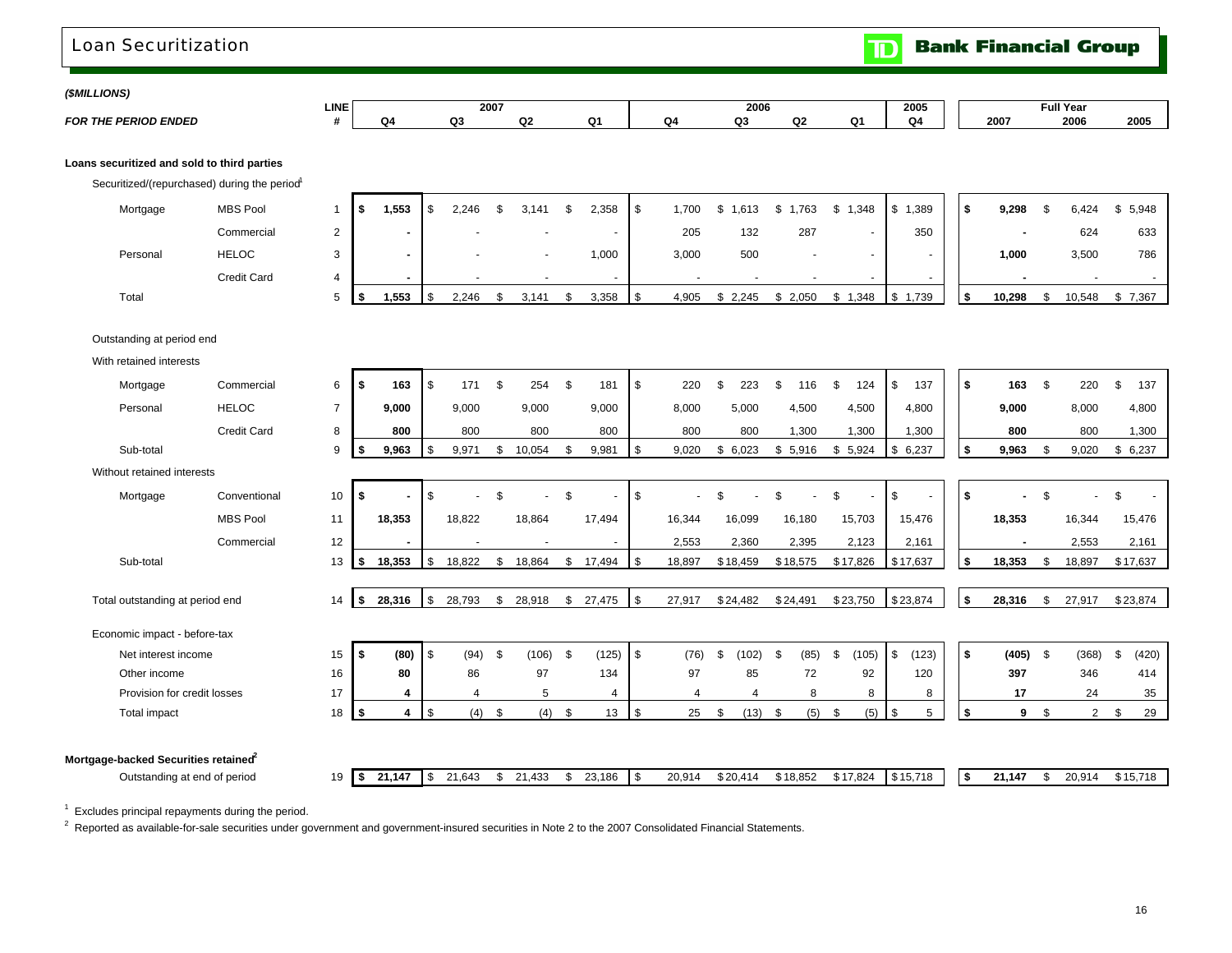### Loan Securitization

**Bank Financial Group**  $\mathbf{D}$ 

| (\$MILLIONS) |  |
|--------------|--|
|--------------|--|

| 1 <i>01111</i> 1101101      |      |     |         |   |        |    |      |      |      |     |
|-----------------------------|------|-----|---------|---|--------|----|------|------|------|-----|
|                             | LINE | 200 |         |   | 2006   |    | 2005 |      | нu   |     |
| <b>FOR THE PERIOD ENDED</b> |      |     | <b></b> | - | $\sim$ | n. | ⌒    | 2007 | 2006 | 200 |

#### **Loans securitized and sold to third parties**

Securitized/(repurchased) during the period<sup>1</sup>

| Mortgage | <b>MBS Pool</b> |  | 1,553 | 2,246 | 3,141 | 2,358                    | -SS | .700  | .613  | .763    | 1,348  | 389.<br>\$  | 9,298  | 6,424  | \$5,948     |
|----------|-----------------|--|-------|-------|-------|--------------------------|-----|-------|-------|---------|--------|-------------|--------|--------|-------------|
|          | Commercial      |  |       |       |       | $\overline{\phantom{a}}$ |     | 205   | 132   | 287     |        | 350         |        | 624    | 633         |
| Personal | <b>HELOC</b>    |  |       |       |       | 000,                     |     | 3,000 | 500   |         | $\sim$ |             | 1,000  | 3,500  | 786         |
|          | Credit Card     |  |       |       |       | $\overline{\phantom{a}}$ |     |       |       |         | $\sim$ |             |        |        |             |
| Total    |                 |  | ,553  | 2,246 | 3,141 | 3,358                    | S   | 4,905 | 2,245 | \$2,050 | 1,348  | 1,739<br>\$ | 10,298 | 10,548 | 7,367<br>Jэ |

Outstanding at period end

With retained interests

| Mortgage                            | Commercial         | 6              |          | 163    | <b>S</b>       | 171    | \$             | 254    | - \$ | 181    | $\sqrt{3}$ | 220      | 223<br>\$.    | \$. | 116      | 124<br>\$   | \$           | 137      | - \$   | 163    | S  | 220    | \$<br>137   |
|-------------------------------------|--------------------|----------------|----------|--------|----------------|--------|----------------|--------|------|--------|------------|----------|---------------|-----|----------|-------------|--------------|----------|--------|--------|----|--------|-------------|
| Personal                            | <b>HELOC</b>       | $\overline{7}$ |          | 9.000  |                | 9,000  |                | 9,000  |      | 9,000  |            | 8,000    | 5,000         |     | 4,500    | 4,500       |              | 4,800    |        | 9,000  |    | 8,000  | 4,800       |
|                                     | <b>Credit Card</b> | 8              |          | 800    |                | 800    |                | 800    |      | 800    |            | 800      | 800           |     | 1,300    | 1,300       |              | 1,300    |        | 800    |    | 800    | 1,300       |
| Sub-total                           |                    | 9              |          | 9,963  | - \$           | 9,971  | \$             | 10,054 |      | 9,981  | l \$       | 9,020    | 6,023<br>\$   | \$  | 5,916    | 5,924<br>\$ |              | \$6,237  | \$     | 9,963  | S. | 9,020  | 6,237<br>\$ |
| Without retained interests          |                    |                |          |        |                |        |                |        |      |        |            |          |               |     |          |             |              |          |        |        |    |        |             |
| Mortgage                            | Conventional       | 10             | -\$      |        | \$             |        | $\mathfrak{L}$ |        | \$   |        | \$         |          | $\mathcal{R}$ | ደ   |          | \$          | \$           |          | \$     |        |    |        | \$          |
|                                     | <b>MBS Pool</b>    | 11             |          | 18,353 |                | 18,822 |                | 18,864 |      | 17,494 |            | 16,344   | 16,099        |     | 16,180   | 15,703      |              | 15,476   |        | 18,353 |    | 16,344 | 15,476      |
|                                     | Commercial         | 12             |          |        |                |        |                |        |      |        |            | 2,553    | 2,360         |     | 2,395    | 2,123       |              | 2,161    |        |        |    | 2,553  | 2,161       |
| Sub-total                           |                    | 13             | -5       | 18,353 | l \$           | 18,822 | \$             | 18,864 | \$   | 17,494 | l \$       | 18,897   | \$18,459      |     | \$18,575 | \$17,826    |              | \$17,637 | \$     | 18,353 |    | 18,897 | \$17,637    |
|                                     |                    |                |          |        |                |        |                |        |      |        |            |          |               |     |          |             |              |          |        |        |    |        |             |
| Total outstanding at period end     |                    | 14             | <b>S</b> | 28,316 | $\sqrt{3}$     | 28,793 | \$             | 28,918 |      | 27,475 | l \$       | 27,917   | \$24,482      |     | \$24,491 | \$23,750    |              | \$23,874 | $\sim$ | 28,316 | \$ | 27,917 | \$23,874    |
| Economic impact - before-tax        |                    |                |          |        |                |        |                |        |      |        |            |          |               |     |          |             |              |          |        |        |    |        |             |
| Net interest income                 |                    | 15             |          | (80)   | $\overline{1}$ | (94)   | \$             | (106)  | - \$ | (125)  | l \$       | (76)     | \$<br>(102)   | \$  | (85)     | \$<br>(105) | $\mathbb{S}$ | (123)    | l \$   | (405)  | \$ | (368)  | \$<br>(420) |
| Other income                        |                    | 16             |          | 80     |                | 86     |                | 97     |      | 134    |            | 97       | 85            |     | 72       | 92          |              | 120      |        | 397    |    | 346    | 414         |
| Provision for credit losses         |                    | 17             |          |        |                |        |                | 5      |      | 4      |            | $\Delta$ | 4             |     | 8        | 8           |              | 8        |        | 17     |    | 24     | 35          |
| <b>Total impact</b>                 |                    | 18             | - \$     | 4      | l \$           | (4)    | \$             | (4)    | -\$  | 13     | l \$       | 25       | (13)          | \$  | (5)      | (5)<br>\$   | \$           | 5        | \$     | 9      | \$ | 2      | \$<br>29    |
|                                     |                    |                |          |        |                |        |                |        |      |        |            |          |               |     |          |             |              |          |        |        |    |        |             |
| Mortgage-backed Securities retaineď |                    |                |          |        |                |        |                |        |      |        |            |          |               |     |          |             |              |          |        |        |    |        |             |
| Outstanding at end of period        |                    | 19             | I \$     | 21,147 | <b>S</b>       | 21,643 | \$             | 21,433 |      | 23,186 | <b>\$</b>  | 20,914   | \$20,414      |     | \$18,852 | \$17,824    |              | \$15,718 | 5      | 21,147 | \$ | 20,914 | \$15,718    |

 $1$  Excludes principal repayments during the period.

 $2$  Reported as available-for-sale securities under government and government-insured securities in Note 2 to the 2007 Consolidated Financial Statements.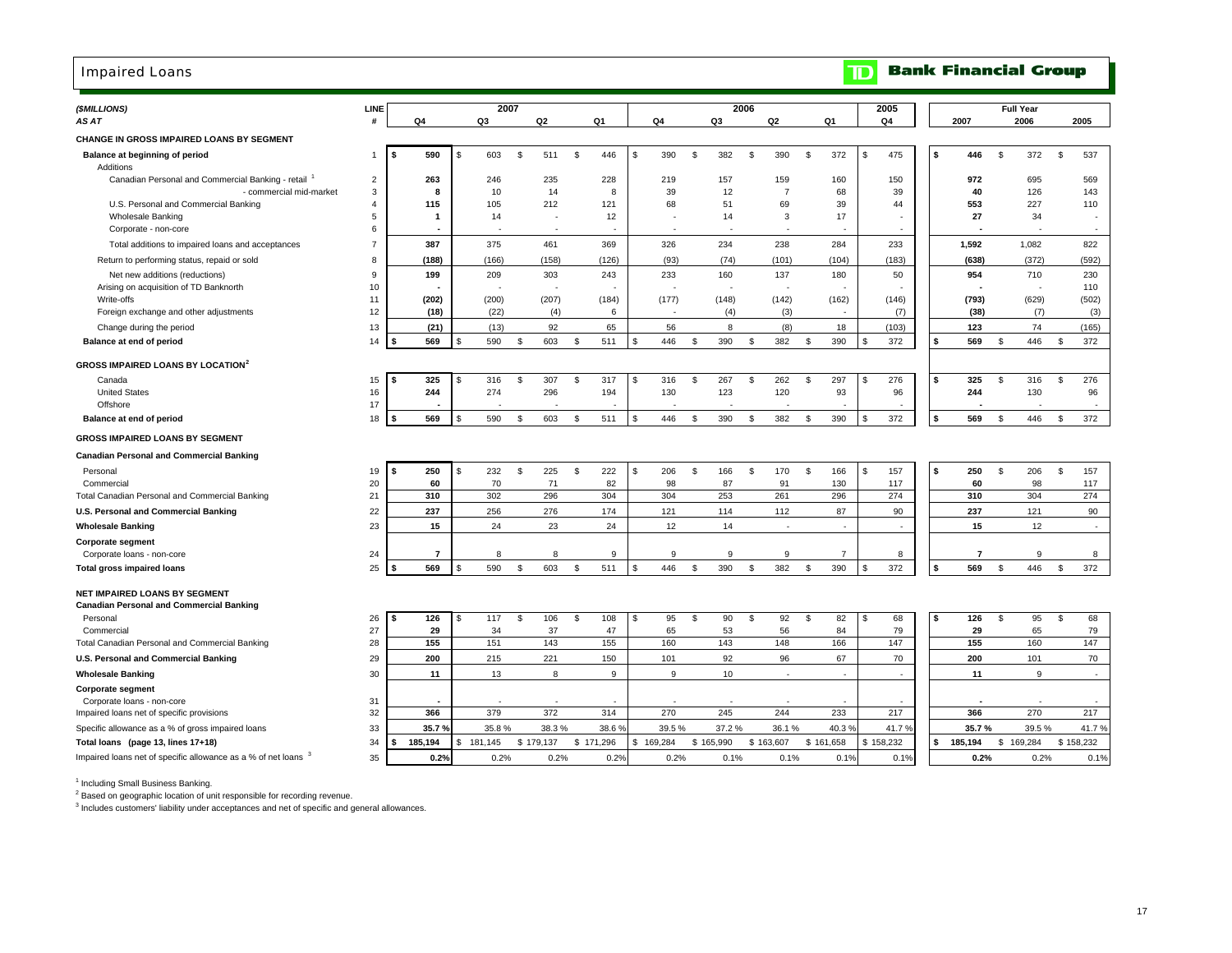### Impaired Loans

## **TD** Bank Financial Group

| (\$MILLIONS)                                                                                         | LINE           |                        | 2007         |     |                          |                    |     |                    |          |                    | 2006           |                |           |                |    | 2005       |    |            | <b>Full Year</b> |           |           |                          |
|------------------------------------------------------------------------------------------------------|----------------|------------------------|--------------|-----|--------------------------|--------------------|-----|--------------------|----------|--------------------|----------------|----------------|-----------|----------------|----|------------|----|------------|------------------|-----------|-----------|--------------------------|
| AS AT                                                                                                | #              | Q4                     | Q3           |     | Q <sub>2</sub>           | Q <sub>1</sub>     |     | Q4                 |          | Q3                 |                | Q2             | Q1        |                |    | Q4         |    | 2007       |                  | 2006      |           | 2005                     |
| CHANGE IN GROSS IMPAIRED LOANS BY SEGMENT                                                            |                |                        |              |     |                          |                    |     |                    |          |                    |                |                |           |                |    |            |    |            |                  |           |           |                          |
| Balance at beginning of period<br>Additions                                                          | $\overline{1}$ | s.<br>590              | 603<br>-8    | \$. | 511                      | \$<br>446          | -S  | 390                | -S       | 382                | S.             | 390            | \$        | 372            | s. | 475        | ŝ. | 446        | \$               | 372       | \$        | 537                      |
| Canadian Personal and Commercial Banking - retail                                                    | $\overline{2}$ | 263                    | 246          |     | 235                      | 228                |     | 219                |          | 157                |                | 159            |           | 160            |    | 150        |    | 972        |                  | 695       |           | 569                      |
| - commercial mid-market                                                                              | 3              | 8                      | 10           |     | 14                       | 8                  |     | 39                 |          | 12                 |                | $\overline{7}$ |           | 68             |    | 39         |    | 40         |                  | 126       |           | 143                      |
| U.S. Personal and Commercial Banking                                                                 | $\overline{4}$ | 115                    | 105          |     | 212                      | 121                |     | 68                 |          | 51                 |                | 69             |           | 39             |    | 44         |    | 553        |                  | 227       |           | 110                      |
| <b>Wholesale Banking</b><br>Corporate - non-core                                                     | 5<br>6         | -1                     | 14           |     | $\overline{\phantom{a}}$ | 12                 |     |                    |          | 14                 |                | 3              |           | 17             |    |            |    | 27         |                  | 34        |           | $\overline{\phantom{a}}$ |
| Total additions to impaired loans and acceptances                                                    | $\overline{7}$ | 387                    | 375          |     | 461                      | 369                |     | 326                |          | 234                |                | 238            |           | 284            |    | 233        |    | 1,592      |                  | 1,082     |           | 822                      |
| Return to performing status, repaid or sold                                                          | 8              | (188)                  | (166)        |     | (158)                    | (126)              |     | (93)               |          | (74)               |                | (101)          |           | (104)          |    | (183)      |    | (638)      |                  | (372)     |           | (592)                    |
| Net new additions (reductions)                                                                       | 9              | 199                    | 209          |     | 303                      | 243                |     | 233                |          | 160                |                | 137            |           | 180            |    | 50         |    | 954        |                  | 710       |           | 230                      |
| Arising on acquisition of TD Banknorth                                                               | 10             |                        |              |     |                          |                    |     |                    |          |                    |                |                |           |                |    |            |    |            |                  |           |           | 110                      |
| Write-offs                                                                                           | 11             | (202)                  | (200)        |     | (207)                    | (184)              |     | (177)              |          | (148)              |                | (142)          |           | (162)          |    | (146)      |    | (793)      |                  | (629)     |           | (502)                    |
| Foreign exchange and other adjustments                                                               | 12             | (18)                   | (22)         |     | (4)                      | 6                  |     |                    |          | (4)                |                | (3)            |           |                |    | (7)        |    | (38)       |                  | (7)       |           | (3)                      |
| Change during the period                                                                             | 13<br>14       | (21)<br>569            | (13)<br>590  |     | 92                       | 65<br>-S           | \$. | 56<br>446          | -S       | 8                  | \$             | (8)            |           | 18<br>390      |    | (103)      | \$ | 123<br>569 | \$               | 74<br>446 |           | (165)<br>372             |
| Balance at end of period                                                                             |                |                        |              | -S  | 603                      | 511                |     |                    |          | 390                |                | 382            | \$        |                | \$ | 372        |    |            |                  |           | \$        |                          |
| <b>GROSS IMPAIRED LOANS BY LOCATION</b> <sup>2</sup>                                                 |                |                        |              |     |                          |                    |     |                    |          |                    |                |                |           |                |    |            |    |            |                  |           |           |                          |
| Canada                                                                                               | 15             | 325                    | 316          | \$. | 307                      | 317<br>-\$         | \$  | 316                | <b>S</b> | 267                | \$             | 262            | \$        | 297            | S  | 276        | \$ | 325        | \$               | 316       | \$        | 276                      |
| <b>United States</b>                                                                                 | 16             | 244                    | 274          |     | 296                      | 194                |     | 130                |          | 123                |                | 120            |           | 93             |    | 96         |    | 244        |                  | 130       |           | 96                       |
| Offshore<br>Balance at end of period                                                                 | 17<br>18       | 569                    | 590          | \$  | 603                      | <b>S</b><br>511    | \$. | 446                | -S       | 390                | $\mathfrak{L}$ | 382            | \$        | 390            | S  | 372        | \$ | 569        | \$               | 446       | \$        | 372                      |
|                                                                                                      |                |                        |              |     |                          |                    |     |                    |          |                    |                |                |           |                |    |            |    |            |                  |           |           |                          |
| <b>GROSS IMPAIRED LOANS BY SEGMENT</b>                                                               |                |                        |              |     |                          |                    |     |                    |          |                    |                |                |           |                |    |            |    |            |                  |           |           |                          |
| <b>Canadian Personal and Commercial Banking</b>                                                      |                |                        |              |     |                          |                    |     |                    |          |                    |                |                |           |                |    |            |    |            |                  |           |           |                          |
| Personal                                                                                             | 19             | 250<br>\$              | 232<br>£.    | \$  | 225                      | 222<br>\$          | \$  | 206                | <b>S</b> | 166                | \$             | 170            | \$        | 166            | \$ | 157        | s. | 250        | S.               | 206       | \$        | 157                      |
| Commercial<br>Total Canadian Personal and Commercial Banking                                         | 20<br>21       | 60<br>310              | 70<br>302    |     | 71<br>296                | 82<br>304          |     | 98<br>304          |          | 87<br>253          |                | 91<br>261      |           | 130<br>296     |    | 117<br>274 |    | 60<br>310  |                  | 98<br>304 |           | 117<br>274               |
| U.S. Personal and Commercial Banking                                                                 | 22             | 237                    | 256          |     | 276                      | 174                |     | 121                |          | 114                |                | 112            |           | 87             |    | 90         |    | 237        |                  | 121       |           | 90                       |
| <b>Wholesale Banking</b>                                                                             | 23             | 15                     | 24           |     | 23                       | 24                 |     | 12                 |          | 14                 |                | $\sim$         |           | $\overline{a}$ |    |            |    | 15         |                  | 12        |           | $\sim$                   |
| <b>Corporate segment</b>                                                                             |                |                        |              |     |                          |                    |     |                    |          |                    |                |                |           |                |    |            |    |            |                  |           |           |                          |
| Corporate loans - non-core                                                                           | 24             | -7                     | 8            |     | 8                        | 9                  |     | 9                  |          | 9                  |                | 9              |           | $\overline{7}$ |    | 8          |    | 7          |                  | 9         |           | 8                        |
| <b>Total gross impaired loans</b>                                                                    | 25             | 569                    | 590          | \$  | 603                      | 511<br>-S          | \$. | 446                | -S       | 390                | $\mathfrak{L}$ | 382            | \$        | 390            | S  | 372        | \$ | 569        | \$               | 446       | \$        | 372                      |
| NET IMPAIRED LOANS BY SEGMENT                                                                        |                |                        |              |     |                          |                    |     |                    |          |                    |                |                |           |                |    |            |    |            |                  |           |           |                          |
| <b>Canadian Personal and Commercial Banking</b>                                                      |                |                        |              |     |                          |                    |     |                    |          |                    |                |                |           |                |    |            |    |            |                  |           |           |                          |
| Personal                                                                                             | 26             | 126<br>\$              | 117<br>-S    | \$  | 106                      | \$<br>108          | \$  | 95                 | <b>S</b> | 90                 | \$             | 92             | -\$       | 82             | S  | 68         | ŝ. | 126        | S,               | 95        | \$        | 68                       |
| Commercial                                                                                           | 27             | 29                     | 34           |     | 37                       | 47                 |     | 65                 |          | 53                 |                | 56             |           | 84             |    | 79         |    | 29         |                  | 65        |           | 79                       |
| Total Canadian Personal and Commercial Banking                                                       | 28             | 155                    | 151          |     | 143                      | 155                |     | 160                |          | 143                |                | 148            |           | 166            |    | 147        |    | 155        |                  | 160       |           | 147                      |
| U.S. Personal and Commercial Banking                                                                 | 29             | 200                    | 215          |     | 221                      | 150                |     | 101                |          | 92                 |                | 96             |           | 67             |    | 70         |    | 200        |                  | 101       |           | 70                       |
| <b>Wholesale Banking</b>                                                                             | 30             | 11                     | 13           |     | 8                        | 9                  |     | 9                  |          | 10                 |                | ä,             |           | $\sim$         |    |            |    | 11         |                  | 9         |           | $\sim$                   |
| <b>Corporate segment</b>                                                                             |                |                        |              |     |                          |                    |     |                    |          |                    |                |                |           |                |    |            |    |            |                  |           |           |                          |
| Corporate loans - non-core                                                                           | 31             |                        |              |     |                          |                    |     |                    |          |                    |                | 244            |           |                |    |            |    |            |                  |           |           |                          |
| Impaired loans net of specific provisions                                                            | 32             | 366                    | 379          |     | 372                      | 314                |     | 270                |          | 245                |                |                |           | 233            |    | 217        |    | 366        |                  | 270       |           | 217                      |
| Specific allowance as a % of gross impaired loans                                                    | 33             | 35.7%<br>185,194<br>\$ | 35.8%<br>\$. |     | 38.3%<br>\$179,137       | 38.6%<br>\$171,296 |     | 39.5%<br>\$169,284 |          | 37.2%<br>\$165,990 | \$163,607      | 36.1%          | \$161,658 | 40.3%          |    | 41.7%      | \$ | 35.7%      |                  | 39.5%     | \$158,232 | 41.7%                    |
| Total loans (page 13, lines 17+18)<br>Impaired loans net of specific allowance as a % of net loans 3 | 34             |                        | 181,145      |     |                          |                    |     |                    |          |                    |                |                |           |                |    | \$158,232  |    | 185,194    | \$169,284        |           |           |                          |
|                                                                                                      | 35             | 0.2%                   | 0.2%         |     | 0.2%                     | 0.2%               |     | 0.2%               |          | 0.1%               |                | 0.1%           |           | 0.1%           |    | 0.1%       |    | 0.2%       |                  | 0.2%      |           | 0.1%                     |

<sup>1</sup> Including Small Business Banking.

<sup>2</sup> Based on geographic location of unit responsible for recording revenue.

<sup>3</sup> Includes customers' liability under acceptances and net of specific and general allowances.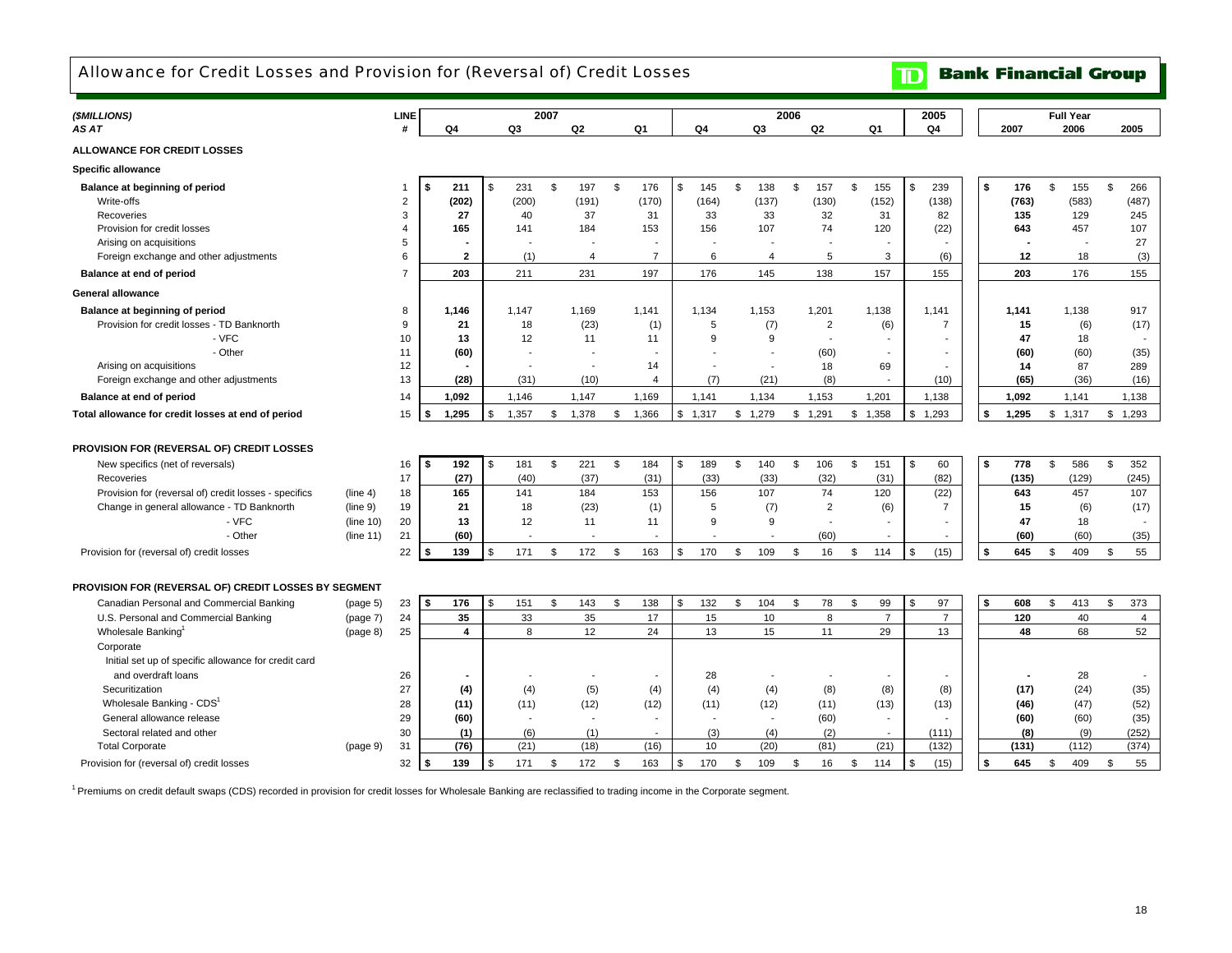Allowance for Credit Losses and Provision for (Reversal of) Credit Losses

## **TD** Bank Financial Group

| (\$MILLIONS)                                          |           | <b>LINE</b>    |    |                |     |       | 2007 |                |                |                          |                          | 2006 |                          |                          |          | 2005           |    |       | <b>Full Year</b> |       |                |
|-------------------------------------------------------|-----------|----------------|----|----------------|-----|-------|------|----------------|----------------|--------------------------|--------------------------|------|--------------------------|--------------------------|----------|----------------|----|-------|------------------|-------|----------------|
| AS AT                                                 |           | #              |    | Q4             |     | Q3    |      | Q <sub>2</sub> | Q <sub>1</sub> | Q4                       | Q3                       |      | Q2                       | Q1                       |          | Q4             |    | 2007  | 2006             |       | 2005           |
| <b>ALLOWANCE FOR CREDIT LOSSES</b>                    |           |                |    |                |     |       |      |                |                |                          |                          |      |                          |                          |          |                |    |       |                  |       |                |
| <b>Specific allowance</b>                             |           |                |    |                |     |       |      |                |                |                          |                          |      |                          |                          |          |                |    |       |                  |       |                |
| Balance at beginning of period                        |           |                | \$ | 211            | \$  | 231   | \$   | 197            | \$<br>176      | \$<br>145                | \$<br>138                | \$   | 157                      | \$<br>155                | <b>S</b> | 239            | S. | 176   | \$               | 155   | \$<br>266      |
| Write-offs                                            |           | $\overline{2}$ |    | (202)          |     | (200) |      | (191)          | (170)          | (164)                    | (137)                    |      | (130)                    | (152)                    |          | (138)          |    | (763) |                  | (583) | (487)          |
| Recoveries                                            |           | 3              |    | 27             |     | 40    |      | 37             | 31             | 33                       | 33                       |      | 32                       | 31                       |          | 82             |    | 135   |                  | 129   | 245            |
| Provision for credit losses                           |           | 4              |    | 165            |     | 141   |      | 184            | 153            | 156                      | 107                      |      | 74                       | 120                      |          | (22)           |    | 643   |                  | 457   | 107            |
| Arising on acquisitions                               |           | 5              |    |                |     |       |      |                |                |                          |                          |      |                          |                          |          |                |    |       |                  |       | 27             |
| Foreign exchange and other adjustments                |           | 6              |    | $\overline{2}$ |     | (1)   |      | 4              | $\overline{7}$ | 6                        | $\overline{4}$           |      | 5                        | 3                        |          | (6)            |    | 12    |                  | 18    | (3)            |
| Balance at end of period                              |           | $\overline{7}$ |    | 203            |     | 211   |      | 231            | 197            | 176                      | 145                      |      | 138                      | 157                      |          | 155            |    | 203   |                  | 176   | 155            |
| <b>General allowance</b>                              |           |                |    |                |     |       |      |                |                |                          |                          |      |                          |                          |          |                |    |       |                  |       |                |
|                                                       |           |                |    |                |     |       |      |                |                |                          |                          |      |                          |                          |          |                |    |       |                  |       |                |
| Balance at beginning of period                        |           | 8              |    | 1,146          |     | 1.147 |      | 1,169          | 1,141          | 1,134                    | 1,153                    |      | 1,201                    | 1,138                    |          | 1,141          |    | 1,141 |                  | 1,138 | 917            |
| Provision for credit losses - TD Banknorth            |           | 9              |    | 21             |     | 18    |      | (23)           | (1)            | 5                        | (7)                      |      | $\overline{2}$           | (6)                      |          | 7              |    | 15    |                  | (6)   | (17)           |
| - VFC                                                 |           | 10             |    | 13             |     | 12    |      | 11             | 11             | 9                        | 9                        |      | $\overline{\phantom{a}}$ | $\overline{\phantom{a}}$ |          |                |    | 47    |                  | 18    |                |
| - Other                                               |           | 11             |    | (60)           |     |       |      |                |                |                          | $\overline{\phantom{a}}$ |      | (60)                     |                          |          |                |    | (60)  |                  | (60)  | (35)           |
| Arising on acquisitions                               |           | 12             |    |                |     |       |      |                | 14             | $\overline{a}$           | $\overline{\phantom{a}}$ |      | 18                       | 69                       |          |                |    | 14    |                  | 87    | 289            |
| Foreign exchange and other adjustments                |           | 13             |    | (28)           |     | (31)  |      | (10)           | $\overline{4}$ | (7)                      | (21)                     |      | (8)                      |                          |          | (10)           |    | (65)  |                  | (36)  | (16)           |
| Balance at end of period                              |           | 14             |    | 1,092          |     | 1,146 |      | 1,147          | 1,169          | 1,141                    | 1,134                    |      | 1,153                    | 1,201                    |          | 1,138          |    | 1,092 |                  | 1,141 | 1.138          |
| Total allowance for credit losses at end of period    |           | 15             | s. | 1,295          |     | 1,357 | \$   | 1,378          | \$<br>1,366    | \$<br>1,317              | \$<br>1,279              |      | \$1,291                  | \$1,358                  | \$       | 1,293          | ¢  | 1,295 | \$1,317          |       | \$<br>1,293    |
|                                                       |           |                |    |                |     |       |      |                |                |                          |                          |      |                          |                          |          |                |    |       |                  |       |                |
| PROVISION FOR (REVERSAL OF) CREDIT LOSSES             |           |                |    |                |     |       |      |                |                |                          |                          |      |                          |                          |          |                |    |       |                  |       |                |
| New specifics (net of reversals)                      |           | 16             | \$ | 192            | \$  | 181   | \$   | 221            | \$<br>184      | \$<br>189                | \$<br>140                | \$   | 106                      | \$<br>151                | \$       | 60             | \$ | 778   | \$               | 586   | \$<br>352      |
| Recoveries                                            |           | 17             |    | (27)           |     | (40)  |      | (37)           | (31)           | (33)                     | (33)                     |      | (32)                     | (31)                     |          | (82)           |    | (135) |                  | (129) | (245)          |
| Provision for (reversal of) credit losses - specifics | (line 4)  | 18             |    | 165            |     | 141   |      | 184            | 153            | 156                      | 107                      |      | 74                       | 120                      |          | (22)           |    | 643   |                  | 457   | 107            |
| Change in general allowance - TD Banknorth            | (line 9)  | 19             |    | 21             |     | 18    |      | (23)           | (1)            | 5                        | (7)                      |      | $\overline{2}$           | (6)                      |          | $\overline{7}$ |    | 15    |                  | (6)   | (17)           |
| - VFC                                                 | (line 10) | 20             |    | 13             |     | 12    |      | 11             | 11             | 9                        | 9                        |      |                          |                          |          |                |    | 47    |                  | 18    |                |
| - Other                                               | (line 11) | 21             |    | (60)           |     |       |      |                |                |                          | $\overline{\phantom{a}}$ |      | (60)                     |                          |          |                |    | (60)  |                  | (60)  | (35)           |
| Provision for (reversal of) credit losses             |           | 22             | \$ | 139            |     | 171   | \$   | 172            | \$<br>163      | \$<br>170                | \$<br>109                | \$   | 16                       | \$<br>114                | \$       | (15)           | \$ | 645   | \$               | 409   | 55<br>\$       |
|                                                       |           |                |    |                |     |       |      |                |                |                          |                          |      |                          |                          |          |                |    |       |                  |       |                |
| PROVISION FOR (REVERSAL OF) CREDIT LOSSES BY SEGMENT  |           |                |    |                |     |       |      |                |                |                          |                          |      |                          |                          |          |                |    |       |                  |       |                |
| Canadian Personal and Commercial Banking              | (page 5)  | 23             | s. | 176            | \$. | 151   | \$   | 143            | \$<br>138      | \$<br>132                | \$<br>104                | \$   | 78                       | \$<br>99                 | <b>S</b> | 97             | S. | 608   | \$               | 413   | \$<br>373      |
| U.S. Personal and Commercial Banking                  | (page 7)  | 24             |    | 35             |     | 33    |      | 35             | 17             | 15                       | 10                       |      | 8                        | $\overline{7}$           |          | $\overline{7}$ |    | 120   |                  | 40    | $\overline{4}$ |
| Wholesale Banking                                     | (page 8)  | 25             |    | 4              |     | 8     |      | 12             | 24             | 13                       | 15                       |      | 11                       | 29                       |          | 13             |    | 48    |                  | 68    | 52             |
| Corporate                                             |           |                |    |                |     |       |      |                |                |                          |                          |      |                          |                          |          |                |    |       |                  |       |                |
| Initial set up of specific allowance for credit card  |           |                |    |                |     |       |      |                |                |                          |                          |      |                          |                          |          |                |    |       |                  |       |                |
| and overdraft loans                                   |           | 26             |    |                |     |       |      |                |                | 28                       |                          |      |                          |                          |          |                |    |       |                  | 28    |                |
| Securitization                                        |           | 27             |    | (4)            |     | (4)   |      | (5)            | (4)            | (4)                      | (4)                      |      | (8)                      | (8)                      |          | (8)            |    | (17)  |                  | (24)  | (35)           |
| Wholesale Banking - CDS <sup>1</sup>                  |           | 28             |    | (11)           |     | (11)  |      | (12)           | (12)           | (11)                     | (12)                     |      | (11)                     | (13)                     |          | (13)           |    | (46)  |                  | (47)  | (52)           |
| General allowance release                             |           | 29             |    | (60)           |     |       |      |                | $\overline{a}$ | $\overline{\phantom{a}}$ | $\sim$                   |      | (60)                     |                          |          |                |    | (60)  |                  | (60)  | (35)           |
| Sectoral related and other                            |           | 30             |    | (1)            |     | (6)   |      | (1)            | $\blacksquare$ | (3)                      | (4)                      |      | (2)                      | $\overline{\phantom{a}}$ |          | (111)          |    | (8)   |                  | (9)   | (252)          |
| <b>Total Corporate</b>                                | (page 9)  | 31             |    | (76)           |     | (21)  |      | (18)           | (16)           | 10                       | (20)                     |      | (81)                     | (21)                     |          | (132)          |    | (131) |                  | (112) | (374)          |
|                                                       |           |                |    | 139            | \$  |       | \$   |                | \$             | 170                      | \$                       | \$   |                          |                          |          |                | S  | 645   | \$               |       | \$<br>55       |
| Provision for (reversal of) credit losses             |           | 32             | \$ |                |     | 171   |      | 172            | 163            | \$                       | 109                      |      | 16                       | \$<br>114                | \$       | (15)           |    |       |                  | 409   |                |

1 Premiums on credit default swaps (CDS) recorded in provision for credit losses for Wholesale Banking are reclassified to trading income in the Corporate segment.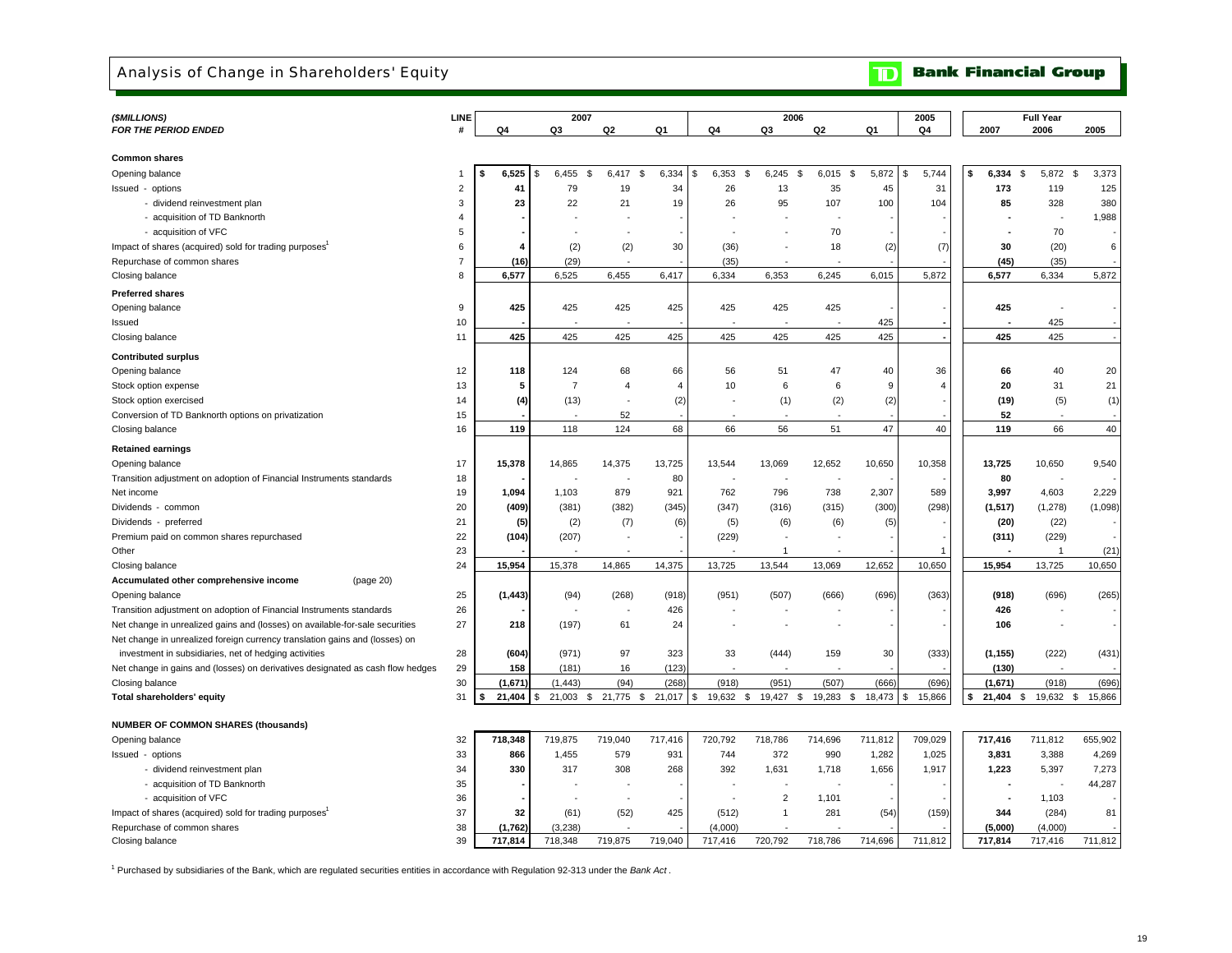## Analysis of Change in Shareholders' Equity

## **TD** Bank Financial Group

| (\$MILLIONS)                                                                   | LINE           |             | 2007              |                          |                          |                          | 2006                     |                          |              | 2005           |                          | <b>Full Year</b>         |                |
|--------------------------------------------------------------------------------|----------------|-------------|-------------------|--------------------------|--------------------------|--------------------------|--------------------------|--------------------------|--------------|----------------|--------------------------|--------------------------|----------------|
| FOR THE PERIOD ENDED                                                           | #              | Q4          | Q3                | Q2                       | Q1                       | Q4                       | Q3                       | Q2                       | Q1           | Q4             | 2007                     | 2006                     | 2005           |
|                                                                                |                |             |                   |                          |                          |                          |                          |                          |              |                |                          |                          |                |
| <b>Common shares</b>                                                           |                |             |                   |                          |                          |                          |                          |                          |              |                |                          |                          |                |
| Opening balance                                                                | $\overline{1}$ | 6,525<br>\$ | 6,455<br>\$<br>\$ | 6,417                    | \$<br>6,334              | 6,353<br>\$<br>\$        | 6,245<br>\$              | 6,015                    | \$<br>5,872  | 5,744<br>\$    | $6,334$ \$<br>\$         | 5,872 \$                 | 3,373          |
| Issued - options                                                               | $\overline{2}$ | 41          | 79                | 19                       | 34                       | 26                       | 13                       | 35                       | 45           | 31             | 173                      | 119                      | 125            |
| - dividend reinvestment plan                                                   | 3              | 23          | 22                | 21                       | 19                       | 26                       | 95                       | 107                      | 100          | 104            | 85                       | 328                      | 380            |
| - acquisition of TD Banknorth                                                  | $\overline{4}$ |             |                   |                          |                          |                          |                          |                          |              |                |                          | $\sim$                   | 1,988          |
| - acquisition of VFC                                                           | 5              |             |                   |                          |                          |                          |                          | 70                       |              |                |                          | 70                       |                |
| Impact of shares (acquired) sold for trading purposes                          | 6              | 4           | (2)               | (2)                      | 30                       | (36)                     | $\sim$                   | 18                       | (2)          | (7)            | 30                       | (20)                     | 6              |
| Repurchase of common shares                                                    | $\overline{7}$ | (16)        | (29)              |                          |                          | (35)                     |                          |                          |              |                | (45)                     | (35)                     |                |
| Closing balance                                                                | 8              | 6,577       | 6,525             | 6,455                    | 6,417                    | 6,334                    | 6,353                    | 6,245                    | 6,015        | 5,872          | 6,577                    | 6,334                    | 5,872          |
| <b>Preferred shares</b>                                                        |                |             |                   |                          |                          |                          |                          |                          |              |                |                          |                          |                |
| Opening balance                                                                | 9              | 425         | 425               | 425                      | 425                      | 425                      | 425                      | 425                      |              |                | 425                      |                          |                |
| Issued                                                                         | 10             |             |                   |                          |                          |                          | $\overline{\phantom{a}}$ |                          | 425          |                |                          | 425                      |                |
| Closing balance                                                                | 11             | 425         | 425               | 425                      | 425                      | 425                      | 425                      | 425                      | 425          |                | 425                      | 425                      |                |
| <b>Contributed surplus</b>                                                     |                |             |                   |                          |                          |                          |                          |                          |              |                |                          |                          |                |
| Opening balance                                                                | 12             | 118         | 124               | 68                       | 66                       | 56                       | 51                       | 47                       | 40           | 36             | 66                       | 40                       | 20             |
| Stock option expense                                                           | 13             | 5           | $\overline{7}$    | $\overline{4}$           | $\overline{4}$           | 10                       | 6                        | 6                        | -9           | $\overline{4}$ | 20                       | 31                       | 21             |
| Stock option exercised                                                         | 14             | (4)         | (13)              | $\overline{a}$           | (2)                      | ÷,                       | (1)                      | (2)                      | (2)          |                | (19)                     | (5)                      | (1)            |
| Conversion of TD Banknorth options on privatization                            | 15             |             |                   | 52                       |                          |                          |                          |                          |              |                | 52                       |                          |                |
| Closing balance                                                                | 16             | 119         | 118               | 124                      | 68                       | 66                       | 56                       | 51                       | 47           | 40             | 119                      | 66                       | 40             |
|                                                                                |                |             |                   |                          |                          |                          |                          |                          |              |                |                          |                          |                |
| <b>Retained earnings</b>                                                       |                |             |                   |                          |                          |                          |                          |                          |              |                |                          |                          |                |
| Opening balance                                                                | 17             | 15,378      | 14,865            | 14,375                   | 13,725                   | 13,544                   | 13,069                   | 12,652                   | 10,650       | 10,358         | 13,725                   | 10,650                   | 9,540          |
| Transition adjustment on adoption of Financial Instruments standards           | 18             |             |                   |                          | 80                       |                          |                          |                          |              |                | 80                       |                          |                |
| Net income                                                                     | 19             | 1,094       | 1,103             | 879                      | 921                      | 762                      | 796                      | 738                      | 2,307        | 589            | 3,997                    | 4,603                    | 2,229          |
| Dividends - common                                                             | 20             | (409)       | (381)             | (382)                    | (345)                    | (347)                    | (316)                    | (315)                    | (300)        | (298)          | (1, 517)                 | (1, 278)                 | (1,098)        |
| Dividends - preferred                                                          | 21             | (5)         | (2)               | (7)                      | (6)                      | (5)                      | (6)                      | (6)                      | (5)          |                | (20)                     | (22)                     |                |
| Premium paid on common shares repurchased                                      | 22             | (104)       | (207)             | $\overline{\phantom{a}}$ | $\overline{\phantom{a}}$ | (229)                    |                          | ÷.                       |              |                | (311)                    | (229)                    |                |
| Other                                                                          | 23             |             |                   |                          |                          |                          | $\mathbf 1$              |                          |              |                |                          | $\overline{1}$           | (21)           |
| Closing balance                                                                | 24             | 15,954      | 15,378            | 14,865                   | 14,375                   | 13,725                   | 13,544                   | 13,069                   | 12,652       | 10,650         | 15,954                   | 13,725                   | 10,650         |
| Accumulated other comprehensive income<br>(page 20)                            |                |             |                   |                          |                          |                          |                          |                          |              |                |                          |                          |                |
| Opening balance                                                                | 25             | (1, 443)    | (94)              | (268)                    | (918)                    | (951)                    | (507)                    | (666)                    | (696)        | (363)          | (918)                    | (696)                    | (265)          |
| Transition adjustment on adoption of Financial Instruments standards           | 26             |             |                   |                          | 426                      | ÷,                       |                          |                          |              |                | 426                      | $\overline{\phantom{a}}$ |                |
| Net change in unrealized gains and (losses) on available-for-sale securities   | 27             | 218         | (197)             | 61                       | 24                       |                          |                          | $\overline{\phantom{a}}$ |              |                | 106                      | $\overline{\phantom{a}}$ |                |
| Net change in unrealized foreign currency translation gains and (losses) on    |                |             |                   |                          |                          |                          |                          |                          |              |                |                          |                          |                |
| investment in subsidiaries, net of hedging activities                          | 28             | (604)       | (971)             | 97                       | 323                      | 33                       | (444)                    | 159                      | 30           | (333)          | (1, 155)                 | (222)                    | (431)          |
| Net change in gains and (losses) on derivatives designated as cash flow hedges | 29             | 158         | (181)             | 16                       | (123)                    |                          |                          |                          |              |                | (130)                    |                          |                |
| Closing balance                                                                | 30             | (1,671)     | (1, 443)          | (94)                     | (268)                    | (918)                    | (951)                    | (507)                    | (666)        | (696)          | (1,671)                  | (918)                    | (696)          |
| Total shareholders' equity                                                     | 31             | 21,404      | 21,003<br>\$.     | 21,775 \$<br>\$          | $21,017$ \$              | 19,632 \$                | 19,427 \$                | 19,283                   | 18,473<br>\$ | 15,866<br>\$   | 21,404<br>\$             | 19,632<br>\$             | 15,866<br>- \$ |
|                                                                                |                |             |                   |                          |                          |                          |                          |                          |              |                |                          |                          |                |
| <b>NUMBER OF COMMON SHARES (thousands)</b>                                     |                |             |                   |                          |                          |                          |                          |                          |              |                |                          |                          |                |
| Opening balance                                                                | 32             | 718,348     | 719,875           | 719,040                  | 717,416                  | 720,792                  | 718,786                  | 714,696                  | 711,812      | 709,029        | 717,416                  | 711,812                  | 655,902        |
| Issued - options                                                               | 33             | 866         | 1,455             | 579                      | 931                      | 744                      | 372                      | 990                      | 1,282        | 1,025          | 3,831                    | 3,388                    | 4,269          |
| - dividend reinvestment plan                                                   | 34             | 330         | 317               | 308                      | 268                      | 392                      | 1,631                    | 1,718                    | 1,656        | 1,917          | 1,223                    | 5,397                    | 7,273          |
| - acquisition of TD Banknorth                                                  | 35             |             |                   | ÷                        |                          | $\overline{\phantom{a}}$ | $\overline{\phantom{a}}$ |                          |              |                | $\overline{\phantom{a}}$ | ٠.                       | 44,287         |
| - acquisition of VFC                                                           | 36             |             |                   | $\ddot{\phantom{1}}$     |                          | $\sim$                   | $\overline{c}$           | 1,101                    |              |                |                          | 1,103                    |                |
| Impact of shares (acquired) sold for trading purposes                          | 37             | 32          | (61)              | (52)                     | 425                      | (512)                    | $\mathbf{1}$             | 281                      | (54)         | (159)          | 344                      | (284)                    | 81             |
| Repurchase of common shares                                                    | 38             | (1,762)     | (3,238)           |                          |                          | (4,000)                  |                          |                          |              |                | (5,000)                  | (4,000)                  |                |
| Closing balance                                                                | 39             | 717,814     | 718,348           | 719,875                  | 719,040                  | 717,416                  | 720,792                  | 718,786                  | 714,696      | 711,812        | 717,814                  | 717,416                  | 711,812        |

1 Purchased by subsidiaries of the Bank, which are regulated securities entities in accordance with Regulation 92-313 under the *Bank Act* .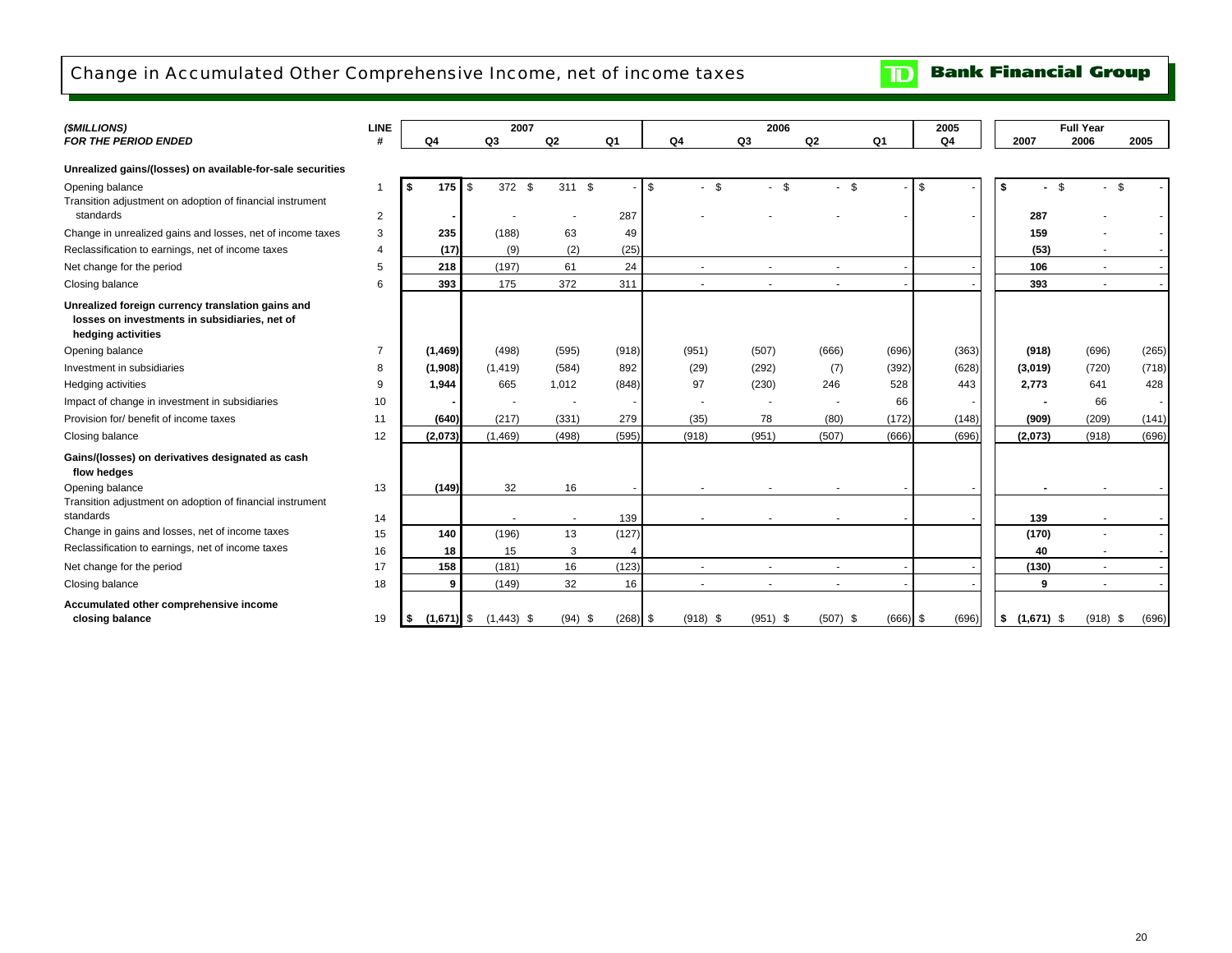## Change in Accumulated Other Comprehensive Income, net of income taxes

**TD** Bank Financial Group

| (\$MILLIONS)                                                                                                             | <b>LINE</b>    |                |             | 2007                      |                |                          |                |                          | 2006       |                          |            | 2005           |                    | <b>Full Year</b> |       |
|--------------------------------------------------------------------------------------------------------------------------|----------------|----------------|-------------|---------------------------|----------------|--------------------------|----------------|--------------------------|------------|--------------------------|------------|----------------|--------------------|------------------|-------|
| <b>FOR THE PERIOD ENDED</b>                                                                                              | #              | Q <sub>4</sub> |             | Q3                        | Q <sub>2</sub> | Q <sub>1</sub>           | Q <sub>4</sub> |                          | Q3         | Q <sub>2</sub>           | Q1         | Q <sub>4</sub> | 2007               | 2006             | 2005  |
| Unrealized gains/(losses) on available-for-sale securities                                                               |                |                |             |                           |                |                          |                |                          |            |                          |            |                |                    |                  |       |
| Opening balance<br>Transition adjustment on adoption of financial instrument                                             | -1             | \$             | \$<br>175 I | 372 \$                    | 311S           | $\sim$                   | \$             | $-$ \$                   | $-5$       | \$                       |            | \$             | \$                 | \$               | \$    |
| standards                                                                                                                | 2              |                |             |                           |                | 287                      |                |                          |            |                          |            |                | 287                |                  |       |
| Change in unrealized gains and losses, net of income taxes                                                               | 3              |                | 235         | (188)                     | 63             | 49                       |                |                          |            |                          |            |                | 159                |                  |       |
| Reclassification to earnings, net of income taxes                                                                        | $\overline{4}$ |                | (17)        | (9)                       | (2)            | (25)                     |                |                          |            |                          |            |                | (53)               |                  |       |
| Net change for the period                                                                                                | 5              |                | 218         | (197)                     | 61             | 24                       |                | $\overline{\phantom{a}}$ |            |                          |            |                | 106                | $\sim$           |       |
| Closing balance                                                                                                          | 6              |                | 393         | 175                       | 372            | 311                      |                | $\sim$                   | $\sim$     |                          |            |                | 393                | ×                |       |
| Unrealized foreign currency translation gains and<br>losses on investments in subsidiaries, net of<br>hedging activities |                |                |             |                           |                |                          |                |                          |            |                          |            |                |                    |                  |       |
| Opening balance                                                                                                          | $\overline{7}$ | (1, 469)       |             | (498)                     | (595)          | (918)                    |                | (951)                    | (507)      | (666)                    | (696)      | (363)          | (918)              | (696)            | (265) |
| Investment in subsidiaries                                                                                               | 8              | (1,908)        |             | (1, 419)                  | (584)          | 892                      |                | (29)                     | (292)      | (7)                      | (392)      | (628)          | (3,019)            | (720)            | (718) |
| Hedging activities                                                                                                       | 9              | 1.944          |             | 665                       | 1,012          | (848)                    |                | 97                       | (230)      | 246                      | 528        | 443            | 2,773              | 641              | 428   |
| Impact of change in investment in subsidiaries                                                                           | 10             |                |             |                           | $\blacksquare$ |                          |                |                          |            |                          | 66         |                |                    | 66               |       |
| Provision for/ benefit of income taxes                                                                                   | 11             |                | (640)       | (217)                     | (331)          | 279                      |                | (35)                     | 78         | (80)                     | (172)      | (148)          | (909)              | (209)            | (141) |
| Closing balance                                                                                                          | 12             | (2,073)        |             | (1,469)                   | (498)          | (595)                    |                | (918)                    | (951)      | (507)                    | (666)      | (696)          | (2,073)            | (918)            | (696) |
| Gains/(losses) on derivatives designated as cash<br>flow hedges                                                          |                |                |             |                           |                |                          |                |                          |            |                          |            |                |                    |                  |       |
| Opening balance                                                                                                          | 13             |                | (149)       | 32                        | 16             | $\overline{\phantom{a}}$ |                |                          |            |                          |            |                |                    |                  |       |
| Transition adjustment on adoption of financial instrument                                                                |                |                |             |                           |                |                          |                |                          |            |                          |            |                |                    |                  |       |
| standards                                                                                                                | 14             |                |             |                           | $\blacksquare$ | 139                      |                |                          |            |                          |            |                | 139                |                  |       |
| Change in gains and losses, net of income taxes                                                                          | 15             |                | 140         | (196)                     | 13             | (127)                    |                |                          |            |                          |            |                | (170)              |                  |       |
| Reclassification to earnings, net of income taxes                                                                        | 16             |                | 18          | 15                        | 3              | 4                        |                |                          |            |                          |            |                | 40                 |                  |       |
| Net change for the period                                                                                                | 17             |                | 158         | (181)                     | 16             | (123)                    |                | $\sim$                   | ÷.         | $\overline{\phantom{a}}$ |            |                | (130)              | ÷.               |       |
| Closing balance                                                                                                          | 18             |                | 9           | (149)                     | 32             | 16                       |                | $\overline{\phantom{a}}$ | $\sim$     | $\sim$                   |            |                | 9                  | ×                |       |
| Accumulated other comprehensive income<br>closing balance                                                                | 19             | l \$           |             | $(1,671)$ \$ $(1,443)$ \$ | $(94)$ \$      | $(268)$ \$               |                | $(918)$ \$               | $(951)$ \$ | $(507)$ \$               | $(666)$ \$ | (696)          | \$<br>$(1,671)$ \$ | $(918)$ \$       | (696) |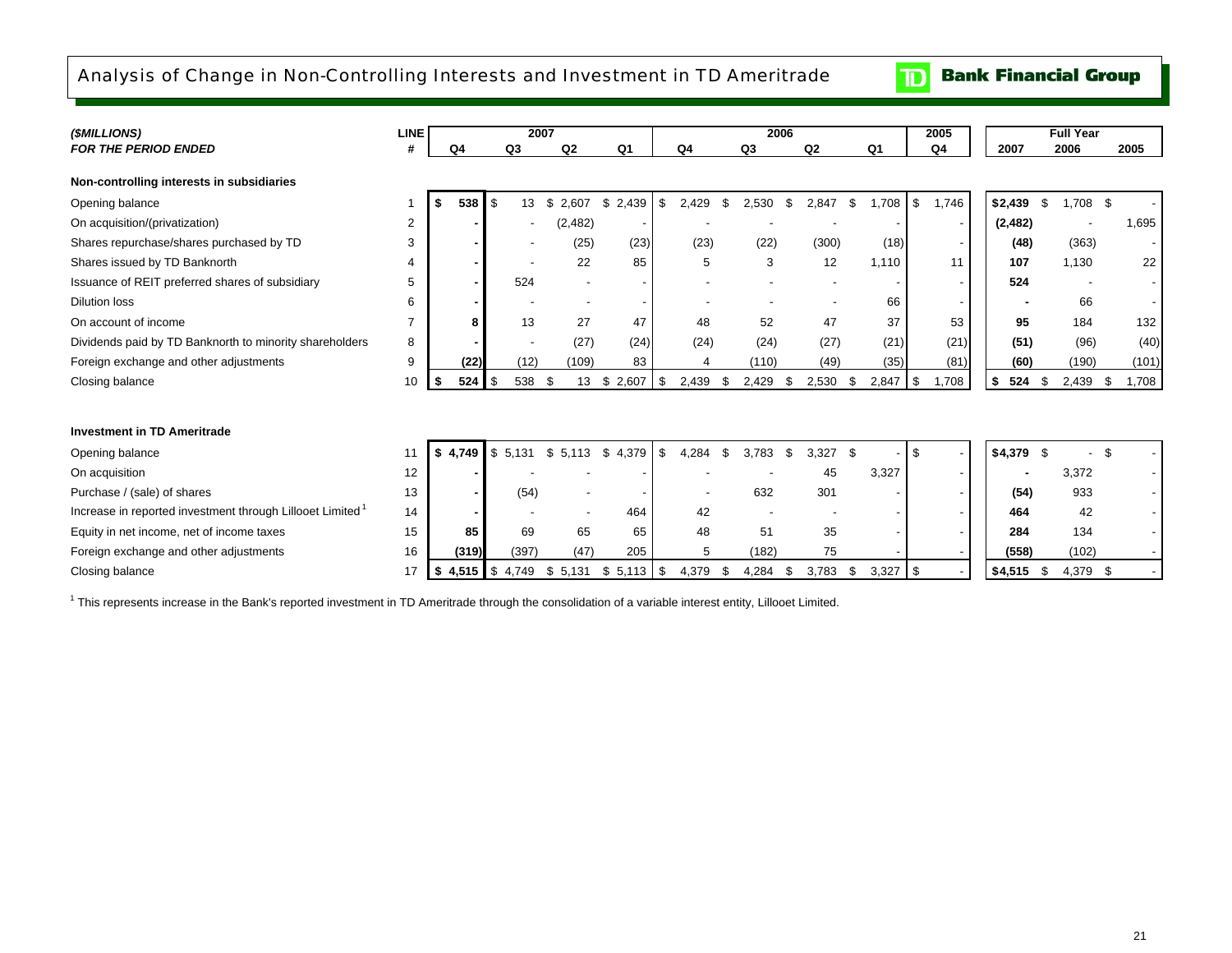## Analysis of Change in Non-Controlling Interests and Investment in TD Ameritrade

**Bank Financial Group**  $\mathbf{D}$ 

| (\$MILLIONS)                                                          | <b>LINE</b>              |    |         |                   | 2007 |         |                |             |      | 2006           |      |             |                |       |           | 2005           |           | <b>Full Year</b> |               |       |  |
|-----------------------------------------------------------------------|--------------------------|----|---------|-------------------|------|---------|----------------|-------------|------|----------------|------|-------------|----------------|-------|-----------|----------------|-----------|------------------|---------------|-------|--|
| <b>FOR THE PERIOD ENDED</b>                                           |                          |    | Q4      | Q <sub>3</sub>    |      | Q2      | Q <sub>1</sub> | Q4          |      | Q <sub>3</sub> |      | Q2          | Q <sub>1</sub> |       |           | Q <sub>4</sub> | 2007      |                  | 2006          | 2005  |  |
| Non-controlling interests in subsidiaries                             |                          |    |         |                   |      |         |                |             |      |                |      |             |                |       |           |                |           |                  |               |       |  |
| Opening balance                                                       |                          | \$ | 538     | - \$<br>13        |      | \$2,607 | \$2,439        | \$<br>2,429 | -\$  | 2,530          | - \$ | 2,847       | \$             | 1,708 | \$        | 1,746          | \$2,439   | \$               | 1,708 \$      |       |  |
| On acquisition/(privatization)                                        | 2                        |    |         |                   |      | (2,482) |                |             |      |                |      |             |                |       |           |                | (2, 482)  |                  |               | 1,695 |  |
| Shares repurchase/shares purchased by TD                              | 3                        |    |         |                   |      | (25)    | (23)           | (23)        |      | (22)           |      | (300)       |                | (18)  |           |                | (48)      |                  | (363)         |       |  |
| Shares issued by TD Banknorth                                         |                          |    |         |                   |      | 22      | 85             | 5           |      | 3              |      | 12          |                | 1,110 |           | 11             | 107       |                  | 1.130         | 22    |  |
| Issuance of REIT preferred shares of subsidiary                       | 5                        |    |         | 524               |      |         |                |             |      |                |      |             |                |       |           |                | 524       |                  |               |       |  |
| <b>Dilution loss</b>                                                  | 6                        |    |         |                   |      |         |                |             |      |                |      |             |                | 66    |           |                |           |                  | 66            |       |  |
| On account of income                                                  | $\overline{\phantom{a}}$ |    | 8       | 13                |      | 27      | 47             | 48          |      | 52             |      | 47          |                | 37    |           | 53             | 95        |                  | 184           | 132   |  |
| Dividends paid by TD Banknorth to minority shareholders               | 8                        |    |         |                   |      | (27)    | (24)           | (24)        |      | (24)           |      | (27)        |                | (21)  |           | (21)           | (51)      |                  | (96)          | (40)  |  |
| Foreign exchange and other adjustments                                | 9                        |    | (22)    | (12)              |      | (109)   | 83             |             |      | (110)          |      | (49)        |                | (35)  |           | (81)           | (60)      |                  | (190)         | (101) |  |
| Closing balance                                                       | 10                       | S. | 524     | <b>S</b><br>538   | - \$ | 13      | \$<br>2,607    | \$<br>2,439 |      | 2,429          | \$   | 2,530       | \$             | 2,847 | - \$      | 1,708          | 524<br>\$ | -\$              | 2,439<br>- \$ | 1,708 |  |
|                                                                       |                          |    |         |                   |      |         |                |             |      |                |      |             |                |       |           |                |           |                  |               |       |  |
| <b>Investment in TD Ameritrade</b>                                    |                          |    |         |                   |      |         |                |             |      |                |      |             |                |       |           |                |           |                  |               |       |  |
| Opening balance                                                       | 11                       |    | \$4,749 | $$5,131$ $$5,113$ |      |         | \$4,379        | \$<br>4.284 | - \$ | 3.783          | \$   | 3,327<br>\$ |                |       | -S        |                | \$4,379   | - \$             |               |       |  |
| On acquisition                                                        | 12                       |    |         |                   |      |         |                |             |      |                |      | 45          |                | 3,327 |           |                |           |                  | 3,372         |       |  |
| Purchase / (sale) of shares                                           | 13                       |    |         | (54)              |      |         |                |             |      | 632            |      | 301         |                |       |           |                | (54)      |                  | 933           |       |  |
| Increase in reported investment through Lillooet Limited <sup>1</sup> | 14                       |    |         |                   |      |         | 464            | 42          |      |                |      |             |                |       |           |                | 464       |                  | 42            |       |  |
| Equity in net income, net of income taxes                             | 15                       |    | 85      | 69                |      | 65      | 65             | 48          |      | 51             |      | 35          |                |       |           |                | 284       |                  | 134           |       |  |
| Foreign exchange and other adjustments                                | 16                       |    | (319)   | (397)             |      | (47)    | 205            | 5           |      | (182)          |      | 75          |                |       |           |                | (558)     |                  | (102)         |       |  |
| Closing balance                                                       | 17                       | \$ |         | 4,515 \$4,749     | \$   | 5.131   | $$5,113$ \ $$$ | 4,379       | - 5  | 4,284          | -S   | 3,783       | \$             | 3,327 | <b>\$</b> |                | \$4,515   | - \$             | 4,379 \$      |       |  |

<sup>1</sup> This represents increase in the Bank's reported investment in TD Ameritrade through the consolidation of a variable interest entity, Lillooet Limited.